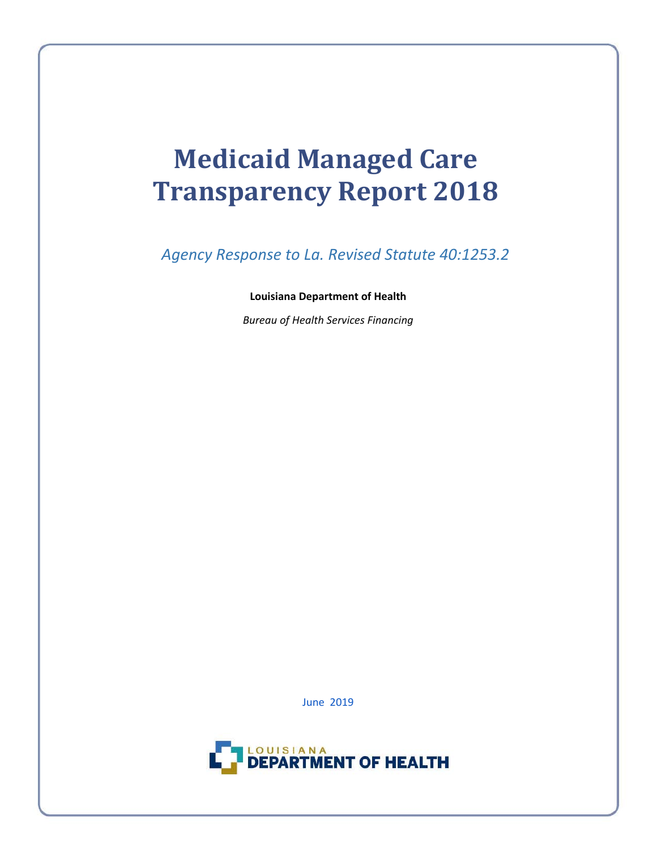# **Medicaid Managed Care Transparency Report <sup>2018</sup>**

*Agency Response to La. Revised Statute 40:1253.2* 

#### **Louisiana Department of Health**

*Bureau of Health Services Financing*

June 2019

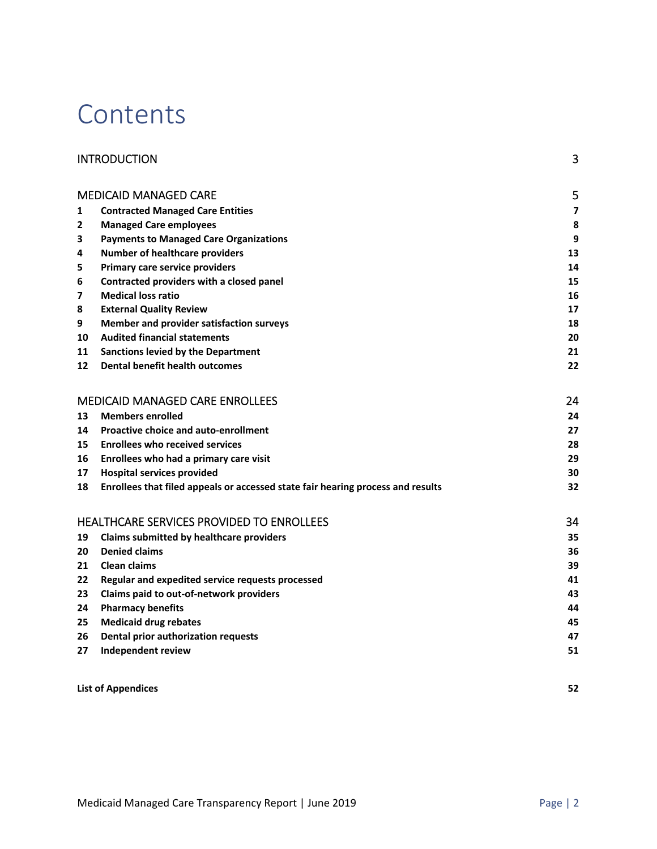# **Contents**

|    | <b>INTRODUCTION</b>                                                             | 3  |
|----|---------------------------------------------------------------------------------|----|
|    | <b>MEDICAID MANAGED CARE</b>                                                    | 5  |
| 1  | <b>Contracted Managed Care Entities</b>                                         | 7  |
| 2  | <b>Managed Care employees</b>                                                   | 8  |
| 3  | <b>Payments to Managed Care Organizations</b>                                   | 9  |
| 4  | <b>Number of healthcare providers</b>                                           | 13 |
| 5  | Primary care service providers                                                  | 14 |
| 6  | Contracted providers with a closed panel                                        | 15 |
| 7  | <b>Medical loss ratio</b>                                                       | 16 |
| 8  | <b>External Quality Review</b>                                                  | 17 |
| 9  | Member and provider satisfaction surveys                                        | 18 |
| 10 | <b>Audited financial statements</b>                                             | 20 |
| 11 | <b>Sanctions levied by the Department</b>                                       | 21 |
| 12 | <b>Dental benefit health outcomes</b>                                           | 22 |
|    | <b>MEDICAID MANAGED CARE ENROLLEES</b>                                          | 24 |
| 13 | <b>Members enrolled</b>                                                         | 24 |
| 14 | <b>Proactive choice and auto-enrollment</b>                                     | 27 |
| 15 | <b>Enrollees who received services</b>                                          | 28 |
| 16 | Enrollees who had a primary care visit                                          | 29 |
| 17 | <b>Hospital services provided</b>                                               | 30 |
| 18 | Enrollees that filed appeals or accessed state fair hearing process and results | 32 |
|    | <b>HEALTHCARE SERVICES PROVIDED TO ENROLLEES</b>                                | 34 |
| 19 | <b>Claims submitted by healthcare providers</b>                                 | 35 |
| 20 | <b>Denied claims</b>                                                            | 36 |
| 21 | <b>Clean claims</b>                                                             | 39 |
| 22 | Regular and expedited service requests processed                                | 41 |
| 23 | Claims paid to out-of-network providers                                         | 43 |
| 24 | <b>Pharmacy benefits</b>                                                        | 44 |
| 25 | <b>Medicaid drug rebates</b>                                                    | 45 |
| 26 | Dental prior authorization requests                                             | 47 |
| 27 | <b>Independent review</b>                                                       | 51 |
|    |                                                                                 |    |

**List of Appendices 52**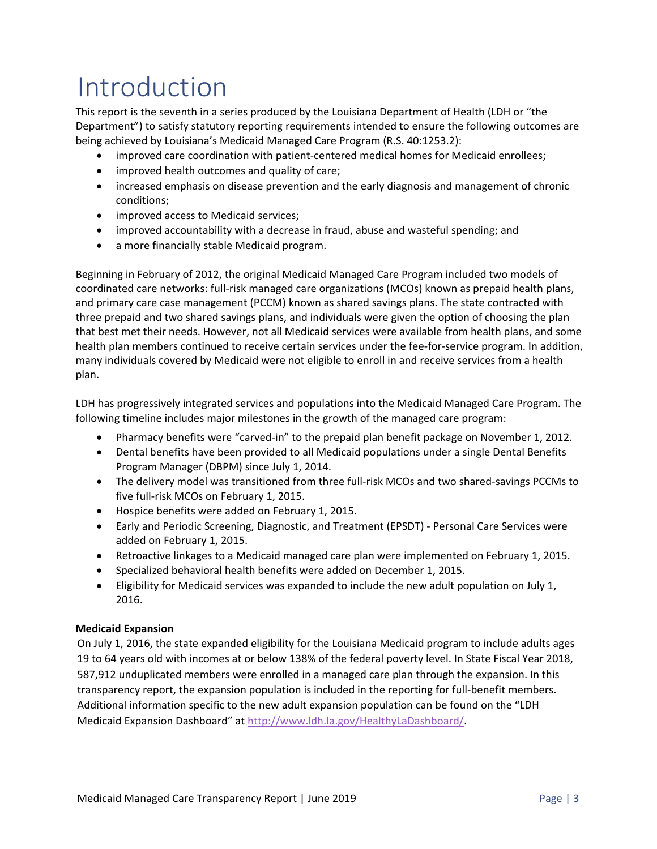# Introduction

This report is the seventh in a series produced by the Louisiana Department of Health (LDH or "the Department") to satisfy statutory reporting requirements intended to ensure the following outcomes are being achieved by Louisiana's Medicaid Managed Care Program (R.S. 40:1253.2):

- improved care coordination with patient-centered medical homes for Medicaid enrollees;
- improved health outcomes and quality of care;
- increased emphasis on disease prevention and the early diagnosis and management of chronic conditions;
- improved access to Medicaid services:
- improved accountability with a decrease in fraud, abuse and wasteful spending; and
- a more financially stable Medicaid program.

Beginning in February of 2012, the original Medicaid Managed Care Program included two models of coordinated care networks: full‐risk managed care organizations (MCOs) known as prepaid health plans, and primary care case management (PCCM) known as shared savings plans. The state contracted with three prepaid and two shared savings plans, and individuals were given the option of choosing the plan that best met their needs. However, not all Medicaid services were available from health plans, and some health plan members continued to receive certain services under the fee-for-service program. In addition, many individuals covered by Medicaid were not eligible to enroll in and receive services from a health plan.

LDH has progressively integrated services and populations into the Medicaid Managed Care Program. The following timeline includes major milestones in the growth of the managed care program:

- Pharmacy benefits were "carved-in" to the prepaid plan benefit package on November 1, 2012.
- Dental benefits have been provided to all Medicaid populations under a single Dental Benefits Program Manager (DBPM) since July 1, 2014.
- The delivery model was transitioned from three full-risk MCOs and two shared-savings PCCMs to five full-risk MCOs on February 1, 2015.
- Hospice benefits were added on February 1, 2015.
- Early and Periodic Screening, Diagnostic, and Treatment (EPSDT) ‐ Personal Care Services were added on February 1, 2015.
- Retroactive linkages to a Medicaid managed care plan were implemented on February 1, 2015.
- Specialized behavioral health benefits were added on December 1, 2015.
- Eligibility for Medicaid services was expanded to include the new adult population on July 1, 2016.

#### **Medicaid Expansion**

On July 1, 2016, the state expanded eligibility for the Louisiana Medicaid program to include adults ages 19 to 64 years old with incomes at or below 138% of the federal poverty level. In State Fiscal Year 2018, 587,912 unduplicated members were enrolled in a managed care plan through the expansion. In this transparency report, the expansion population is included in the reporting for full-benefit members. Additional information specific to the new adult expansion population can be found on the "LDH Medicaid Expansion Dashboard" at http://www.ldh.la.gov/HealthyLaDashboard/.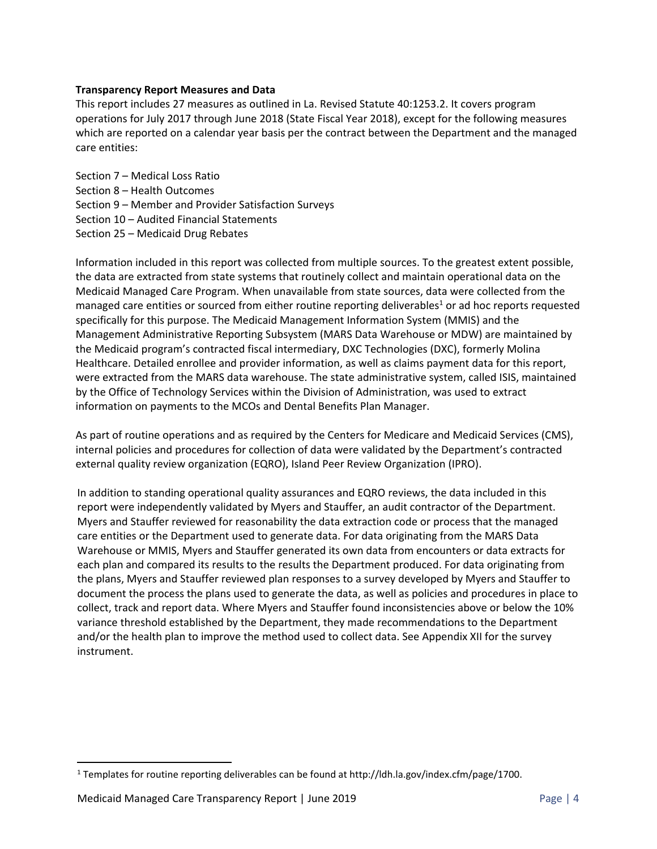#### **Transparency Report Measures and Data**

This report includes 27 measures as outlined in La. Revised Statute 40:1253.2. It covers program operations for July 2017 through June 2018 (State Fiscal Year 2018), except for the following measures which are reported on a calendar year basis per the contract between the Department and the managed care entities:

Section 7 – Medical Loss Ratio Section 8 – Health Outcomes Section 9 – Member and Provider Satisfaction Surveys Section 10 – Audited Financial Statements Section 25 – Medicaid Drug Rebates

Information included in this report was collected from multiple sources. To the greatest extent possible, the data are extracted from state systems that routinely collect and maintain operational data on the Medicaid Managed Care Program. When unavailable from state sources, data were collected from the managed care entities or sourced from either routine reporting deliverables<sup>1</sup> or ad hoc reports requested specifically for this purpose. The Medicaid Management Information System (MMIS) and the Management Administrative Reporting Subsystem (MARS Data Warehouse or MDW) are maintained by the Medicaid program's contracted fiscal intermediary, DXC Technologies (DXC), formerly Molina Healthcare. Detailed enrollee and provider information, as well as claims payment data for this report, were extracted from the MARS data warehouse. The state administrative system, called ISIS, maintained by the Office of Technology Services within the Division of Administration, was used to extract information on payments to the MCOs and Dental Benefits Plan Manager.

As part of routine operations and as required by the Centers for Medicare and Medicaid Services (CMS), internal policies and procedures for collection of data were validated by the Department's contracted external quality review organization (EQRO), Island Peer Review Organization (IPRO).

In addition to standing operational quality assurances and EQRO reviews, the data included in this report were independently validated by Myers and Stauffer, an audit contractor of the Department. Myers and Stauffer reviewed for reasonability the data extraction code or process that the managed care entities or the Department used to generate data. For data originating from the MARS Data Warehouse or MMIS, Myers and Stauffer generated its own data from encounters or data extracts for each plan and compared its results to the results the Department produced. For data originating from the plans, Myers and Stauffer reviewed plan responses to a survey developed by Myers and Stauffer to document the process the plans used to generate the data, as well as policies and procedures in place to collect, track and report data. Where Myers and Stauffer found inconsistencies above or below the 10% variance threshold established by the Department, they made recommendations to the Department and/or the health plan to improve the method used to collect data. See Appendix XII for the survey instrument.

<sup>&</sup>lt;sup>1</sup> Templates for routine reporting deliverables can be found at http://ldh.la.gov/index.cfm/page/1700.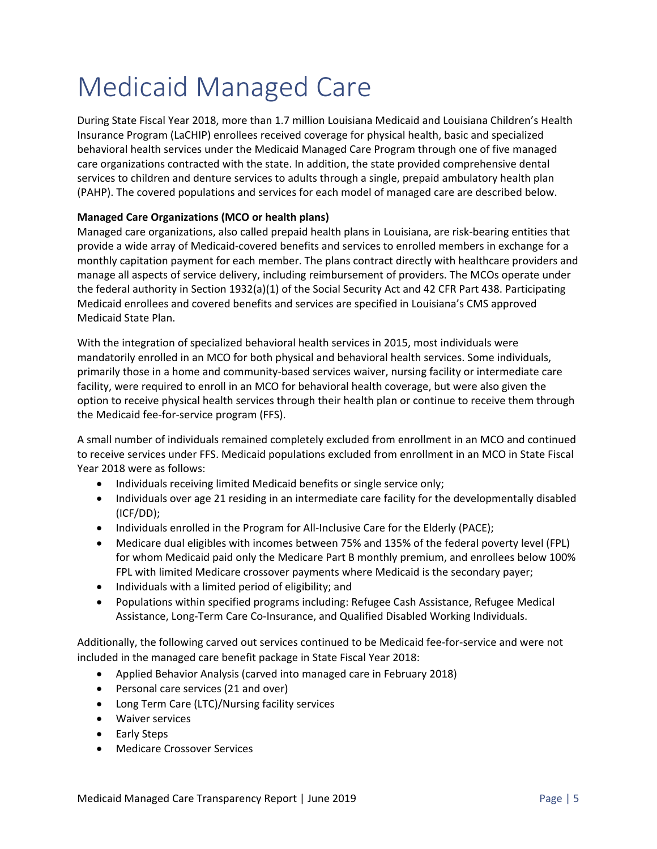# Medicaid Managed Care

During State Fiscal Year 2018, more than 1.7 million Louisiana Medicaid and Louisiana Children's Health Insurance Program (LaCHIP) enrollees received coverage for physical health, basic and specialized behavioral health services under the Medicaid Managed Care Program through one of five managed care organizations contracted with the state. In addition, the state provided comprehensive dental services to children and denture services to adults through a single, prepaid ambulatory health plan (PAHP). The covered populations and services for each model of managed care are described below.

#### **Managed Care Organizations (MCO or health plans)**

Managed care organizations, also called prepaid health plans in Louisiana, are risk‐bearing entities that provide a wide array of Medicaid‐covered benefits and services to enrolled members in exchange for a monthly capitation payment for each member. The plans contract directly with healthcare providers and manage all aspects of service delivery, including reimbursement of providers. The MCOs operate under the federal authority in Section 1932(a)(1) of the Social Security Act and 42 CFR Part 438. Participating Medicaid enrollees and covered benefits and services are specified in Louisiana's CMS approved Medicaid State Plan.

With the integration of specialized behavioral health services in 2015, most individuals were mandatorily enrolled in an MCO for both physical and behavioral health services. Some individuals, primarily those in a home and community‐based services waiver, nursing facility or intermediate care facility, were required to enroll in an MCO for behavioral health coverage, but were also given the option to receive physical health services through their health plan or continue to receive them through the Medicaid fee‐for‐service program (FFS).

A small number of individuals remained completely excluded from enrollment in an MCO and continued to receive services under FFS. Medicaid populations excluded from enrollment in an MCO in State Fiscal Year 2018 were as follows:

- Individuals receiving limited Medicaid benefits or single service only;
- Individuals over age 21 residing in an intermediate care facility for the developmentally disabled (ICF/DD);
- Individuals enrolled in the Program for All-Inclusive Care for the Elderly (PACE);
- Medicare dual eligibles with incomes between 75% and 135% of the federal poverty level (FPL) for whom Medicaid paid only the Medicare Part B monthly premium, and enrollees below 100% FPL with limited Medicare crossover payments where Medicaid is the secondary payer;
- Individuals with a limited period of eligibility; and
- Populations within specified programs including: Refugee Cash Assistance, Refugee Medical Assistance, Long‐Term Care Co‐Insurance, and Qualified Disabled Working Individuals.

Additionally, the following carved out services continued to be Medicaid fee‐for‐service and were not included in the managed care benefit package in State Fiscal Year 2018:

- Applied Behavior Analysis (carved into managed care in February 2018)
- Personal care services (21 and over)
- Long Term Care (LTC)/Nursing facility services
- Waiver services
- Early Steps
- Medicare Crossover Services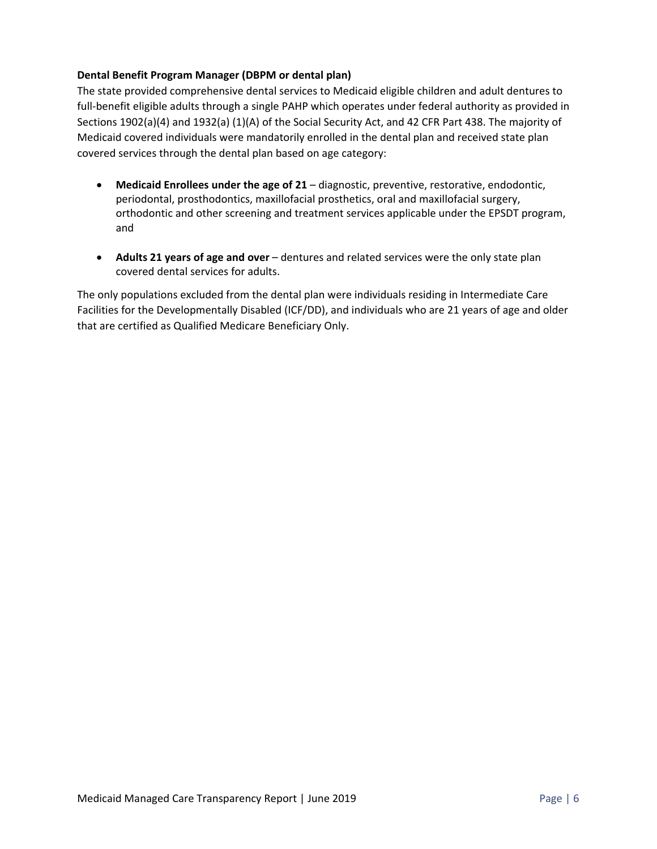#### **Dental Benefit Program Manager (DBPM or dental plan)**

The state provided comprehensive dental services to Medicaid eligible children and adult dentures to full-benefit eligible adults through a single PAHP which operates under federal authority as provided in Sections 1902(a)(4) and 1932(a) (1)(A) of the Social Security Act, and 42 CFR Part 438. The majority of Medicaid covered individuals were mandatorily enrolled in the dental plan and received state plan covered services through the dental plan based on age category:

- **Medicaid Enrollees under the age of 21** diagnostic, preventive, restorative, endodontic, periodontal, prosthodontics, maxillofacial prosthetics, oral and maxillofacial surgery, orthodontic and other screening and treatment services applicable under the EPSDT program, and
- **Adults 21 years of age and over** dentures and related services were the only state plan covered dental services for adults.

The only populations excluded from the dental plan were individuals residing in Intermediate Care Facilities for the Developmentally Disabled (ICF/DD), and individuals who are 21 years of age and older that are certified as Qualified Medicare Beneficiary Only.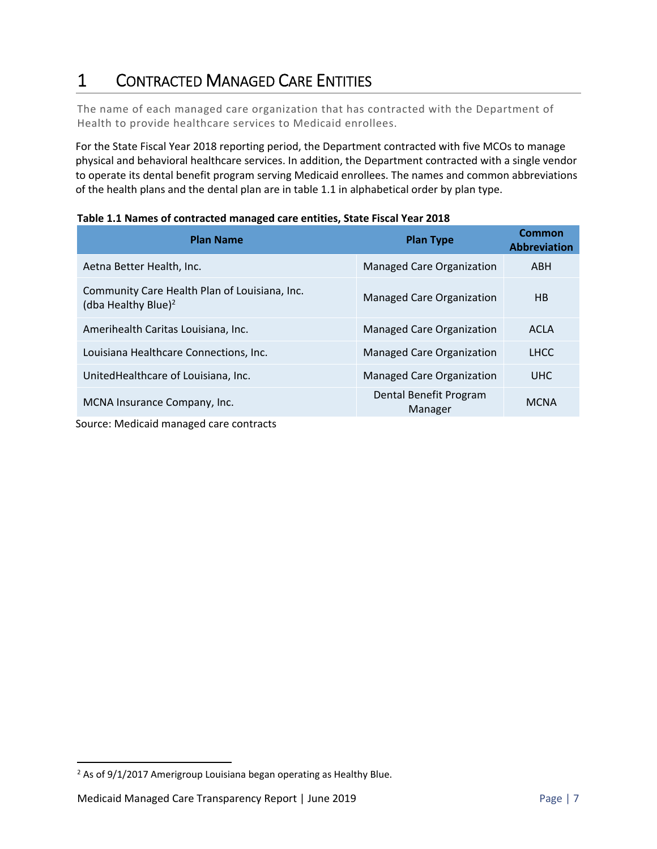# 1 CONTRACTED MANAGED CARE ENTITIES

The name of each managed care organization that has contracted with the Department of Health to provide healthcare services to Medicaid enrollees.

For the State Fiscal Year 2018 reporting period, the Department contracted with five MCOs to manage physical and behavioral healthcare services. In addition, the Department contracted with a single vendor to operate its dental benefit program serving Medicaid enrollees. The names and common abbreviations of the health plans and the dental plan are in table 1.1 in alphabetical order by plan type.

| <b>Plan Name</b>                                                                 | <b>Plan Type</b>                  | <b>Common</b><br><b>Abbreviation</b> |
|----------------------------------------------------------------------------------|-----------------------------------|--------------------------------------|
| Aetna Better Health, Inc.                                                        | <b>Managed Care Organization</b>  | <b>ABH</b>                           |
| Community Care Health Plan of Louisiana, Inc.<br>(dba Healthy Blue) <sup>2</sup> | <b>Managed Care Organization</b>  | HB                                   |
| Amerihealth Caritas Louisiana, Inc.                                              | <b>Managed Care Organization</b>  | <b>ACLA</b>                          |
| Louisiana Healthcare Connections, Inc.                                           | <b>Managed Care Organization</b>  | <b>LHCC</b>                          |
| United Health care of Louisiana, Inc.                                            | <b>Managed Care Organization</b>  | <b>UHC</b>                           |
| MCNA Insurance Company, Inc.                                                     | Dental Benefit Program<br>Manager | <b>MCNA</b>                          |

Source: Medicaid managed care contracts

 $2$  As of 9/1/2017 Amerigroup Louisiana began operating as Healthy Blue.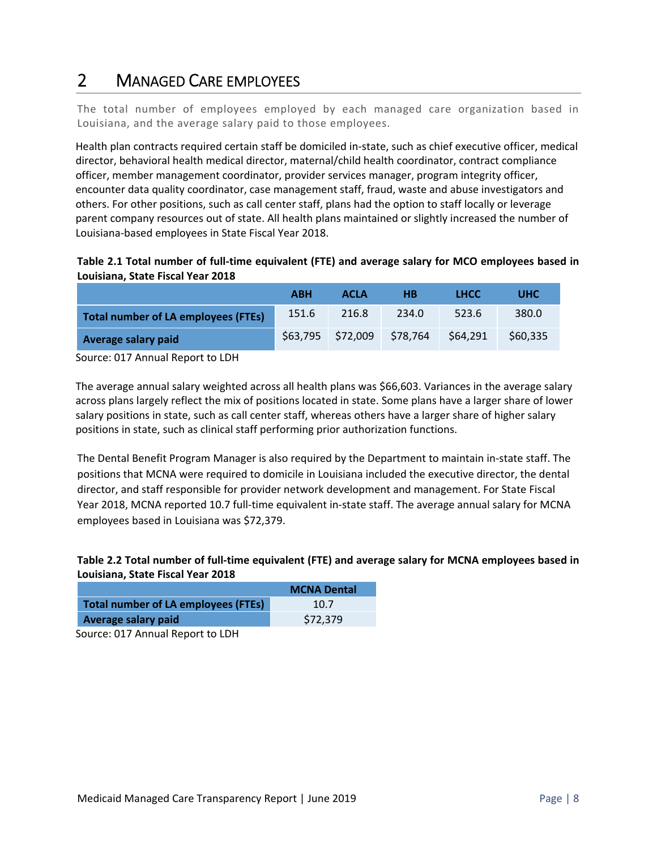# 2 MANAGED CARE EMPLOYEES

The total number of employees employed by each managed care organization based in Louisiana, and the average salary paid to those employees.

Health plan contracts required certain staff be domiciled in‐state, such as chief executive officer, medical director, behavioral health medical director, maternal/child health coordinator, contract compliance officer, member management coordinator, provider services manager, program integrity officer, encounter data quality coordinator, case management staff, fraud, waste and abuse investigators and others. For other positions, such as call center staff, plans had the option to staff locally or leverage parent company resources out of state. All health plans maintained or slightly increased the number of Louisiana‐based employees in State Fiscal Year 2018.

**Table 2.1 Total number of full‐time equivalent (FTE) and average salary for MCO employees based in Louisiana, State Fiscal Year 2018** 

|                                            | <b>ABH</b> | <b>ACLA</b>       | HВ       | <b>LHCC</b> | <b>UHC</b> |
|--------------------------------------------|------------|-------------------|----------|-------------|------------|
| <b>Total number of LA employees (FTEs)</b> | 151.6      | 216.8             | 234.0    | 523.6       | 380.0      |
| Average salary paid                        |            | \$63,795 \$72,009 | \$78,764 | \$64,291    | \$60,335   |

Source: 017 Annual Report to LDH

The average annual salary weighted across all health plans was \$66,603. Variances in the average salary across plans largely reflect the mix of positions located in state. Some plans have a larger share of lower salary positions in state, such as call center staff, whereas others have a larger share of higher salary positions in state, such as clinical staff performing prior authorization functions.

The Dental Benefit Program Manager is also required by the Department to maintain in‐state staff. The positions that MCNA were required to domicile in Louisiana included the executive director, the dental director, and staff responsible for provider network development and management. For State Fiscal Year 2018, MCNA reported 10.7 full‐time equivalent in‐state staff. The average annual salary for MCNA employees based in Louisiana was \$72,379.

#### **Table 2.2 Total number of full‐time equivalent (FTE) and average salary for MCNA employees based in Louisiana, State Fiscal Year 2018**

|                                            | <b>MCNA Dental</b> |  |  |  |
|--------------------------------------------|--------------------|--|--|--|
| <b>Total number of LA employees (FTEs)</b> | 10.7               |  |  |  |
| Average salary paid                        | \$72,379           |  |  |  |
|                                            |                    |  |  |  |

Source: 017 Annual Report to LDH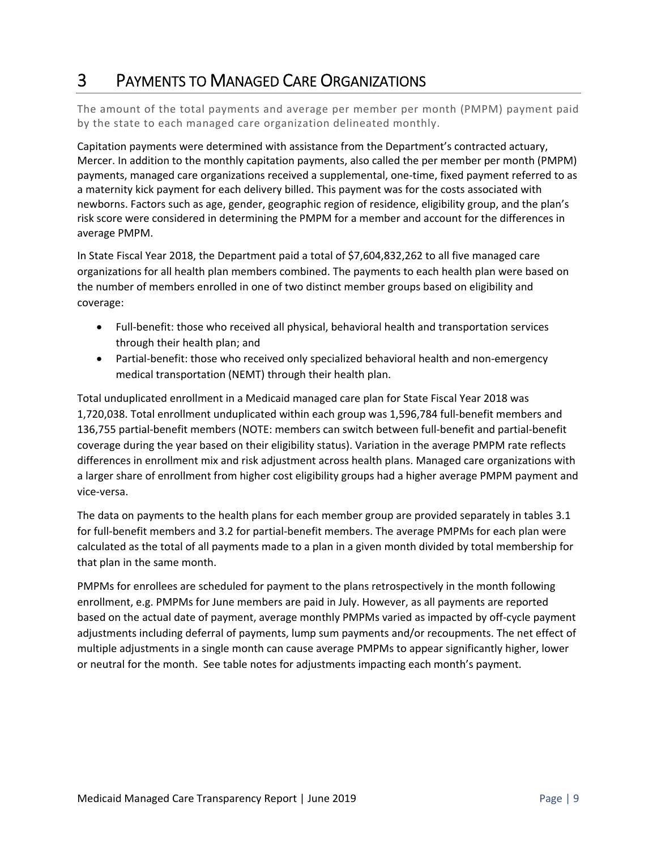## 3 PAYMENTS TO MANAGED CARE ORGANIZATIONS

The amount of the total payments and average per member per month (PMPM) payment paid by the state to each managed care organization delineated monthly.

Capitation payments were determined with assistance from the Department's contracted actuary, Mercer. In addition to the monthly capitation payments, also called the per member per month (PMPM) payments, managed care organizations received a supplemental, one‐time, fixed payment referred to as a maternity kick payment for each delivery billed. This payment was for the costs associated with newborns. Factors such as age, gender, geographic region of residence, eligibility group, and the plan's risk score were considered in determining the PMPM for a member and account for the differences in average PMPM.

In State Fiscal Year 2018, the Department paid a total of \$7,604,832,262 to all five managed care organizations for all health plan members combined. The payments to each health plan were based on the number of members enrolled in one of two distinct member groups based on eligibility and coverage:

- Full-benefit: those who received all physical, behavioral health and transportation services through their health plan; and
- Partial-benefit: those who received only specialized behavioral health and non-emergency medical transportation (NEMT) through their health plan.

Total unduplicated enrollment in a Medicaid managed care plan for State Fiscal Year 2018 was 1,720,038. Total enrollment unduplicated within each group was 1,596,784 full‐benefit members and 136,755 partial‐benefit members (NOTE: members can switch between full‐benefit and partial‐benefit coverage during the year based on their eligibility status). Variation in the average PMPM rate reflects differences in enrollment mix and risk adjustment across health plans. Managed care organizations with a larger share of enrollment from higher cost eligibility groups had a higher average PMPM payment and vice‐versa.

The data on payments to the health plans for each member group are provided separately in tables 3.1 for full-benefit members and 3.2 for partial-benefit members. The average PMPMs for each plan were calculated as the total of all payments made to a plan in a given month divided by total membership for that plan in the same month.

PMPMs for enrollees are scheduled for payment to the plans retrospectively in the month following enrollment, e.g. PMPMs for June members are paid in July. However, as all payments are reported based on the actual date of payment, average monthly PMPMs varied as impacted by off‐cycle payment adjustments including deferral of payments, lump sum payments and/or recoupments. The net effect of multiple adjustments in a single month can cause average PMPMs to appear significantly higher, lower or neutral for the month. See table notes for adjustments impacting each month's payment.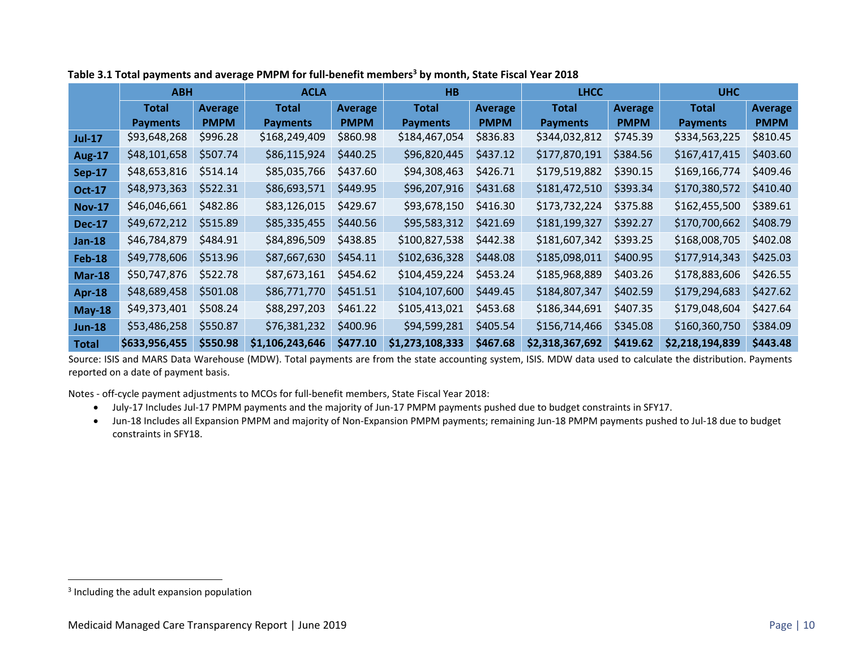|               | <b>ABH</b>      |                | <b>ACLA</b>     |             | HB              |             | <b>LHCC</b>     |                | <b>UHC</b>      |                |
|---------------|-----------------|----------------|-----------------|-------------|-----------------|-------------|-----------------|----------------|-----------------|----------------|
|               | <b>Total</b>    | <b>Average</b> | <b>Total</b>    | Average     | <b>Total</b>    | Average     | <b>Total</b>    | <b>Average</b> | <b>Total</b>    | <b>Average</b> |
|               | <b>Payments</b> | <b>PMPM</b>    | <b>Payments</b> | <b>PMPM</b> | <b>Payments</b> | <b>PMPM</b> | <b>Payments</b> | <b>PMPM</b>    | <b>Payments</b> | <b>PMPM</b>    |
| <b>Jul-17</b> | \$93,648,268    | \$996.28       | \$168,249,409   | \$860.98    | \$184,467,054   | \$836.83    | \$344,032,812   | \$745.39       | \$334,563,225   | \$810.45       |
| <b>Aug-17</b> | \$48,101,658    | \$507.74       | \$86,115,924    | \$440.25    | \$96,820,445    | \$437.12    | \$177,870,191   | \$384.56       | \$167,417,415   | \$403.60       |
| <b>Sep-17</b> | \$48,653,816    | \$514.14       | \$85,035,766    | \$437.60    | \$94,308,463    | \$426.71    | \$179,519,882   | \$390.15       | \$169,166,774   | \$409.46       |
| <b>Oct-17</b> | \$48,973,363    | \$522.31       | \$86,693,571    | \$449.95    | \$96,207,916    | \$431.68    | \$181,472,510   | \$393.34       | \$170,380,572   | \$410.40       |
| <b>Nov-17</b> | \$46,046,661    | \$482.86       | \$83,126,015    | \$429.67    | \$93,678,150    | \$416.30    | \$173,732,224   | \$375.88       | \$162,455,500   | \$389.61       |
| <b>Dec-17</b> | \$49,672,212    | \$515.89       | \$85,335,455    | \$440.56    | \$95,583,312    | \$421.69    | \$181,199,327   | \$392.27       | \$170,700,662   | \$408.79       |
| <b>Jan-18</b> | \$46,784,879    | \$484.91       | \$84,896,509    | \$438.85    | \$100,827,538   | \$442.38    | \$181,607,342   | \$393.25       | \$168,008,705   | \$402.08       |
| <b>Feb-18</b> | \$49,778,606    | \$513.96       | \$87,667,630    | \$454.11    | \$102,636,328   | \$448.08    | \$185,098,011   | \$400.95       | \$177,914,343   | \$425.03       |
| <b>Mar-18</b> | \$50,747,876    | \$522.78       | \$87,673,161    | \$454.62    | \$104,459,224   | \$453.24    | \$185,968,889   | \$403.26       | \$178,883,606   | \$426.55       |
| Apr-18        | \$48,689,458    | \$501.08       | \$86,771,770    | \$451.51    | \$104,107,600   | \$449.45    | \$184,807,347   | \$402.59       | \$179,294,683   | \$427.62       |
| $May-18$      | \$49,373,401    | \$508.24       | \$88,297,203    | \$461.22    | \$105,413,021   | \$453.68    | \$186,344,691   | \$407.35       | \$179,048,604   | \$427.64       |
| $Jun-18$      | \$53,486,258    | \$550.87       | \$76,381,232    | \$400.96    | \$94,599,281    | \$405.54    | \$156,714,466   | \$345.08       | \$160,360,750   | \$384.09       |
| <b>Total</b>  | \$633,956,455   | \$550.98       | \$1,106,243,646 | \$477.10    | \$1,273,108,333 | \$467.68    | \$2,318,367,692 | \$419.62       | \$2,218,194,839 | \$443.48       |

#### **Table 3.1 Total payments and average PMPM for full‐benefit members3 by month, State Fiscal Year 2018**

Source: ISIS and MARS Data Warehouse (MDW). Total payments are from the state accounting system, ISIS. MDW data used to calculate the distribution. Payments reported on a date of payment basis.

Notes ‐ off‐cycle payment adjustments to MCOs for full‐benefit members, State Fiscal Year 2018:

- July-17 Includes Jul-17 PMPM payments and the majority of Jun-17 PMPM payments pushed due to budget constraints in SFY17.
- Jun-18 Includes all Expansion PMPM and majority of Non-Expansion PMPM payments; remaining Jun-18 PMPM payments pushed to Jul-18 due to budget constraints in SFY18.

<sup>&</sup>lt;sup>3</sup> Including the adult expansion population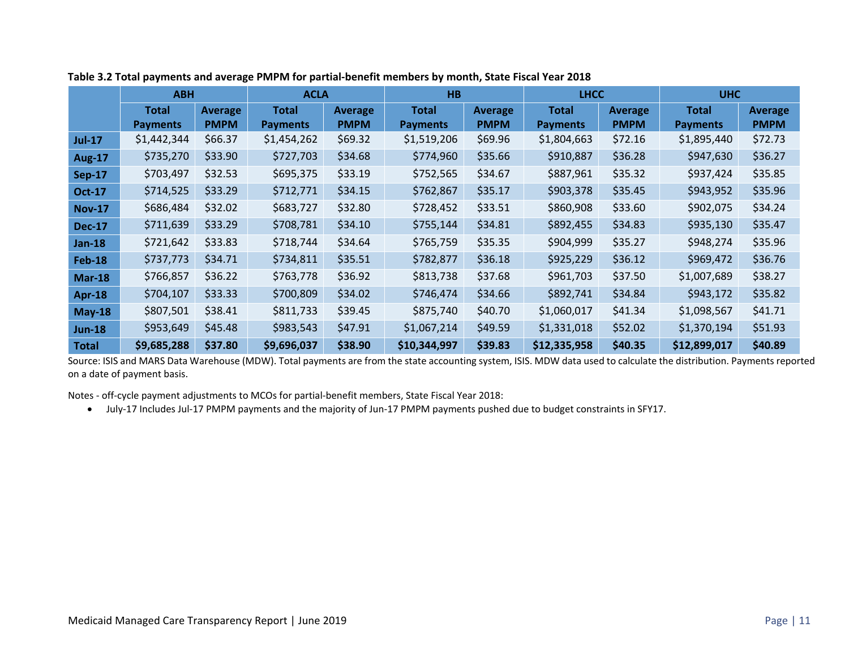|               | <b>ABH</b>      |                | <b>ACLA</b>     |             | HB              |             | <b>LHCC</b>     |         | <b>UHC</b>      |                |
|---------------|-----------------|----------------|-----------------|-------------|-----------------|-------------|-----------------|---------|-----------------|----------------|
|               | <b>Total</b>    | <b>Average</b> | <b>Total</b>    | Average     | Total           | Average     | <b>Total</b>    | Average | Total           | <b>Average</b> |
|               | <b>Payments</b> | <b>PMPM</b>    | <b>Payments</b> | <b>PMPM</b> | <b>Payments</b> | <b>PMPM</b> | <b>Payments</b> | PMPM    | <b>Payments</b> | <b>PMPM</b>    |
| <b>Jul-17</b> | \$1,442,344     | \$66.37        | \$1,454,262     | \$69.32     | \$1,519,206     | \$69.96     | \$1,804,663     | \$72.16 | \$1,895,440     | \$72.73        |
| <b>Aug-17</b> | \$735,270       | \$33.90        | \$727,703       | \$34.68     | \$774,960       | \$35.66     | \$910,887       | \$36.28 | \$947,630       | \$36.27        |
| <b>Sep-17</b> | \$703,497       | \$32.53        | \$695,375       | \$33.19     | \$752,565       | \$34.67     | \$887,961       | \$35.32 | \$937,424       | \$35.85        |
| <b>Oct-17</b> | \$714,525       | \$33.29        | \$712,771       | \$34.15     | \$762,867       | \$35.17     | \$903,378       | \$35.45 | \$943,952       | \$35.96        |
| <b>Nov-17</b> | \$686,484       | \$32.02        | \$683,727       | \$32.80     | \$728,452       | \$33.51     | \$860,908       | \$33.60 | \$902,075       | \$34.24        |
| <b>Dec-17</b> | \$711,639       | \$33.29        | \$708,781       | \$34.10     | \$755,144       | \$34.81     | \$892,455       | \$34.83 | \$935,130       | \$35.47        |
| <b>Jan-18</b> | \$721,642       | \$33.83        | \$718,744       | \$34.64     | \$765,759       | \$35.35     | \$904,999       | \$35.27 | \$948,274       | \$35.96        |
| <b>Feb-18</b> | \$737,773       | \$34.71        | \$734,811       | \$35.51     | \$782,877       | \$36.18     | \$925,229       | \$36.12 | \$969,472       | \$36.76        |
| <b>Mar-18</b> | \$766,857       | \$36.22        | \$763,778       | \$36.92     | \$813,738       | \$37.68     | \$961,703       | \$37.50 | \$1,007,689     | \$38.27        |
| <b>Apr-18</b> | \$704,107       | \$33.33        | \$700,809       | \$34.02     | \$746,474       | \$34.66     | \$892,741       | \$34.84 | \$943,172       | \$35.82        |
| $May-18$      | \$807,501       | \$38.41        | \$811,733       | \$39.45     | \$875,740       | \$40.70     | \$1,060,017     | \$41.34 | \$1,098,567     | \$41.71        |
| $Jun-18$      | \$953,649       | \$45.48        | \$983,543       | \$47.91     | \$1,067,214     | \$49.59     | \$1,331,018     | \$52.02 | \$1,370,194     | \$51.93        |
| <b>Total</b>  | \$9,685,288     | \$37.80        | \$9,696,037     | \$38.90     | \$10,344,997    | \$39.83     | \$12,335,958    | \$40.35 | \$12,899,017    | \$40.89        |

Source: ISIS and MARS Data Warehouse (MDW). Total payments are from the state accounting system, ISIS. MDW data used to calculate the distribution. Payments reported on a date of payment basis.

Notes ‐ off‐cycle payment adjustments to MCOs for partial‐benefit members, State Fiscal Year 2018:

● July-17 Includes Jul-17 PMPM payments and the majority of Jun-17 PMPM payments pushed due to budget constraints in SFY17.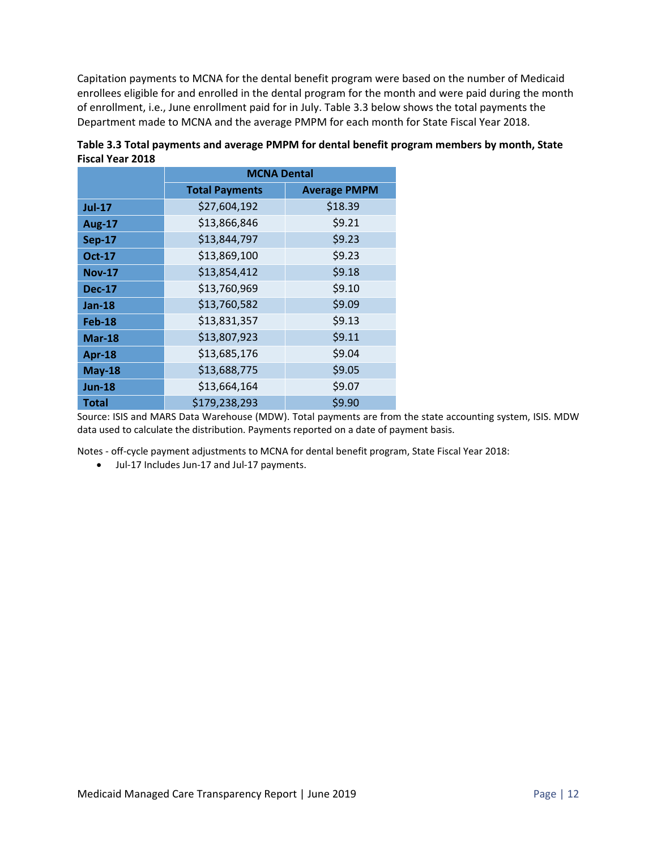Capitation payments to MCNA for the dental benefit program were based on the number of Medicaid enrollees eligible for and enrolled in the dental program for the month and were paid during the month of enrollment, i.e., June enrollment paid for in July. Table 3.3 below shows the total payments the Department made to MCNA and the average PMPM for each month for State Fiscal Year 2018.

|               | <b>MCNA Dental</b>    |                     |  |  |  |  |  |  |
|---------------|-----------------------|---------------------|--|--|--|--|--|--|
|               | <b>Total Payments</b> | <b>Average PMPM</b> |  |  |  |  |  |  |
| <b>Jul-17</b> | \$27,604,192          | \$18.39             |  |  |  |  |  |  |
| <b>Aug-17</b> | \$13,866,846          | \$9.21              |  |  |  |  |  |  |
| <b>Sep-17</b> | \$13,844,797          | \$9.23              |  |  |  |  |  |  |
| <b>Oct-17</b> | \$13,869,100          | \$9.23              |  |  |  |  |  |  |
| <b>Nov-17</b> | \$13,854,412          | \$9.18              |  |  |  |  |  |  |
| <b>Dec-17</b> | \$13,760,969          | \$9.10              |  |  |  |  |  |  |
| $Jan-18$      | \$13,760,582          | \$9.09              |  |  |  |  |  |  |
| Feb-18        | \$13,831,357          | \$9.13              |  |  |  |  |  |  |
| <b>Mar-18</b> | \$13,807,923          | \$9.11              |  |  |  |  |  |  |
| Apr-18        | \$13,685,176          | \$9.04              |  |  |  |  |  |  |
| <b>May-18</b> | \$13,688,775          | \$9.05              |  |  |  |  |  |  |
| <b>Jun-18</b> | \$13,664,164          | \$9.07              |  |  |  |  |  |  |
| <b>Total</b>  | \$179,238,293         | \$9.90              |  |  |  |  |  |  |

**Table 3.3 Total payments and average PMPM for dental benefit program members by month, State Fiscal Year 2018** 

Source: ISIS and MARS Data Warehouse (MDW). Total payments are from the state accounting system, ISIS. MDW data used to calculate the distribution. Payments reported on a date of payment basis.

Notes ‐ off‐cycle payment adjustments to MCNA for dental benefit program, State Fiscal Year 2018:

● Jul-17 Includes Jun-17 and Jul-17 payments.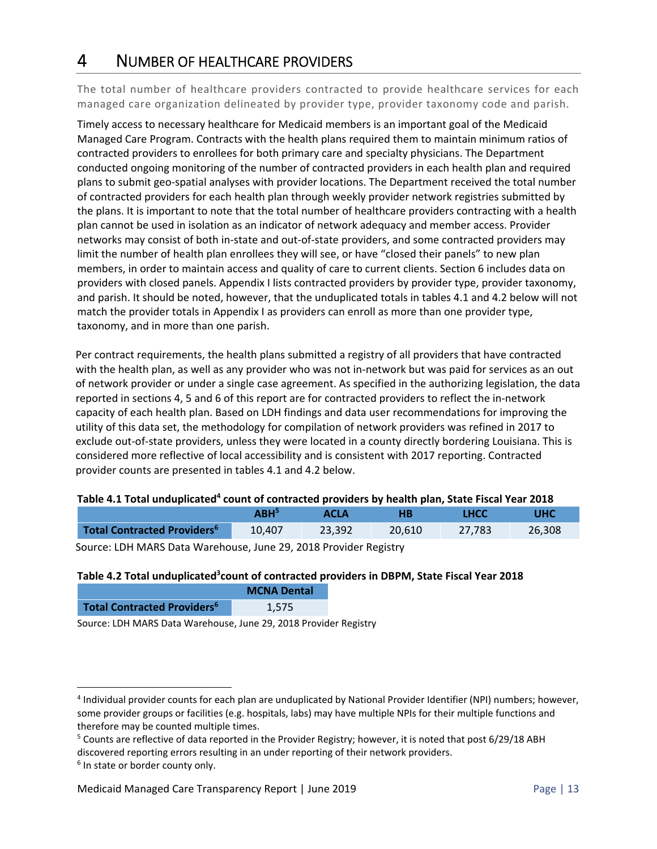### 4 NUMBER OF HEALTHCARE PROVIDERS

The total number of healthcare providers contracted to provide healthcare services for each managed care organization delineated by provider type, provider taxonomy code and parish.

Timely access to necessary healthcare for Medicaid members is an important goal of the Medicaid Managed Care Program. Contracts with the health plans required them to maintain minimum ratios of contracted providers to enrollees for both primary care and specialty physicians. The Department conducted ongoing monitoring of the number of contracted providers in each health plan and required plans to submit geo‐spatial analyses with provider locations. The Department received the total number of contracted providers for each health plan through weekly provider network registries submitted by the plans. It is important to note that the total number of healthcare providers contracting with a health plan cannot be used in isolation as an indicator of network adequacy and member access. Provider networks may consist of both in‐state and out‐of‐state providers, and some contracted providers may limit the number of health plan enrollees they will see, or have "closed their panels" to new plan members, in order to maintain access and quality of care to current clients. Section 6 includes data on providers with closed panels. Appendix I lists contracted providers by provider type, provider taxonomy, and parish. It should be noted, however, that the unduplicated totals in tables 4.1 and 4.2 below will not match the provider totals in Appendix I as providers can enroll as more than one provider type, taxonomy, and in more than one parish.

Per contract requirements, the health plans submitted a registry of all providers that have contracted with the health plan, as well as any provider who was not in‐network but was paid for services as an out of network provider or under a single case agreement. As specified in the authorizing legislation, the data reported in sections 4, 5 and 6 of this report are for contracted providers to reflect the in‐network capacity of each health plan. Based on LDH findings and data user recommendations for improving the utility of this data set, the methodology for compilation of network providers was refined in 2017 to exclude out-of-state providers, unless they were located in a county directly bordering Louisiana. This is considered more reflective of local accessibility and is consistent with 2017 reporting. Contracted provider counts are presented in tables 4.1 and 4.2 below.

#### Table 4.1 Total unduplicated<sup>4</sup> count of contracted providers by health plan, State Fiscal Year 2018

|                                         | $\mathsf{ABH}^5$ | ACLA   | HВ     | <b>LHCC</b> | UHC    |
|-----------------------------------------|------------------|--------|--------|-------------|--------|
| Total Contracted Providers <sup>6</sup> | 10,407           | 23.392 | 20.610 | 27.783      | 26.308 |
| $\sim$                                  |                  |        |        |             |        |

Source: LDH MARS Data Warehouse, June 29, 2018 Provider Registry

#### Table 4.2 Total unduplicated<sup>3</sup>count of contracted providers in DBPM, State Fiscal Year 2018

|                                               | <b>MCNA Dental</b> |
|-----------------------------------------------|--------------------|
| <b>Total Contracted Providers<sup>6</sup></b> | 1,575              |

Source: LDH MARS Data Warehouse, June 29, 2018 Provider Registry

<sup>&</sup>lt;sup>4</sup> Individual provider counts for each plan are unduplicated by National Provider Identifier (NPI) numbers; however, some provider groups or facilities (e.g. hospitals, labs) may have multiple NPIs for their multiple functions and therefore may be counted multiple times.

<sup>&</sup>lt;sup>5</sup> Counts are reflective of data reported in the Provider Registry; however, it is noted that post 6/29/18 ABH discovered reporting errors resulting in an under reporting of their network providers.

<sup>&</sup>lt;sup>6</sup> In state or border county only.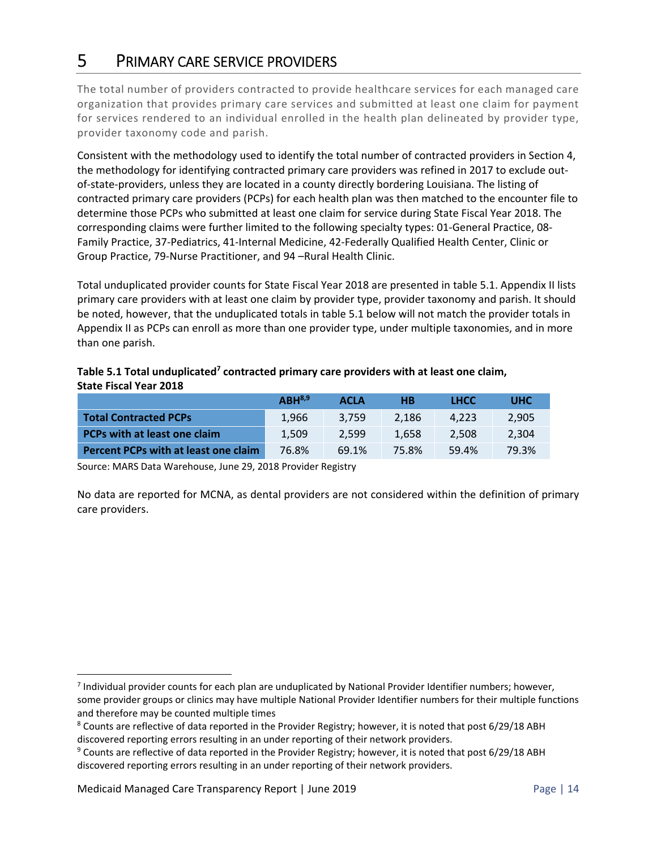### 5 PRIMARY CARE SERVICE PROVIDERS

The total number of providers contracted to provide healthcare services for each managed care organization that provides primary care services and submitted at least one claim for payment for services rendered to an individual enrolled in the health plan delineated by provider type, provider taxonomy code and parish.

Consistent with the methodology used to identify the total number of contracted providers in Section 4, the methodology for identifying contracted primary care providers was refined in 2017 to exclude out‐ of-state-providers, unless they are located in a county directly bordering Louisiana. The listing of contracted primary care providers (PCPs) for each health plan was then matched to the encounter file to determine those PCPs who submitted at least one claim for service during State Fiscal Year 2018. The corresponding claims were further limited to the following specialty types: 01‐General Practice, 08‐ Family Practice, 37‐Pediatrics, 41‐Internal Medicine, 42‐Federally Qualified Health Center, Clinic or Group Practice, 79‐Nurse Practitioner, and 94 –Rural Health Clinic.

Total unduplicated provider counts for State Fiscal Year 2018 are presented in table 5.1. Appendix II lists primary care providers with at least one claim by provider type, provider taxonomy and parish. It should be noted, however, that the unduplicated totals in table 5.1 below will not match the provider totals in Appendix II as PCPs can enroll as more than one provider type, under multiple taxonomies, and in more than one parish.

|                               | Table 5.1 Total unduplicated <sup>7</sup> contracted primary care providers with at least one claim, |
|-------------------------------|------------------------------------------------------------------------------------------------------|
| <b>State Fiscal Year 2018</b> |                                                                                                      |

|                                      | $ABH^{8,9}$ | <b>ACLA</b> | HВ    | <b>LHCC</b> | <b>UHC</b> |
|--------------------------------------|-------------|-------------|-------|-------------|------------|
| <b>Total Contracted PCPs</b>         | 1.966       | 3.759       | 2.186 | 4.223       | 2.905      |
| PCPs with at least one claim         | 1.509       | 2.599       | 1.658 | 2.508       | 2.304      |
| Percent PCPs with at least one claim | 76.8%       | 69.1%       | 75.8% | 59.4%       | 79.3%      |

Source: MARS Data Warehouse, June 29, 2018 Provider Registry

No data are reported for MCNA, as dental providers are not considered within the definition of primary care providers.

<sup>&</sup>lt;sup>7</sup> Individual provider counts for each plan are unduplicated by National Provider Identifier numbers; however, some provider groups or clinics may have multiple National Provider Identifier numbers for their multiple functions and therefore may be counted multiple times

<sup>&</sup>lt;sup>8</sup> Counts are reflective of data reported in the Provider Registry; however, it is noted that post 6/29/18 ABH discovered reporting errors resulting in an under reporting of their network providers.

<sup>&</sup>lt;sup>9</sup> Counts are reflective of data reported in the Provider Registry; however, it is noted that post 6/29/18 ABH discovered reporting errors resulting in an under reporting of their network providers.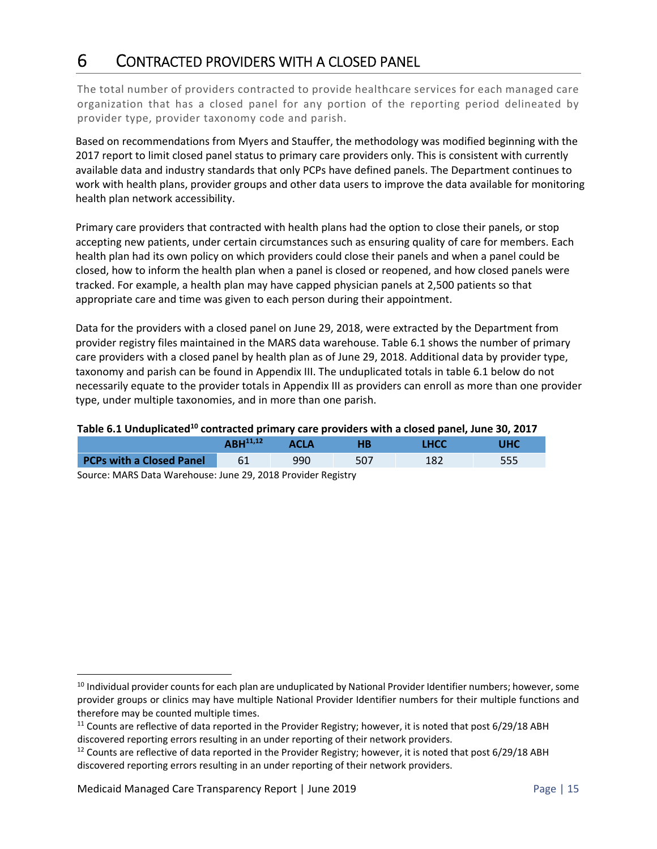### 6 CONTRACTED PROVIDERS WITH A CLOSED PANEL

The total number of providers contracted to provide healthcare services for each managed care organization that has a closed panel for any portion of the reporting period delineated by provider type, provider taxonomy code and parish.

Based on recommendations from Myers and Stauffer, the methodology was modified beginning with the 2017 report to limit closed panel status to primary care providers only. This is consistent with currently available data and industry standards that only PCPs have defined panels. The Department continues to work with health plans, provider groups and other data users to improve the data available for monitoring health plan network accessibility.

Primary care providers that contracted with health plans had the option to close their panels, or stop accepting new patients, under certain circumstances such as ensuring quality of care for members. Each health plan had its own policy on which providers could close their panels and when a panel could be closed, how to inform the health plan when a panel is closed or reopened, and how closed panels were tracked. For example, a health plan may have capped physician panels at 2,500 patients so that appropriate care and time was given to each person during their appointment.

Data for the providers with a closed panel on June 29, 2018, were extracted by the Department from provider registry files maintained in the MARS data warehouse. Table 6.1 shows the number of primary care providers with a closed panel by health plan as of June 29, 2018. Additional data by provider type, taxonomy and parish can be found in Appendix III. The unduplicated totals in table 6.1 below do not necessarily equate to the provider totals in Appendix III as providers can enroll as more than one provider type, under multiple taxonomies, and in more than one parish.

#### Table 6.1 Unduplicated<sup>10</sup> contracted primary care providers with a closed panel, June 30, 2017

|                                 | $\Delta$ RH <sup>11,12</sup> | <b>ACLA</b> | НB  | LHCC |  |  |  |  |
|---------------------------------|------------------------------|-------------|-----|------|--|--|--|--|
| <b>PCPs with a Closed Panel</b> | 61                           | 990         | 507 |      |  |  |  |  |
|                                 |                              |             |     |      |  |  |  |  |

Source: MARS Data Warehouse: June 29, 2018 Provider Registry

<sup>&</sup>lt;sup>10</sup> Individual provider counts for each plan are unduplicated by National Provider Identifier numbers; however, some provider groups or clinics may have multiple National Provider Identifier numbers for their multiple functions and therefore may be counted multiple times.

<sup>&</sup>lt;sup>11</sup> Counts are reflective of data reported in the Provider Registry; however, it is noted that post 6/29/18 ABH discovered reporting errors resulting in an under reporting of their network providers.

<sup>&</sup>lt;sup>12</sup> Counts are reflective of data reported in the Provider Registry; however, it is noted that post 6/29/18 ABH discovered reporting errors resulting in an under reporting of their network providers.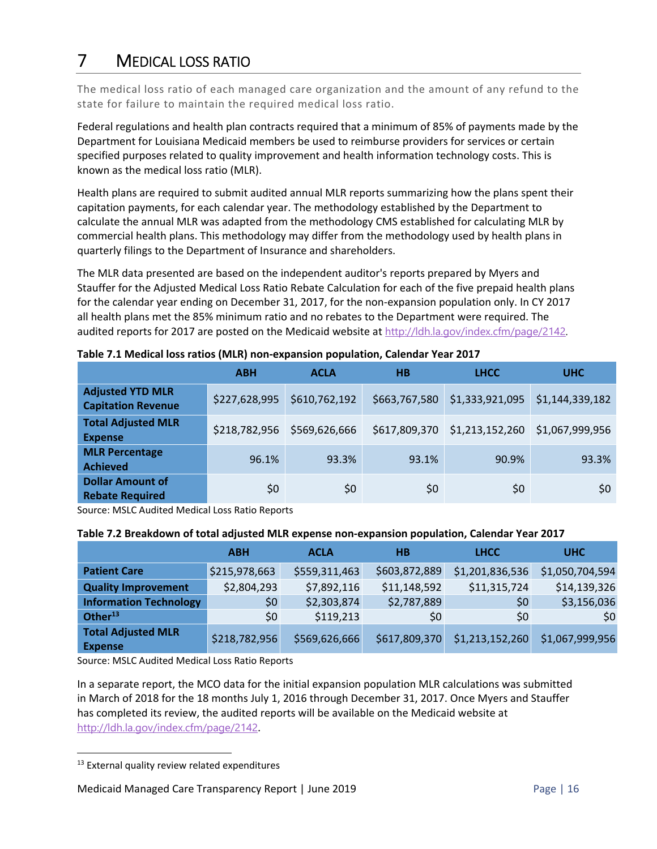## 7 MEDICAL LOSS RATIO

The medical loss ratio of each managed care organization and the amount of any refund to the state for failure to maintain the required medical loss ratio.

Federal regulations and health plan contracts required that a minimum of 85% of payments made by the Department for Louisiana Medicaid members be used to reimburse providers for services or certain specified purposes related to quality improvement and health information technology costs. This is known as the medical loss ratio (MLR).

Health plans are required to submit audited annual MLR reports summarizing how the plans spent their capitation payments, for each calendar year. The methodology established by the Department to calculate the annual MLR was adapted from the methodology CMS established for calculating MLR by commercial health plans. This methodology may differ from the methodology used by health plans in quarterly filings to the Department of Insurance and shareholders.

The MLR data presented are based on the independent auditor's reports prepared by Myers and Stauffer for the Adjusted Medical Loss Ratio Rebate Calculation for each of the five prepaid health plans for the calendar year ending on December 31, 2017, for the non‐expansion population only. In CY 2017 all health plans met the 85% minimum ratio and no rebates to the Department were required. The audited reports for 2017 are posted on the Medicaid website at http://ldh.la.gov/index.cfm/page/2142.

|                                                      | <b>ABH</b>    | <b>ACLA</b>   | <b>HB</b>     | <b>LHCC</b>     | <b>UHC</b>      |  |  |  |  |
|------------------------------------------------------|---------------|---------------|---------------|-----------------|-----------------|--|--|--|--|
| <b>Adjusted YTD MLR</b><br><b>Capitation Revenue</b> | \$227,628,995 | \$610,762,192 | \$663,767,580 | \$1,333,921,095 | \$1,144,339,182 |  |  |  |  |
| <b>Total Adjusted MLR</b><br><b>Expense</b>          | \$218,782,956 | \$569,626,666 | \$617,809,370 | \$1,213,152,260 | \$1,067,999,956 |  |  |  |  |
| <b>MLR Percentage</b><br><b>Achieved</b>             | 96.1%         | 93.3%         | 93.1%         | 90.9%           | 93.3%           |  |  |  |  |
| <b>Dollar Amount of</b><br><b>Rebate Required</b>    | \$0           | \$0           | \$0           | \$0             | \$0             |  |  |  |  |

#### **Table 7.1 Medical loss ratios (MLR) non‐expansion population, Calendar Year 2017**

Source: MSLC Audited Medical Loss Ratio Reports

#### **Table 7.2 Breakdown of total adjusted MLR expense non‐expansion population, Calendar Year 2017**

|                                             | <b>ABH</b>    | <b>ACLA</b>   | НB            | <b>LHCC</b>     | <b>UHC</b>      |
|---------------------------------------------|---------------|---------------|---------------|-----------------|-----------------|
| <b>Patient Care</b>                         | \$215,978,663 | \$559,311,463 | \$603,872,889 | \$1,201,836,536 | \$1,050,704,594 |
| <b>Quality Improvement</b>                  | \$2,804,293   | \$7,892,116   | \$11,148,592  | \$11,315,724    | \$14,139,326    |
| <b>Information Technology</b>               | \$0           | \$2,303,874   | \$2,787,889   | \$0             | \$3,156,036     |
| Other $13$                                  | \$0\$         | \$119,213     | \$0           | \$0             | \$0             |
| <b>Total Adjusted MLR</b><br><b>Expense</b> | \$218,782,956 | \$569,626,666 | \$617,809,370 | \$1,213,152,260 | \$1,067,999,956 |

Source: MSLC Audited Medical Loss Ratio Reports

In a separate report, the MCO data for the initial expansion population MLR calculations was submitted in March of 2018 for the 18 months July 1, 2016 through December 31, 2017. Once Myers and Stauffer has completed its review, the audited reports will be available on the Medicaid website at http://ldh.la.gov/index.cfm/page/2142.

<sup>&</sup>lt;sup>13</sup> External quality review related expenditures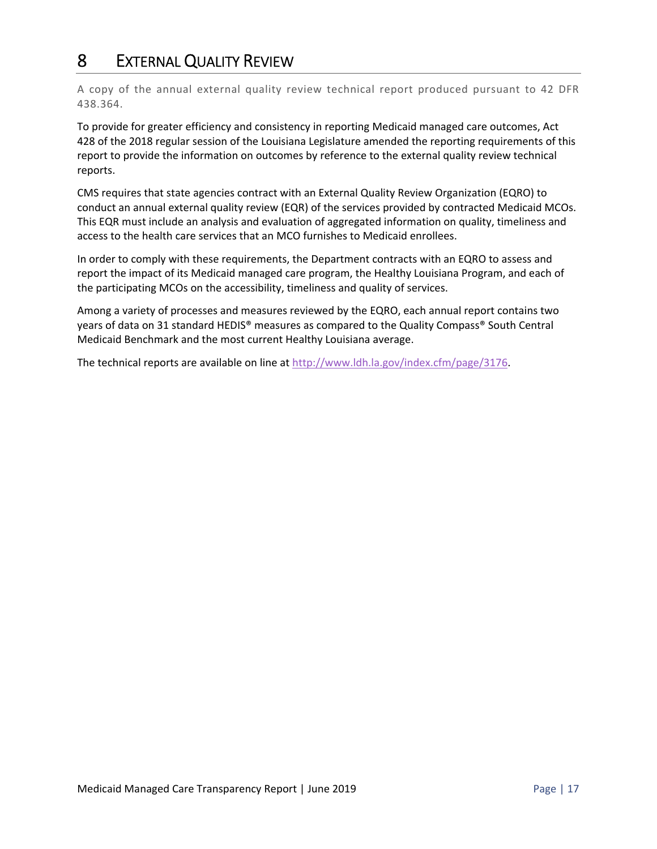### 8 EXTERNAL QUALITY REVIEW

A copy of the annual external quality review technical report produced pursuant to 42 DFR 438.364.

To provide for greater efficiency and consistency in reporting Medicaid managed care outcomes, Act 428 of the 2018 regular session of the Louisiana Legislature amended the reporting requirements of this report to provide the information on outcomes by reference to the external quality review technical reports.

CMS requires that state agencies contract with an External Quality Review Organization (EQRO) to conduct an annual external quality review (EQR) of the services provided by contracted Medicaid MCOs. This EQR must include an analysis and evaluation of aggregated information on quality, timeliness and access to the health care services that an MCO furnishes to Medicaid enrollees.

In order to comply with these requirements, the Department contracts with an EQRO to assess and report the impact of its Medicaid managed care program, the Healthy Louisiana Program, and each of the participating MCOs on the accessibility, timeliness and quality of services.

Among a variety of processes and measures reviewed by the EQRO, each annual report contains two years of data on 31 standard HEDIS® measures as compared to the Quality Compass® South Central Medicaid Benchmark and the most current Healthy Louisiana average.

The technical reports are available on line at http://www.ldh.la.gov/index.cfm/page/3176.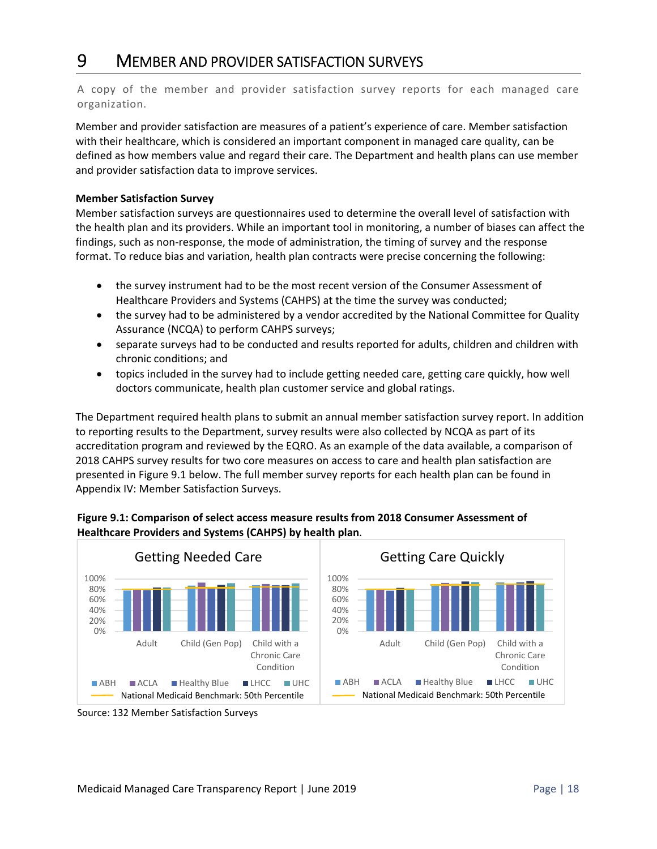### 9 MEMBER AND PROVIDER SATISFACTION SURVEYS

A copy of the member and provider satisfaction survey reports for each managed care organization.

Member and provider satisfaction are measures of a patient's experience of care. Member satisfaction with their healthcare, which is considered an important component in managed care quality, can be defined as how members value and regard their care. The Department and health plans can use member and provider satisfaction data to improve services.

#### **Member Satisfaction Survey**

Member satisfaction surveys are questionnaires used to determine the overall level of satisfaction with the health plan and its providers. While an important tool in monitoring, a number of biases can affect the findings, such as non-response, the mode of administration, the timing of survey and the response format. To reduce bias and variation, health plan contracts were precise concerning the following:

- the survey instrument had to be the most recent version of the Consumer Assessment of Healthcare Providers and Systems (CAHPS) at the time the survey was conducted;
- the survey had to be administered by a vendor accredited by the National Committee for Quality Assurance (NCQA) to perform CAHPS surveys;
- separate surveys had to be conducted and results reported for adults, children and children with chronic conditions; and
- topics included in the survey had to include getting needed care, getting care quickly, how well doctors communicate, health plan customer service and global ratings.

The Department required health plans to submit an annual member satisfaction survey report. In addition to reporting results to the Department, survey results were also collected by NCQA as part of its accreditation program and reviewed by the EQRO. As an example of the data available, a comparison of 2018 CAHPS survey results for two core measures on access to care and health plan satisfaction are presented in Figure 9.1 below. The full member survey reports for each health plan can be found in Appendix IV: Member Satisfaction Surveys.





Source: 132 Member Satisfaction Surveys

Chronic Care Condition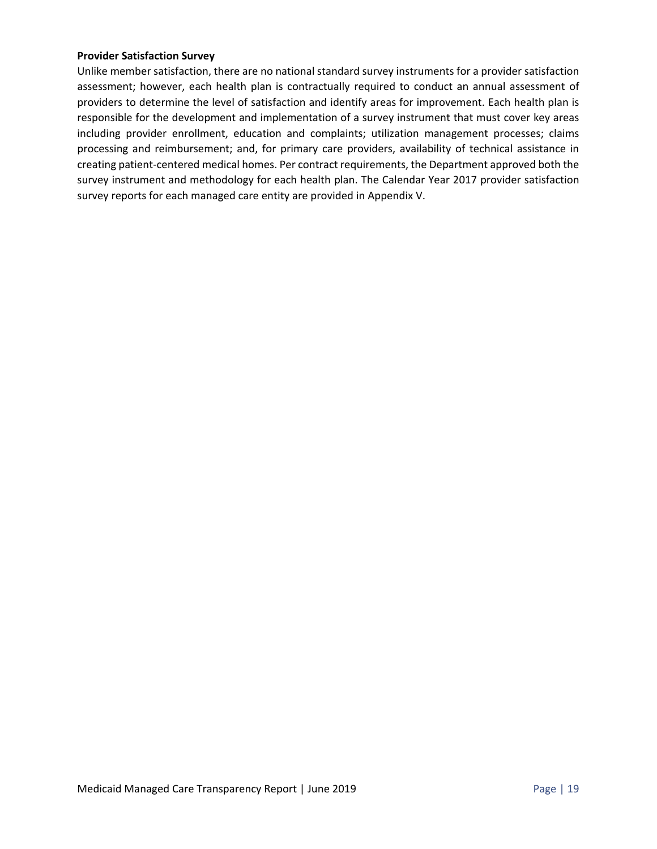#### **Provider Satisfaction Survey**

Unlike member satisfaction, there are no national standard survey instruments for a provider satisfaction assessment; however, each health plan is contractually required to conduct an annual assessment of providers to determine the level of satisfaction and identify areas for improvement. Each health plan is responsible for the development and implementation of a survey instrument that must cover key areas including provider enrollment, education and complaints; utilization management processes; claims processing and reimbursement; and, for primary care providers, availability of technical assistance in creating patient‐centered medical homes. Per contract requirements, the Department approved both the survey instrument and methodology for each health plan. The Calendar Year 2017 provider satisfaction survey reports for each managed care entity are provided in Appendix V.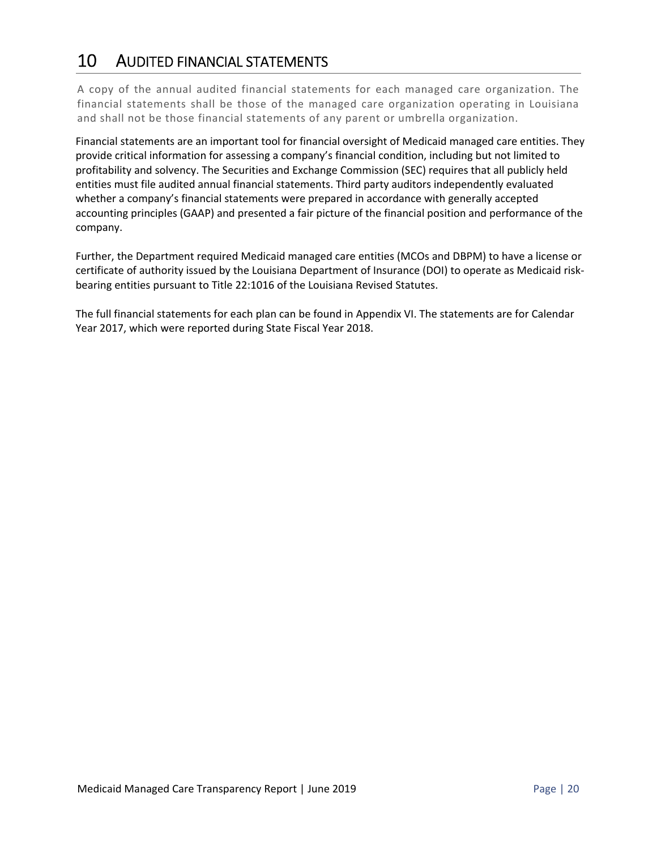### 10 AUDITED FINANCIAL STATEMENTS

A copy of the annual audited financial statements for each managed care organization. The financial statements shall be those of the managed care organization operating in Louisiana and shall not be those financial statements of any parent or umbrella organization.

Financial statements are an important tool for financial oversight of Medicaid managed care entities. They provide critical information for assessing a company's financial condition, including but not limited to profitability and solvency. The Securities and Exchange Commission (SEC) requires that all publicly held entities must file audited annual financial statements. Third party auditors independently evaluated whether a company's financial statements were prepared in accordance with generally accepted accounting principles (GAAP) and presented a fair picture of the financial position and performance of the company.

Further, the Department required Medicaid managed care entities (MCOs and DBPM) to have a license or certificate of authority issued by the Louisiana Department of Insurance (DOI) to operate as Medicaid risk‐ bearing entities pursuant to Title 22:1016 of the Louisiana Revised Statutes.

The full financial statements for each plan can be found in Appendix VI. The statements are for Calendar Year 2017, which were reported during State Fiscal Year 2018.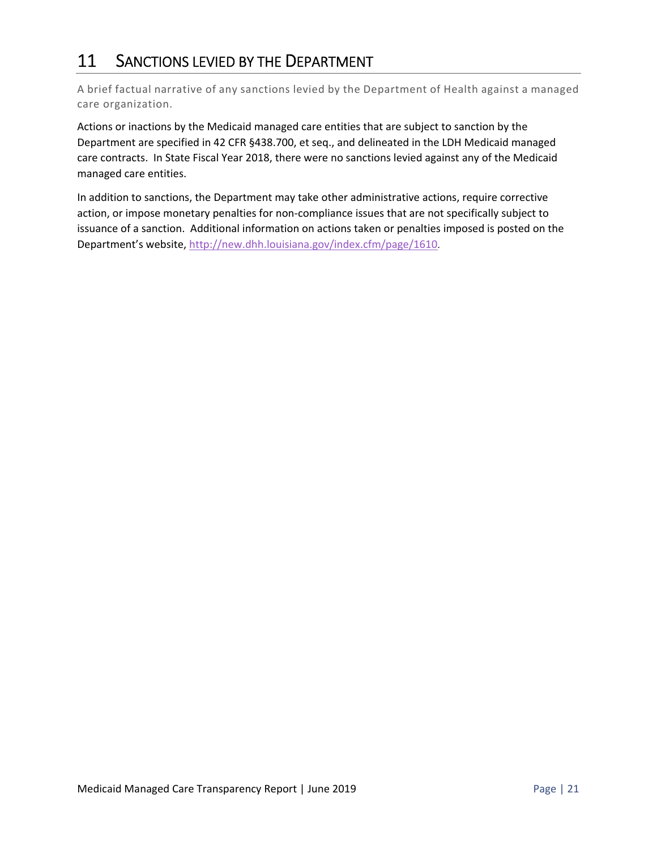### 11 SANCTIONS LEVIED BY THE DEPARTMENT

A brief factual narrative of any sanctions levied by the Department of Health against a managed care organization.

Actions or inactions by the Medicaid managed care entities that are subject to sanction by the Department are specified in 42 CFR §438.700, et seq., and delineated in the LDH Medicaid managed care contracts. In State Fiscal Year 2018, there were no sanctions levied against any of the Medicaid managed care entities.

In addition to sanctions, the Department may take other administrative actions, require corrective action, or impose monetary penalties for non‐compliance issues that are not specifically subject to issuance of a sanction. Additional information on actions taken or penalties imposed is posted on the Department's website, http://new.dhh.louisiana.gov/index.cfm/page/1610.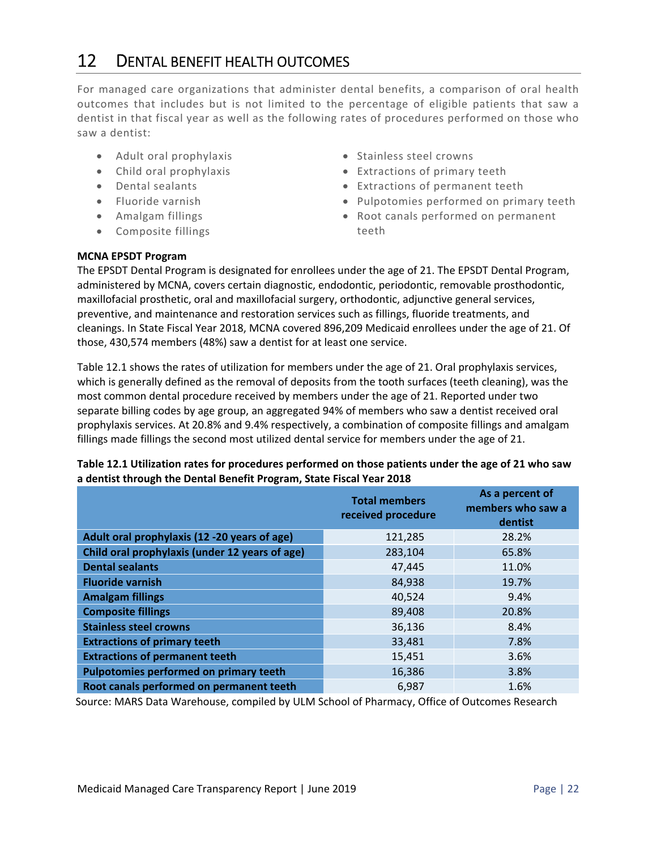### 12 DENTAL BENEFIT HEALTH OUTCOMES

For managed care organizations that administer dental benefits, a comparison of oral health outcomes that includes but is not limited to the percentage of eligible patients that saw a dentist in that fiscal year as well as the following rates of procedures performed on those who saw a dentist:

- Adult oral prophylaxis
- Child oral prophylaxis
- Dental sealants
- Fluoride varnish
- Amalgam fillings
- Composite fillings
- Stainless steel crowns
- Extractions of primary teeth
- Extractions of permanent teeth
- Pulpotomies performed on primary teeth
- Root canals performed on permanent teeth

#### **MCNA EPSDT Program**

The EPSDT Dental Program is designated for enrollees under the age of 21. The EPSDT Dental Program, administered by MCNA, covers certain diagnostic, endodontic, periodontic, removable prosthodontic, maxillofacial prosthetic, oral and maxillofacial surgery, orthodontic, adjunctive general services, preventive, and maintenance and restoration services such as fillings, fluoride treatments, and cleanings. In State Fiscal Year 2018, MCNA covered 896,209 Medicaid enrollees under the age of 21. Of those, 430,574 members (48%) saw a dentist for at least one service.

Table 12.1 shows the rates of utilization for members under the age of 21. Oral prophylaxis services, which is generally defined as the removal of deposits from the tooth surfaces (teeth cleaning), was the most common dental procedure received by members under the age of 21. Reported under two separate billing codes by age group, an aggregated 94% of members who saw a dentist received oral prophylaxis services. At 20.8% and 9.4% respectively, a combination of composite fillings and amalgam fillings made fillings the second most utilized dental service for members under the age of 21.

|                                                | <b>Total members</b><br>received procedure | As a percent of<br>members who saw a<br>dentist |
|------------------------------------------------|--------------------------------------------|-------------------------------------------------|
| Adult oral prophylaxis (12 -20 years of age)   | 121,285                                    | 28.2%                                           |
| Child oral prophylaxis (under 12 years of age) | 283,104                                    | 65.8%                                           |
| <b>Dental sealants</b>                         | 47,445                                     | 11.0%                                           |
| <b>Fluoride varnish</b>                        | 84,938                                     | 19.7%                                           |
| <b>Amalgam fillings</b>                        | 40,524                                     | 9.4%                                            |
| <b>Composite fillings</b>                      | 89,408                                     | 20.8%                                           |
| <b>Stainless steel crowns</b>                  | 36,136                                     | 8.4%                                            |
| <b>Extractions of primary teeth</b>            | 33,481                                     | 7.8%                                            |
| <b>Extractions of permanent teeth</b>          | 15,451                                     | 3.6%                                            |
| Pulpotomies performed on primary teeth         | 16,386                                     | 3.8%                                            |
| Root canals performed on permanent teeth       | 6,987                                      | 1.6%                                            |

#### **Table 12.1 Utilization rates for procedures performed on those patients under the age of 21 who saw a dentist through the Dental Benefit Program, State Fiscal Year 2018**

Source: MARS Data Warehouse, compiled by ULM School of Pharmacy, Office of Outcomes Research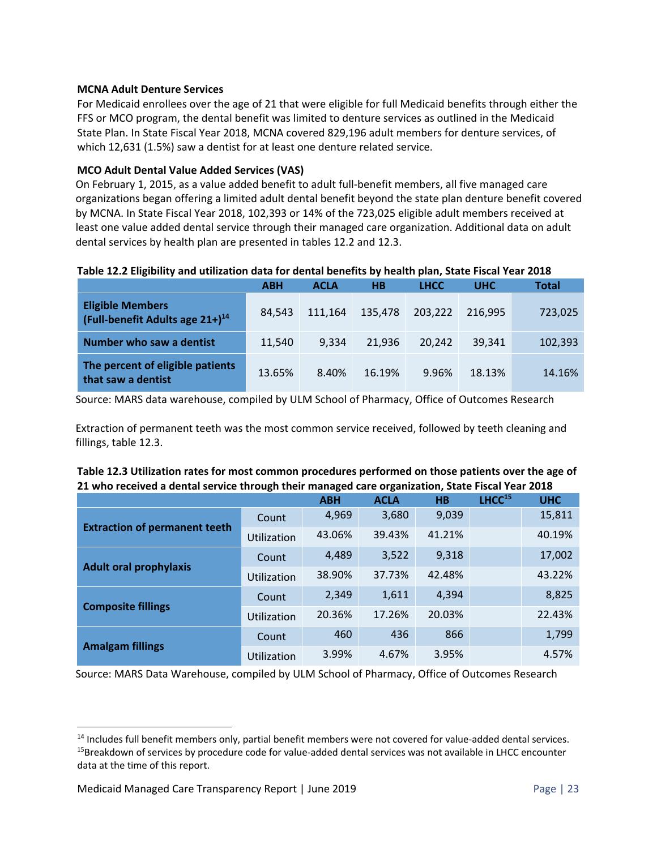#### **MCNA Adult Denture Services**

For Medicaid enrollees over the age of 21 that were eligible for full Medicaid benefits through either the FFS or MCO program, the dental benefit was limited to denture services as outlined in the Medicaid State Plan. In State Fiscal Year 2018, MCNA covered 829,196 adult members for denture services, of which 12,631 (1.5%) saw a dentist for at least one denture related service.

#### **MCO Adult Dental Value Added Services (VAS)**

On February 1, 2015, as a value added benefit to adult full‐benefit members, all five managed care organizations began offering a limited adult dental benefit beyond the state plan denture benefit covered by MCNA. In State Fiscal Year 2018, 102,393 or 14% of the 723,025 eligible adult members received at least one value added dental service through their managed care organization. Additional data on adult dental services by health plan are presented in tables 12.2 and 12.3.

#### **Table 12.2 Eligibility and utilization data for dental benefits by health plan, State Fiscal Year 2018**

|                                                                 | <b>ABH</b> | <b>ACLA</b> | HВ      | <b>LHCC</b> | <b>UHC</b> | Total   |
|-----------------------------------------------------------------|------------|-------------|---------|-------------|------------|---------|
| <b>Eligible Members</b><br>(Full-benefit Adults age $21+1^{14}$ | 84.543     | 111.164     | 135,478 | 203,222     | 216.995    | 723,025 |
| Number who saw a dentist                                        | 11.540     | 9.334       | 21.936  | 20.242      | 39,341     | 102,393 |
| The percent of eligible patients<br>that saw a dentist          | 13.65%     | 8.40%       | 16.19%  | 9.96%       | 18.13%     | 14.16%  |

Source: MARS data warehouse, compiled by ULM School of Pharmacy, Office of Outcomes Research

Extraction of permanent teeth was the most common service received, followed by teeth cleaning and fillings, table 12.3.

| Table 12.3 Utilization rates for most common procedures performed on those patients over the age of |
|-----------------------------------------------------------------------------------------------------|
| 21 who received a dental service through their managed care organization, State Fiscal Year 2018    |

|                                      |             | <b>ABH</b> | <b>ACLA</b> | <b>HB</b> | LHCC <sup>15</sup> | <b>UHC</b> |
|--------------------------------------|-------------|------------|-------------|-----------|--------------------|------------|
| <b>Extraction of permanent teeth</b> | Count       | 4,969      | 3,680       | 9,039     |                    | 15,811     |
|                                      | Utilization | 43.06%     | 39.43%      | 41.21%    |                    | 40.19%     |
| <b>Adult oral prophylaxis</b>        | Count       | 4,489      | 3,522       | 9,318     |                    | 17,002     |
|                                      | Utilization | 38.90%     | 37.73%      | 42.48%    |                    | 43.22%     |
| <b>Composite fillings</b>            | Count       | 2,349      | 1,611       | 4,394     |                    | 8,825      |
|                                      | Utilization | 20.36%     | 17.26%      | 20.03%    |                    | 22.43%     |
| <b>Amalgam fillings</b>              | Count       | 460        | 436         | 866       |                    | 1,799      |
|                                      | Utilization | 3.99%      | 4.67%       | 3.95%     |                    | 4.57%      |

Source: MARS Data Warehouse, compiled by ULM School of Pharmacy, Office of Outcomes Research

<sup>&</sup>lt;sup>14</sup> Includes full benefit members only, partial benefit members were not covered for value-added dental services. <sup>15</sup>Breakdown of services by procedure code for value-added dental services was not available in LHCC encounter data at the time of this report.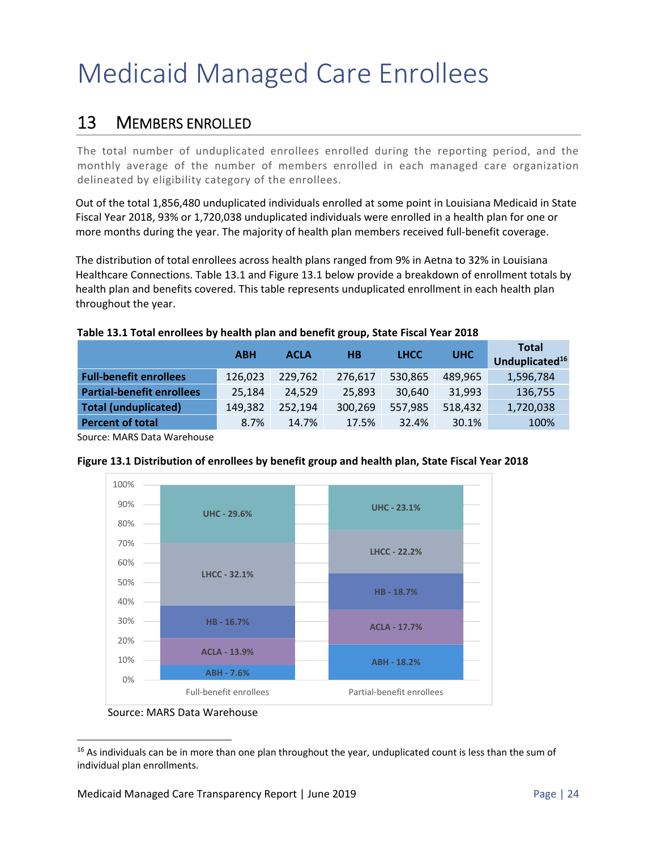# Medicaid Managed Care Enrollees

### 13 MEMBERS ENROLLED

The total number of unduplicated enrollees enrolled during the reporting period, and the monthly average of the number of members enrolled in each managed care organization delineated by eligibility category of the enrollees.

Out of the total 1,856,480 unduplicated individuals enrolled at some point in Louisiana Medicaid in State Fiscal Year 2018, 93% or 1,720,038 unduplicated individuals were enrolled in a health plan for one or more months during the year. The majority of health plan members received full-benefit coverage.

The distribution of total enrollees across health plans ranged from 9% in Aetna to 32% in Louisiana Healthcare Connections. Table 13.1 and Figure 13.1 below provide a breakdown of enrollment totals by health plan and benefits covered. This table represents unduplicated enrollment in each health plan throughout the year.

|                                  | <b>ABH</b> | <b>ACLA</b> | HВ      | <b>LHCC</b> | <b>UHC</b> | <b>Total</b><br>Unduplicated <sup>16</sup> |
|----------------------------------|------------|-------------|---------|-------------|------------|--------------------------------------------|
| <b>Full-benefit enrollees</b>    | 126,023    | 229.762     | 276,617 | 530,865     | 489,965    | 1,596,784                                  |
| <b>Partial-benefit enrollees</b> | 25,184     | 24,529      | 25,893  | 30,640      | 31,993     | 136,755                                    |
| <b>Total (unduplicated)</b>      | 149,382    | 252,194     | 300,269 | 557,985     | 518,432    | 1,720,038                                  |
| <b>Percent of total</b>          | 8.7%       | 14.7%       | 17.5%   | 32.4%       | 30.1%      | 100%                                       |

Source: MARS Data Warehouse



#### **Figure 13.1 Distribution of enrollees by benefit group and health plan, State Fiscal Year 2018**

Source: MARS Data Warehouse

 <sup>16</sup> As individuals can be in more than one plan throughout the year, unduplicated count is less than the sum of individual plan enrollments.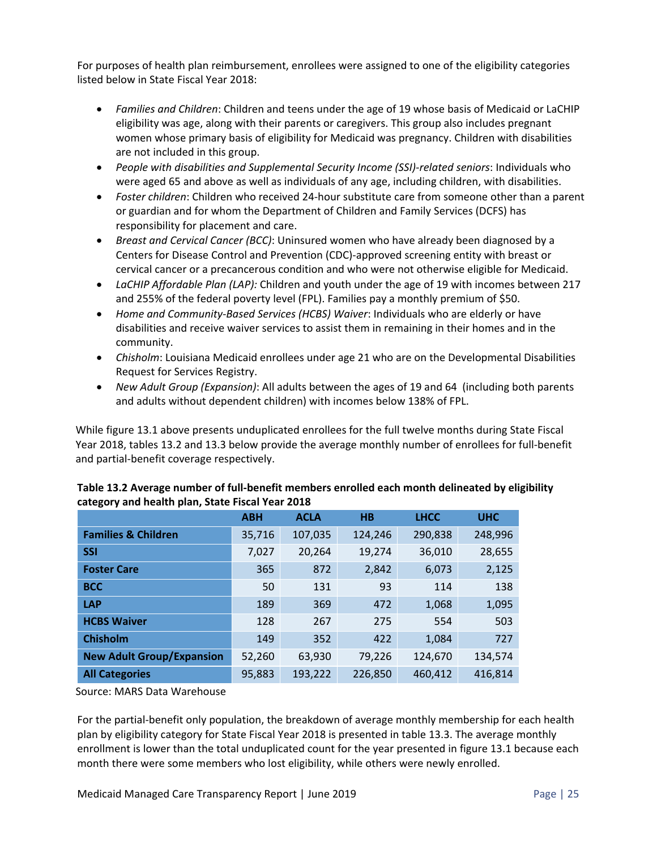For purposes of health plan reimbursement, enrollees were assigned to one of the eligibility categories listed below in State Fiscal Year 2018:

- *Families and Children*: Children and teens under the age of 19 whose basis of Medicaid or LaCHIP eligibility was age, along with their parents or caregivers. This group also includes pregnant women whose primary basis of eligibility for Medicaid was pregnancy. Children with disabilities are not included in this group.
- *People with disabilities and Supplemental Security Income (SSI)‐related seniors*: Individuals who were aged 65 and above as well as individuals of any age, including children, with disabilities.
- *Foster children*: Children who received 24‐hour substitute care from someone other than a parent or guardian and for whom the Department of Children and Family Services (DCFS) has responsibility for placement and care.
- *Breast and Cervical Cancer (BCC)*: Uninsured women who have already been diagnosed by a Centers for Disease Control and Prevention (CDC)‐approved screening entity with breast or cervical cancer or a precancerous condition and who were not otherwise eligible for Medicaid.
- *LaCHIP Affordable Plan (LAP):* Children and youth under the age of 19 with incomes between 217 and 255% of the federal poverty level (FPL). Families pay a monthly premium of \$50.
- *Home and Community‐Based Services (HCBS) Waiver*: Individuals who are elderly or have disabilities and receive waiver services to assist them in remaining in their homes and in the community.
- *Chisholm*: Louisiana Medicaid enrollees under age 21 who are on the Developmental Disabilities Request for Services Registry.
- *New Adult Group (Expansion)*: All adults between the ages of 19 and 64 (including both parents and adults without dependent children) with incomes below 138% of FPL.

While figure 13.1 above presents unduplicated enrollees for the full twelve months during State Fiscal Year 2018, tables 13.2 and 13.3 below provide the average monthly number of enrollees for full‐benefit and partial‐benefit coverage respectively.

|                                  | <b>ABH</b> | <b>ACLA</b> | <b>HB</b> | <b>LHCC</b> | <b>UHC</b> |
|----------------------------------|------------|-------------|-----------|-------------|------------|
| <b>Families &amp; Children</b>   | 35,716     | 107,035     | 124,246   | 290,838     | 248,996    |
| <b>SSI</b>                       | 7,027      | 20,264      | 19,274    | 36,010      | 28,655     |
| <b>Foster Care</b>               | 365        | 872         | 2,842     | 6,073       | 2,125      |
| <b>BCC</b>                       | 50         | 131         | 93        | 114         | 138        |
| <b>LAP</b>                       | 189        | 369         | 472       | 1,068       | 1,095      |
| <b>HCBS Waiver</b>               | 128        | 267         | 275       | 554         | 503        |
| <b>Chisholm</b>                  | 149        | 352         | 422       | 1,084       | 727        |
| <b>New Adult Group/Expansion</b> | 52,260     | 63,930      | 79,226    | 124,670     | 134,574    |
| <b>All Categories</b>            | 95,883     | 193,222     | 226,850   | 460,412     | 416,814    |

#### **Table 13.2 Average number of full‐benefit members enrolled each month delineated by eligibility category and health plan, State Fiscal Year 2018**

Source: MARS Data Warehouse

For the partial-benefit only population, the breakdown of average monthly membership for each health plan by eligibility category for State Fiscal Year 2018 is presented in table 13.3. The average monthly enrollment is lower than the total unduplicated count for the year presented in figure 13.1 because each month there were some members who lost eligibility, while others were newly enrolled.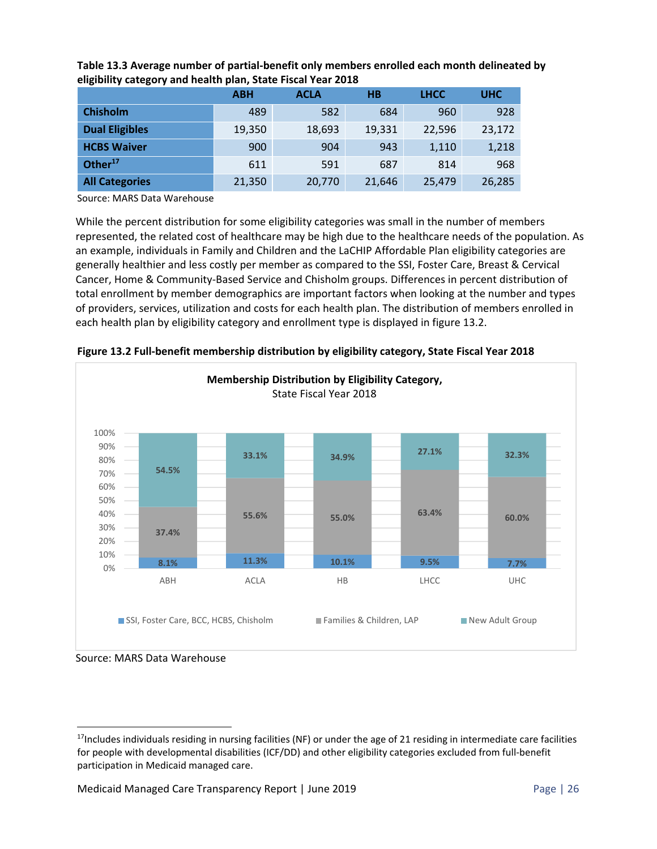|                       | <b>ABH</b> | <b>ACLA</b> | H <sub>B</sub> | <b>LHCC</b> | <b>UHC</b> |  |  |  |  |
|-----------------------|------------|-------------|----------------|-------------|------------|--|--|--|--|
| <b>Chisholm</b>       | 489        | 582         | 684            | 960         | 928        |  |  |  |  |
| <b>Dual Eligibles</b> | 19,350     | 18,693      | 19,331         | 22,596      | 23,172     |  |  |  |  |
| <b>HCBS Waiver</b>    | 900        | 904         | 943            | 1,110       | 1,218      |  |  |  |  |
| Other $17$            | 611        | 591         | 687            | 814         | 968        |  |  |  |  |
| <b>All Categories</b> | 21,350     | 20,770      | 21,646         | 25,479      | 26,285     |  |  |  |  |

**Table 13.3 Average number of partial‐benefit only members enrolled each month delineated by eligibility category and health plan, State Fiscal Year 2018** 

Source: MARS Data Warehouse

While the percent distribution for some eligibility categories was small in the number of members represented, the related cost of healthcare may be high due to the healthcare needs of the population. As an example, individuals in Family and Children and the LaCHIP Affordable Plan eligibility categories are generally healthier and less costly per member as compared to the SSI, Foster Care, Breast & Cervical Cancer, Home & Community‐Based Service and Chisholm groups. Differences in percent distribution of total enrollment by member demographics are important factors when looking at the number and types of providers, services, utilization and costs for each health plan. The distribution of members enrolled in each health plan by eligibility category and enrollment type is displayed in figure 13.2.



**Figure 13.2 Full‐benefit membership distribution by eligibility category, State Fiscal Year 2018** 

Source: MARS Data Warehouse

 $17$ Includes individuals residing in nursing facilities (NF) or under the age of 21 residing in intermediate care facilities for people with developmental disabilities (ICF/DD) and other eligibility categories excluded from full‐benefit participation in Medicaid managed care.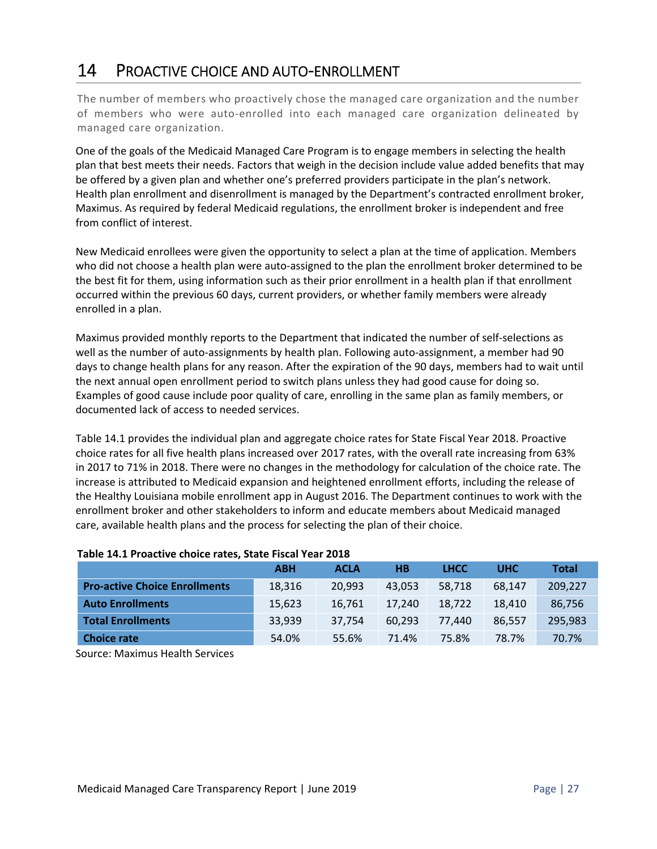## 14 PROACTIVE CHOICE AND AUTO‐ENROLLMENT

The number of members who proactively chose the managed care organization and the number of members who were auto-enrolled into each managed care organization delineated by managed care organization.

One of the goals of the Medicaid Managed Care Program is to engage members in selecting the health plan that best meets their needs. Factors that weigh in the decision include value added benefits that may be offered by a given plan and whether one's preferred providers participate in the plan's network. Health plan enrollment and disenrollment is managed by the Department's contracted enrollment broker, Maximus. As required by federal Medicaid regulations, the enrollment broker is independent and free from conflict of interest.

New Medicaid enrollees were given the opportunity to select a plan at the time of application. Members who did not choose a health plan were auto-assigned to the plan the enrollment broker determined to be the best fit for them, using information such as their prior enrollment in a health plan if that enrollment occurred within the previous 60 days, current providers, or whether family members were already enrolled in a plan.

Maximus provided monthly reports to the Department that indicated the number of self‐selections as well as the number of auto-assignments by health plan. Following auto-assignment, a member had 90 days to change health plans for any reason. After the expiration of the 90 days, members had to wait until the next annual open enrollment period to switch plans unless they had good cause for doing so. Examples of good cause include poor quality of care, enrolling in the same plan as family members, or documented lack of access to needed services.

Table 14.1 provides the individual plan and aggregate choice rates for State Fiscal Year 2018. Proactive choice rates for all five health plans increased over 2017 rates, with the overall rate increasing from 63% in 2017 to 71% in 2018. There were no changes in the methodology for calculation of the choice rate. The increase is attributed to Medicaid expansion and heightened enrollment efforts, including the release of the Healthy Louisiana mobile enrollment app in August 2016. The Department continues to work with the enrollment broker and other stakeholders to inform and educate members about Medicaid managed care, available health plans and the process for selecting the plan of their choice.

|                                                         | <b>ABH</b> | <b>ACLA</b> | <b>HB</b> | <b>LHCC</b> | <b>UHC</b> | <b>Total</b> |  |  |  |
|---------------------------------------------------------|------------|-------------|-----------|-------------|------------|--------------|--|--|--|
| <b>Pro-active Choice Enrollments</b>                    | 18,316     | 20,993      | 43,053    | 58.718      | 68.147     | 209,227      |  |  |  |
| <b>Auto Enrollments</b>                                 | 15,623     | 16.761      | 17,240    | 18,722      | 18,410     | 86,756       |  |  |  |
| <b>Total Enrollments</b>                                | 33,939     | 37,754      | 60,293    | 77.440      | 86,557     | 295,983      |  |  |  |
| <b>Choice rate</b>                                      | 54.0%      | 55.6%       | 71.4%     | 75.8%       | 78.7%      | 70.7%        |  |  |  |
| $\sigma$ . The state of the state of the state $\sigma$ |            |             |           |             |            |              |  |  |  |

#### **Table 14.1 Proactive choice rates, State Fiscal Year 2018**

Source: Maximus Health Services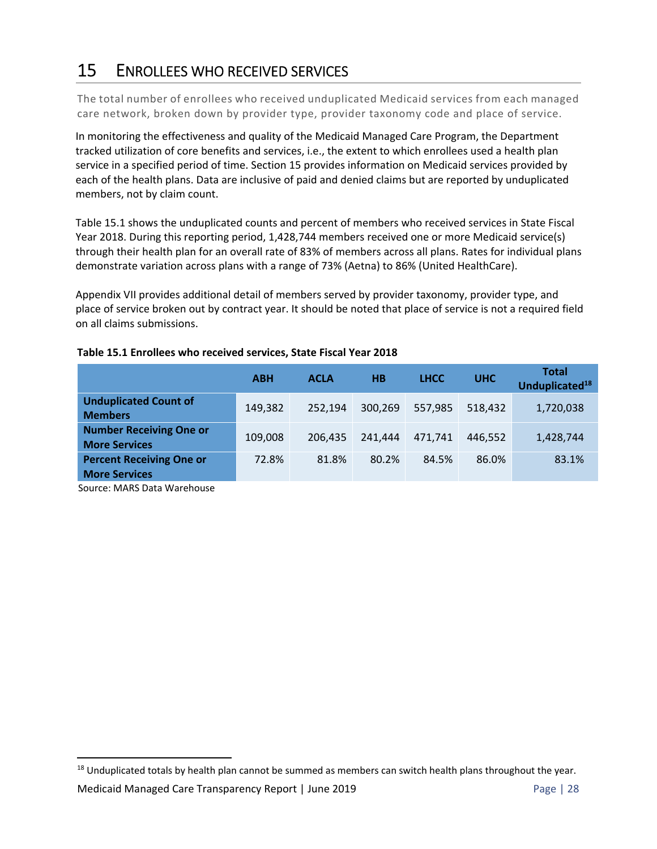# 15 ENROLLEES WHO RECEIVED SERVICES

The total number of enrollees who received unduplicated Medicaid services from each managed care network, broken down by provider type, provider taxonomy code and place of service.

In monitoring the effectiveness and quality of the Medicaid Managed Care Program, the Department tracked utilization of core benefits and services, i.e., the extent to which enrollees used a health plan service in a specified period of time. Section 15 provides information on Medicaid services provided by each of the health plans. Data are inclusive of paid and denied claims but are reported by unduplicated members, not by claim count.

Table 15.1 shows the unduplicated counts and percent of members who received services in State Fiscal Year 2018. During this reporting period, 1,428,744 members received one or more Medicaid service(s) through their health plan for an overall rate of 83% of members across all plans. Rates for individual plans demonstrate variation across plans with a range of 73% (Aetna) to 86% (United HealthCare).

Appendix VII provides additional detail of members served by provider taxonomy, provider type, and place of service broken out by contract year. It should be noted that place of service is not a required field on all claims submissions.

|                                                         | <b>ABH</b> | <b>ACLA</b> | H <sub>B</sub> | <b>LHCC</b> | <b>UHC</b> | <b>Total</b><br>Unduplicated <sup>18</sup> |
|---------------------------------------------------------|------------|-------------|----------------|-------------|------------|--------------------------------------------|
| <b>Unduplicated Count of</b><br><b>Members</b>          | 149,382    | 252,194     | 300,269        | 557,985     | 518,432    | 1,720,038                                  |
| <b>Number Receiving One or</b><br><b>More Services</b>  | 109,008    | 206.435     | 241.444        | 471.741     | 446.552    | 1,428,744                                  |
| <b>Percent Receiving One or</b><br><b>More Services</b> | 72.8%      | 81.8%       | 80.2%          | 84.5%       | 86.0%      | 83.1%                                      |

#### **Table 15.1 Enrollees who received services, State Fiscal Year 2018**

Source: MARS Data Warehouse

<sup>&</sup>lt;sup>18</sup> Unduplicated totals by health plan cannot be summed as members can switch health plans throughout the year.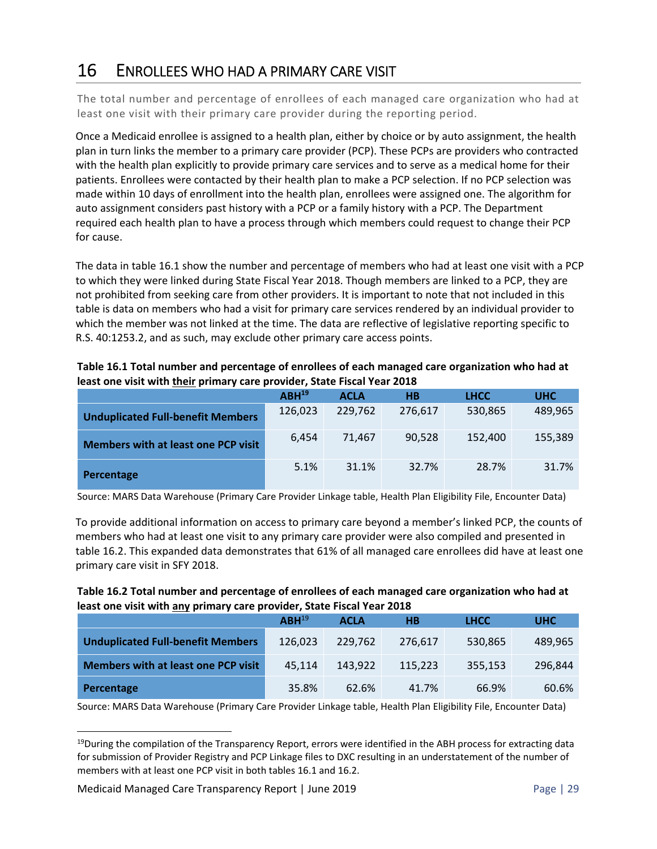## 16 ENROLLEES WHO HAD A PRIMARY CARE VISIT

The total number and percentage of enrollees of each managed care organization who had at least one visit with their primary care provider during the reporting period.

Once a Medicaid enrollee is assigned to a health plan, either by choice or by auto assignment, the health plan in turn links the member to a primary care provider (PCP). These PCPs are providers who contracted with the health plan explicitly to provide primary care services and to serve as a medical home for their patients. Enrollees were contacted by their health plan to make a PCP selection. If no PCP selection was made within 10 days of enrollment into the health plan, enrollees were assigned one. The algorithm for auto assignment considers past history with a PCP or a family history with a PCP. The Department required each health plan to have a process through which members could request to change their PCP for cause.

The data in table 16.1 show the number and percentage of members who had at least one visit with a PCP to which they were linked during State Fiscal Year 2018. Though members are linked to a PCP, they are not prohibited from seeking care from other providers. It is important to note that not included in this table is data on members who had a visit for primary care services rendered by an individual provider to which the member was not linked at the time. The data are reflective of legislative reporting specific to R.S. 40:1253.2, and as such, may exclude other primary care access points.

|                                            | $ABH^{19}$ | <b>ACLA</b> | H <sub>B</sub> | <b>LHCC</b> | <b>UHC</b> |
|--------------------------------------------|------------|-------------|----------------|-------------|------------|
| <b>Unduplicated Full-benefit Members</b>   | 126,023    | 229,762     | 276,617        | 530,865     | 489,965    |
| <b>Members with at least one PCP visit</b> | 6.454      | 71.467      | 90.528         | 152,400     | 155,389    |
| Percentage                                 | 5.1%       | 31.1%       | 32.7%          | 28.7%       | 31.7%      |

**Table 16.1 Total number and percentage of enrollees of each managed care organization who had at least one visit with their primary care provider, State Fiscal Year 2018** 

Source: MARS Data Warehouse (Primary Care Provider Linkage table, Health Plan Eligibility File, Encounter Data)

To provide additional information on access to primary care beyond a member's linked PCP, the counts of members who had at least one visit to any primary care provider were also compiled and presented in table 16.2. This expanded data demonstrates that 61% of all managed care enrollees did have at least one primary care visit in SFY 2018.

#### **Table 16.2 Total number and percentage of enrollees of each managed care organization who had at least one visit with any primary care provider, State Fiscal Year 2018**

|                                            | $ABH^{19}$ | <b>ACLA</b> | H <sub>B</sub> | <b>LHCC</b> | <b>UHC</b> |
|--------------------------------------------|------------|-------------|----------------|-------------|------------|
| <b>Unduplicated Full-benefit Members</b>   | 126,023    | 229.762     | 276,617        | 530,865     | 489,965    |
| <b>Members with at least one PCP visit</b> | 45.114     | 143,922     | 115.223        | 355,153     | 296,844    |
| Percentage                                 | 35.8%      | 62.6%       | 41.7%          | 66.9%       | 60.6%      |

Source: MARS Data Warehouse (Primary Care Provider Linkage table, Health Plan Eligibility File, Encounter Data)

 $19$ During the compilation of the Transparency Report, errors were identified in the ABH process for extracting data for submission of Provider Registry and PCP Linkage files to DXC resulting in an understatement of the number of members with at least one PCP visit in both tables 16.1 and 16.2.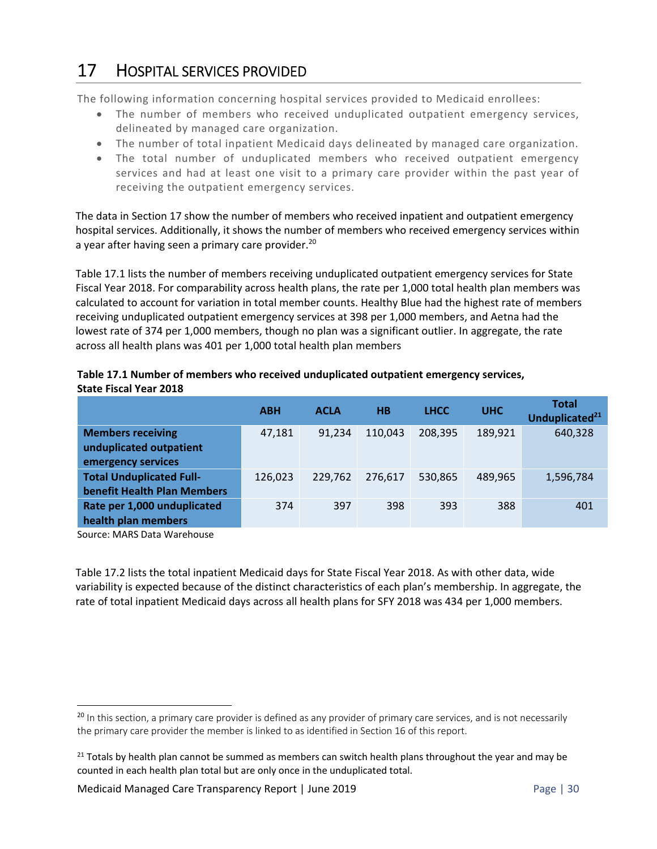# 17 HOSPITAL SERVICES PROVIDED

The following information concerning hospital services provided to Medicaid enrollees:

- The number of members who received unduplicated outpatient emergency services, delineated by managed care organization.
- The number of total inpatient Medicaid days delineated by managed care organization.
- The total number of unduplicated members who received outpatient emergency services and had at least one visit to a primary care provider within the past year of receiving the outpatient emergency services.

The data in Section 17 show the number of members who received inpatient and outpatient emergency hospital services. Additionally, it shows the number of members who received emergency services within a year after having seen a primary care provider.<sup>20</sup>

Table 17.1 lists the number of members receiving unduplicated outpatient emergency services for State Fiscal Year 2018. For comparability across health plans, the rate per 1,000 total health plan members was calculated to account for variation in total member counts. Healthy Blue had the highest rate of members receiving unduplicated outpatient emergency services at 398 per 1,000 members, and Aetna had the lowest rate of 374 per 1,000 members, though no plan was a significant outlier. In aggregate, the rate across all health plans was 401 per 1,000 total health plan members

#### **Table 17.1 Number of members who received unduplicated outpatient emergency services, State Fiscal Year 2018**

|                                 | <b>ABH</b> | <b>ACLA</b> | H <sub>B</sub> | <b>LHCC</b> | <b>UHC</b> | <b>Total</b><br>Unduplicated <sup>21</sup> |
|---------------------------------|------------|-------------|----------------|-------------|------------|--------------------------------------------|
| <b>Members receiving</b>        | 47,181     | 91.234      | 110.043        | 208,395     | 189,921    | 640,328                                    |
| unduplicated outpatient         |            |             |                |             |            |                                            |
| emergency services              |            |             |                |             |            |                                            |
| <b>Total Unduplicated Full-</b> | 126,023    | 229,762     | 276,617        | 530,865     | 489,965    | 1,596,784                                  |
| benefit Health Plan Members     |            |             |                |             |            |                                            |
| Rate per 1,000 unduplicated     | 374        | 397         | 398            | 393         | 388        | 401                                        |
| health plan members             |            |             |                |             |            |                                            |

Source: MARS Data Warehouse

Table 17.2 lists the total inpatient Medicaid days for State Fiscal Year 2018. As with other data, wide variability is expected because of the distinct characteristics of each plan's membership. In aggregate, the rate of total inpatient Medicaid days across all health plans for SFY 2018 was 434 per 1,000 members.

<sup>&</sup>lt;sup>20</sup> In this section, a primary care provider is defined as any provider of primary care services, and is not necessarily the primary care provider the member is linked to as identified in Section 16 of this report.

 $21$  Totals by health plan cannot be summed as members can switch health plans throughout the year and may be counted in each health plan total but are only once in the unduplicated total.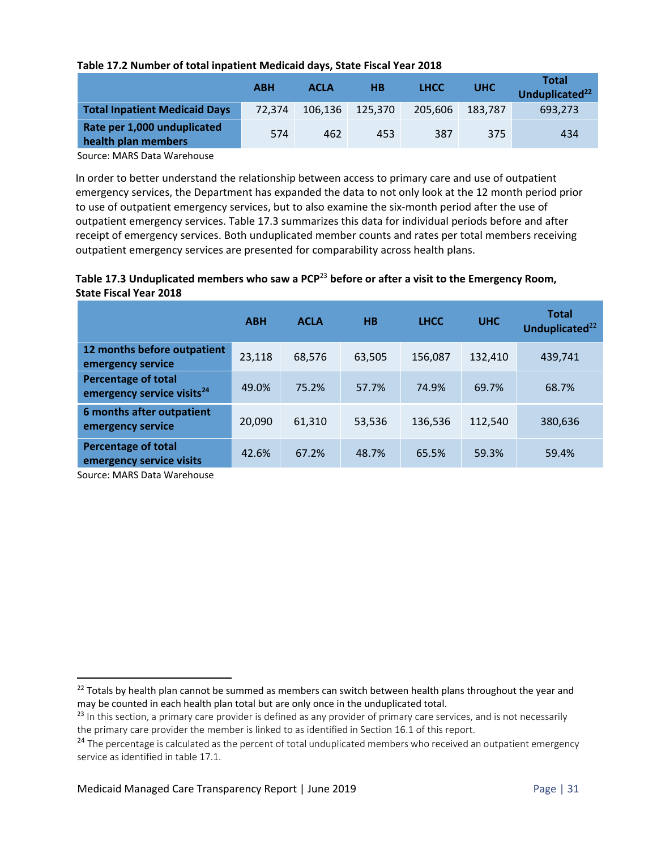#### **Table 17.2 Number of total inpatient Medicaid days, State Fiscal Year 2018**

|                                                    | <b>ABH</b> | <b>ACLA</b> | H <sub>B</sub> | <b>LHCC</b> | <b>UHC</b> | Total<br>Unduplicated <sup>22</sup> |
|----------------------------------------------------|------------|-------------|----------------|-------------|------------|-------------------------------------|
| <b>Total Inpatient Medicaid Days</b>               | 72.374     | 106.136     | 125.370        | 205.606     | 183.787    | 693.273                             |
| Rate per 1,000 unduplicated<br>health plan members | 574        | 462         | 453            | 387         | 375        | 434                                 |

Source: MARS Data Warehouse

In order to better understand the relationship between access to primary care and use of outpatient emergency services, the Department has expanded the data to not only look at the 12 month period prior to use of outpatient emergency services, but to also examine the six-month period after the use of outpatient emergency services. Table 17.3 summarizes this data for individual periods before and after receipt of emergency services. Both unduplicated member counts and rates per total members receiving outpatient emergency services are presented for comparability across health plans.

#### **Table 17.3 Unduplicated members who saw a PCP**<sup>23</sup> **before or after a visit to the Emergency Room, State Fiscal Year 2018**

|                                                                      | <b>ABH</b> | <b>ACLA</b> | H <sub>B</sub> | <b>LHCC</b> | <b>UHC</b> | <b>Total</b><br>Unduplicated <sup>22</sup> |
|----------------------------------------------------------------------|------------|-------------|----------------|-------------|------------|--------------------------------------------|
| 12 months before outpatient<br>emergency service                     | 23,118     | 68,576      | 63,505         | 156,087     | 132,410    | 439,741                                    |
| <b>Percentage of total</b><br>emergency service visits <sup>24</sup> | 49.0%      | 75.2%       | 57.7%          | 74.9%       | 69.7%      | 68.7%                                      |
| 6 months after outpatient<br>emergency service                       | 20,090     | 61,310      | 53,536         | 136,536     | 112,540    | 380,636                                    |
| <b>Percentage of total</b><br>emergency service visits               | 42.6%      | 67.2%       | 48.7%          | 65.5%       | 59.3%      | 59.4%                                      |

Source: MARS Data Warehouse

<sup>&</sup>lt;sup>22</sup> Totals by health plan cannot be summed as members can switch between health plans throughout the year and may be counted in each health plan total but are only once in the unduplicated total.

 $23$  In this section, a primary care provider is defined as any provider of primary care services, and is not necessarily the primary care provider the member is linked to as identified in Section 16.1 of this report.

<sup>&</sup>lt;sup>24</sup> The percentage is calculated as the percent of total unduplicated members who received an outpatient emergency service as identified in table 17.1.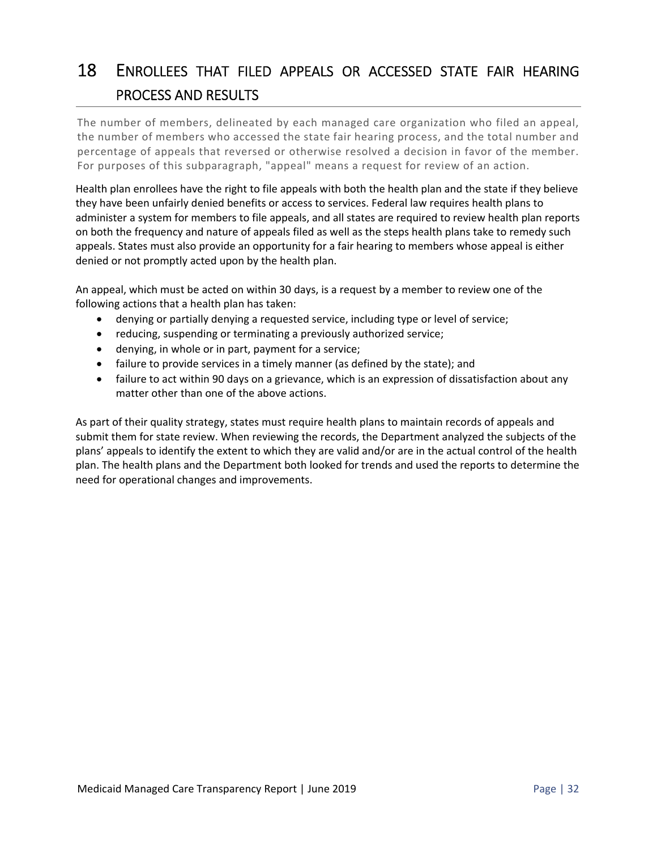# 18 ENROLLEES THAT FILED APPEALS OR ACCESSED STATE FAIR HEARING PROCESS AND RESULTS

The number of members, delineated by each managed care organization who filed an appeal, the number of members who accessed the state fair hearing process, and the total number and percentage of appeals that reversed or otherwise resolved a decision in favor of the member. For purposes of this subparagraph, "appeal" means a request for review of an action.

Health plan enrollees have the right to file appeals with both the health plan and the state if they believe they have been unfairly denied benefits or access to services. Federal law requires health plans to administer a system for members to file appeals, and all states are required to review health plan reports on both the frequency and nature of appeals filed as well as the steps health plans take to remedy such appeals. States must also provide an opportunity for a fair hearing to members whose appeal is either denied or not promptly acted upon by the health plan.

An appeal, which must be acted on within 30 days, is a request by a member to review one of the following actions that a health plan has taken:

- denying or partially denying a requested service, including type or level of service;
- reducing, suspending or terminating a previously authorized service;
- denying, in whole or in part, payment for a service;
- failure to provide services in a timely manner (as defined by the state); and
- failure to act within 90 days on a grievance, which is an expression of dissatisfaction about any matter other than one of the above actions.

As part of their quality strategy, states must require health plans to maintain records of appeals and submit them for state review. When reviewing the records, the Department analyzed the subjects of the plans' appeals to identify the extent to which they are valid and/or are in the actual control of the health plan. The health plans and the Department both looked for trends and used the reports to determine the need for operational changes and improvements.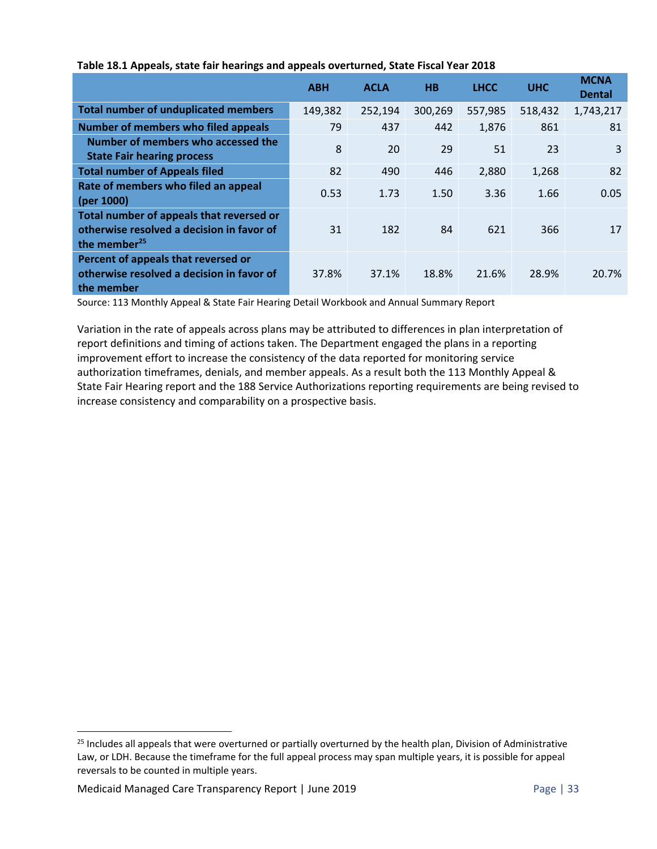|                                                                                                                   | <b>ABH</b> | <b>ACLA</b> | H <sub>B</sub> | <b>LHCC</b> | <b>UHC</b> | <b>MCNA</b><br><b>Dental</b> |
|-------------------------------------------------------------------------------------------------------------------|------------|-------------|----------------|-------------|------------|------------------------------|
| <b>Total number of unduplicated members</b>                                                                       | 149,382    | 252,194     | 300,269        | 557,985     | 518,432    | 1,743,217                    |
| <b>Number of members who filed appeals</b>                                                                        | 79         | 437         | 442            | 1,876       | 861        | 81                           |
| Number of members who accessed the<br><b>State Fair hearing process</b>                                           | 8          | 20          | 29             | 51          | 23         | 3                            |
| <b>Total number of Appeals filed</b>                                                                              | 82         | 490         | 446            | 2,880       | 1,268      | 82                           |
| Rate of members who filed an appeal<br>(per 1000)                                                                 | 0.53       | 1.73        | 1.50           | 3.36        | 1.66       | 0.05                         |
| Total number of appeals that reversed or<br>otherwise resolved a decision in favor of<br>the member <sup>25</sup> | 31         | 182         | 84             | 621         | 366        | 17                           |
| Percent of appeals that reversed or<br>otherwise resolved a decision in favor of<br>the member                    | 37.8%      | 37.1%       | 18.8%          | 21.6%       | 28.9%      | 20.7%                        |

#### **Table 18.1 Appeals, state fair hearings and appeals overturned, State Fiscal Year 2018**

Source: 113 Monthly Appeal & State Fair Hearing Detail Workbook and Annual Summary Report

Variation in the rate of appeals across plans may be attributed to differences in plan interpretation of report definitions and timing of actions taken. The Department engaged the plans in a reporting improvement effort to increase the consistency of the data reported for monitoring service authorization timeframes, denials, and member appeals. As a result both the 113 Monthly Appeal & State Fair Hearing report and the 188 Service Authorizations reporting requirements are being revised to increase consistency and comparability on a prospective basis.

<sup>&</sup>lt;sup>25</sup> Includes all appeals that were overturned or partially overturned by the health plan, Division of Administrative Law, or LDH. Because the timeframe for the full appeal process may span multiple years, it is possible for appeal reversals to be counted in multiple years.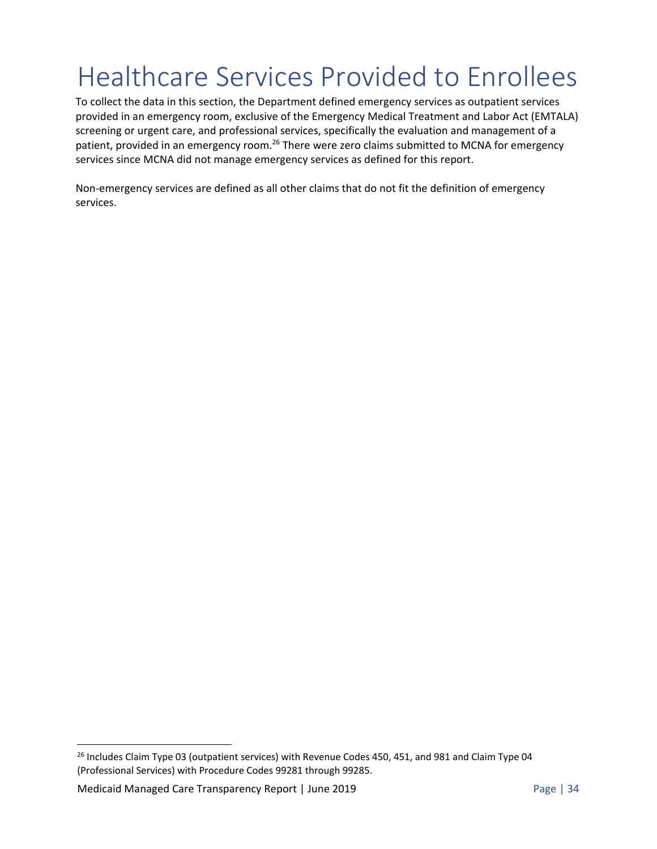# Healthcare Services Provided to Enrollees

To collect the data in this section, the Department defined emergency services as outpatient services provided in an emergency room, exclusive of the Emergency Medical Treatment and Labor Act (EMTALA) screening or urgent care, and professional services, specifically the evaluation and management of a patient, provided in an emergency room.<sup>26</sup> There were zero claims submitted to MCNA for emergency services since MCNA did not manage emergency services as defined for this report.

Non-emergency services are defined as all other claims that do not fit the definition of emergency services.

<sup>&</sup>lt;sup>26</sup> Includes Claim Type 03 (outpatient services) with Revenue Codes 450, 451, and 981 and Claim Type 04 (Professional Services) with Procedure Codes 99281 through 99285.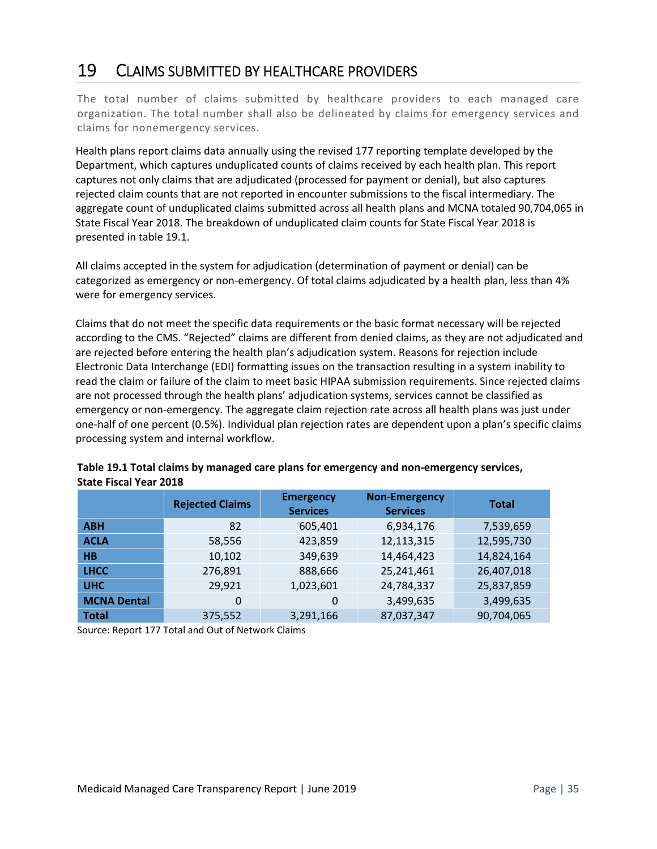### 19 CLAIMS SUBMITTED BY HEALTHCARE PROVIDERS

The total number of claims submitted by healthcare providers to each managed care organization. The total number shall also be delineated by claims for emergency services and claims for nonemergency services.

Health plans report claims data annually using the revised 177 reporting template developed by the Department, which captures unduplicated counts of claims received by each health plan. This report captures not only claims that are adjudicated (processed for payment or denial), but also captures rejected claim counts that are not reported in encounter submissions to the fiscal intermediary. The aggregate count of unduplicated claims submitted across all health plans and MCNA totaled 90,704,065 in State Fiscal Year 2018. The breakdown of unduplicated claim counts for State Fiscal Year 2018 is presented in table 19.1.

All claims accepted in the system for adjudication (determination of payment or denial) can be categorized as emergency or non‐emergency. Of total claims adjudicated by a health plan, less than 4% were for emergency services.

Claims that do not meet the specific data requirements or the basic format necessary will be rejected according to the CMS. "Rejected" claims are different from denied claims, as they are not adjudicated and are rejected before entering the health plan's adjudication system. Reasons for rejection include Electronic Data Interchange (EDI) formatting issues on the transaction resulting in a system inability to read the claim or failure of the claim to meet basic HIPAA submission requirements. Since rejected claims are not processed through the health plans' adjudication systems, services cannot be classified as emergency or non-emergency. The aggregate claim rejection rate across all health plans was just under one‐half of one percent (0.5%). Individual plan rejection rates are dependent upon a plan's specific claims processing system and internal workflow.

|                    | <b>Rejected Claims</b> | <b>Emergency</b><br><b>Services</b> | <b>Non-Emergency</b><br><b>Services</b> | <b>Total</b> |
|--------------------|------------------------|-------------------------------------|-----------------------------------------|--------------|
| <b>ABH</b>         | 82                     | 605,401                             | 6,934,176                               | 7,539,659    |
| <b>ACLA</b>        | 58,556                 | 423,859                             | 12,113,315                              | 12,595,730   |
| H <sub>B</sub>     | 10,102                 | 349,639                             | 14,464,423                              | 14,824,164   |
| <b>LHCC</b>        | 276,891                | 888,666                             | 25,241,461                              | 26,407,018   |
| <b>UHC</b>         | 29,921                 | 1,023,601                           | 24,784,337                              | 25,837,859   |
| <b>MCNA Dental</b> | 0                      | $\Omega$                            | 3,499,635                               | 3,499,635    |
| <b>Total</b>       | 375,552                | 3,291,166                           | 87,037,347                              | 90,704,065   |

| Table 19.1 Total claims by managed care plans for emergency and non-emergency services, |
|-----------------------------------------------------------------------------------------|
| <b>State Fiscal Year 2018</b>                                                           |

Source: Report 177 Total and Out of Network Claims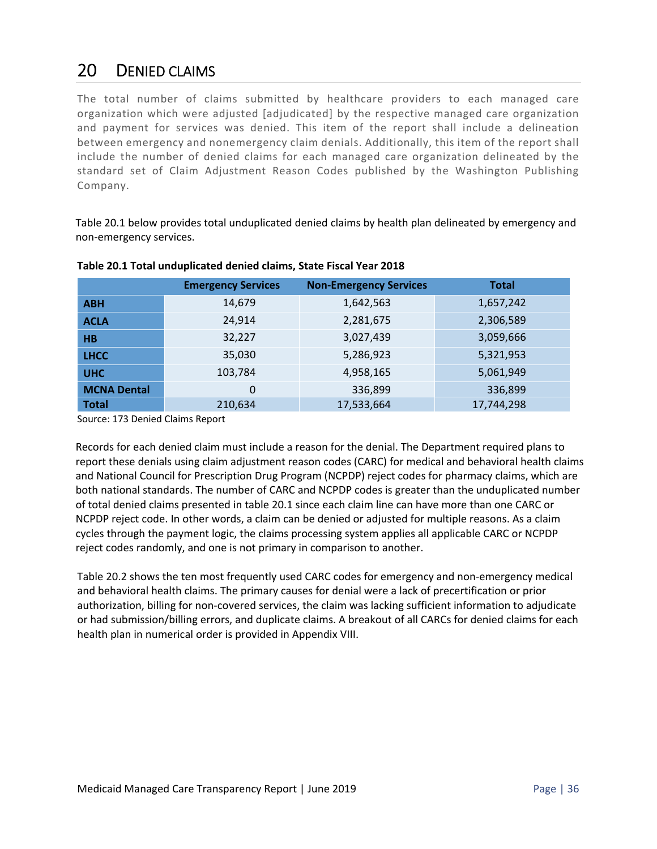### 20 DENIED CLAIMS

The total number of claims submitted by healthcare providers to each managed care organization which were adjusted [adjudicated] by the respective managed care organization and payment for services was denied. This item of the report shall include a delineation between emergency and nonemergency claim denials. Additionally, this item of the report shall include the number of denied claims for each managed care organization delineated by the standard set of Claim Adjustment Reason Codes published by the Washington Publishing Company.

Table 20.1 below provides total unduplicated denied claims by health plan delineated by emergency and non‐emergency services.

|                    | <b>Emergency Services</b> | <b>Non-Emergency Services</b> | <b>Total</b> |
|--------------------|---------------------------|-------------------------------|--------------|
| <b>ABH</b>         | 14,679                    | 1,642,563                     | 1,657,242    |
| <b>ACLA</b>        | 24,914                    | 2,281,675                     | 2,306,589    |
| H <sub>B</sub>     | 32,227                    | 3,027,439                     | 3,059,666    |
| <b>LHCC</b>        | 35,030                    | 5,286,923                     | 5,321,953    |
| <b>UHC</b>         | 103,784                   | 4,958,165                     | 5,061,949    |
| <b>MCNA Dental</b> | 0                         | 336,899                       | 336,899      |
| <b>Total</b>       | 210,634                   | 17,533,664                    | 17,744,298   |

**Table 20.1 Total unduplicated denied claims, State Fiscal Year 2018** 

Source: 173 Denied Claims Report

Records for each denied claim must include a reason for the denial. The Department required plans to report these denials using claim adjustment reason codes (CARC) for medical and behavioral health claims and National Council for Prescription Drug Program (NCPDP) reject codes for pharmacy claims, which are both national standards. The number of CARC and NCPDP codes is greater than the unduplicated number of total denied claims presented in table 20.1 since each claim line can have more than one CARC or NCPDP reject code. In other words, a claim can be denied or adjusted for multiple reasons. As a claim cycles through the payment logic, the claims processing system applies all applicable CARC or NCPDP reject codes randomly, and one is not primary in comparison to another.

Table 20.2 shows the ten most frequently used CARC codes for emergency and non‐emergency medical and behavioral health claims. The primary causes for denial were a lack of precertification or prior authorization, billing for non‐covered services, the claim was lacking sufficient information to adjudicate or had submission/billing errors, and duplicate claims. A breakout of all CARCs for denied claims for each health plan in numerical order is provided in Appendix VIII.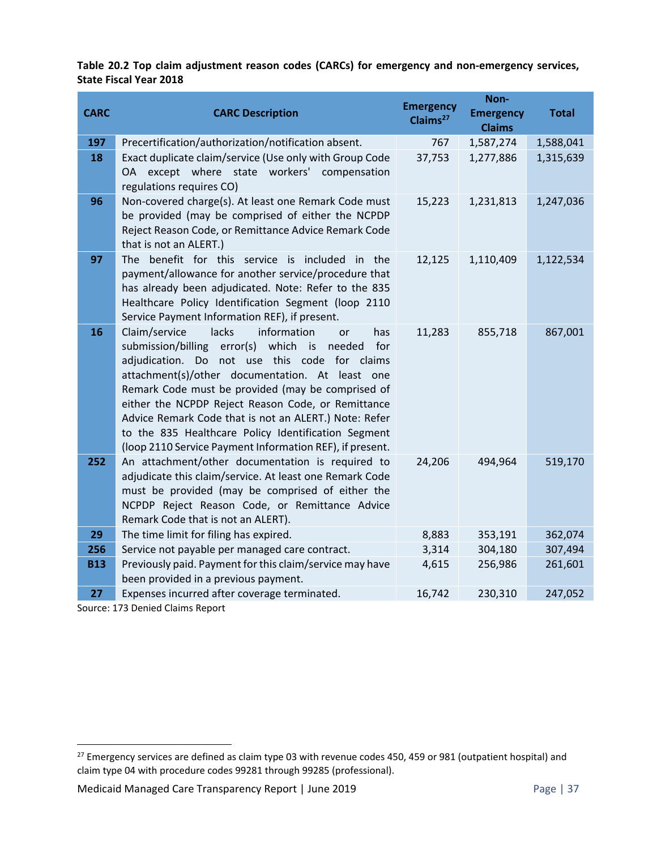**Table 20.2 Top claim adjustment reason codes (CARCs) for emergency and non‐emergency services, State Fiscal Year 2018** 

| <b>CARC</b> | <b>CARC Description</b>                                                                                                                                                                                                                                                                                                                                                                                                                                                                                         | <b>Emergency</b><br>Claims <sup>27</sup> | Non-<br><b>Emergency</b><br><b>Claims</b> | <b>Total</b> |
|-------------|-----------------------------------------------------------------------------------------------------------------------------------------------------------------------------------------------------------------------------------------------------------------------------------------------------------------------------------------------------------------------------------------------------------------------------------------------------------------------------------------------------------------|------------------------------------------|-------------------------------------------|--------------|
| 197         | Precertification/authorization/notification absent.                                                                                                                                                                                                                                                                                                                                                                                                                                                             | 767                                      | 1,587,274                                 | 1,588,041    |
| 18          | Exact duplicate claim/service (Use only with Group Code<br>OA except where state workers'<br>compensation<br>regulations requires CO)                                                                                                                                                                                                                                                                                                                                                                           | 37,753                                   | 1,277,886                                 | 1,315,639    |
| 96          | Non-covered charge(s). At least one Remark Code must<br>be provided (may be comprised of either the NCPDP<br>Reject Reason Code, or Remittance Advice Remark Code<br>that is not an ALERT.)                                                                                                                                                                                                                                                                                                                     | 15,223                                   | 1,231,813                                 | 1,247,036    |
| 97          | The benefit for this service is included in the<br>payment/allowance for another service/procedure that<br>has already been adjudicated. Note: Refer to the 835<br>Healthcare Policy Identification Segment (loop 2110<br>Service Payment Information REF), if present.                                                                                                                                                                                                                                         | 12,125                                   | 1,110,409                                 | 1,122,534    |
| 16          | Claim/service<br>lacks<br>information<br>has<br>or<br>for<br>submission/billing<br>error(s) which<br>is is<br>needed<br>adjudication. Do not use this code for claims<br>attachment(s)/other documentation. At least one<br>Remark Code must be provided (may be comprised of<br>either the NCPDP Reject Reason Code, or Remittance<br>Advice Remark Code that is not an ALERT.) Note: Refer<br>to the 835 Healthcare Policy Identification Segment<br>(loop 2110 Service Payment Information REF), if present. | 11,283                                   | 855,718                                   | 867,001      |
| 252         | An attachment/other documentation is required to<br>adjudicate this claim/service. At least one Remark Code<br>must be provided (may be comprised of either the<br>NCPDP Reject Reason Code, or Remittance Advice<br>Remark Code that is not an ALERT).                                                                                                                                                                                                                                                         | 24,206                                   | 494,964                                   | 519,170      |
| 29          | The time limit for filing has expired.                                                                                                                                                                                                                                                                                                                                                                                                                                                                          | 8,883                                    | 353,191                                   | 362,074      |
| 256         | Service not payable per managed care contract.                                                                                                                                                                                                                                                                                                                                                                                                                                                                  | 3,314                                    | 304,180                                   | 307,494      |
| <b>B13</b>  | Previously paid. Payment for this claim/service may have<br>been provided in a previous payment.                                                                                                                                                                                                                                                                                                                                                                                                                | 4,615                                    | 256,986                                   | 261,601      |
| 27          | Expenses incurred after coverage terminated.<br>$1.72 \times 1.4$ and $1.71 \times 1.7$                                                                                                                                                                                                                                                                                                                                                                                                                         | 16,742                                   | 230,310                                   | 247,052      |

Source: 173 Denied Claims Report

 $^{27}$  Emergency services are defined as claim type 03 with revenue codes 450, 459 or 981 (outpatient hospital) and claim type 04 with procedure codes 99281 through 99285 (professional).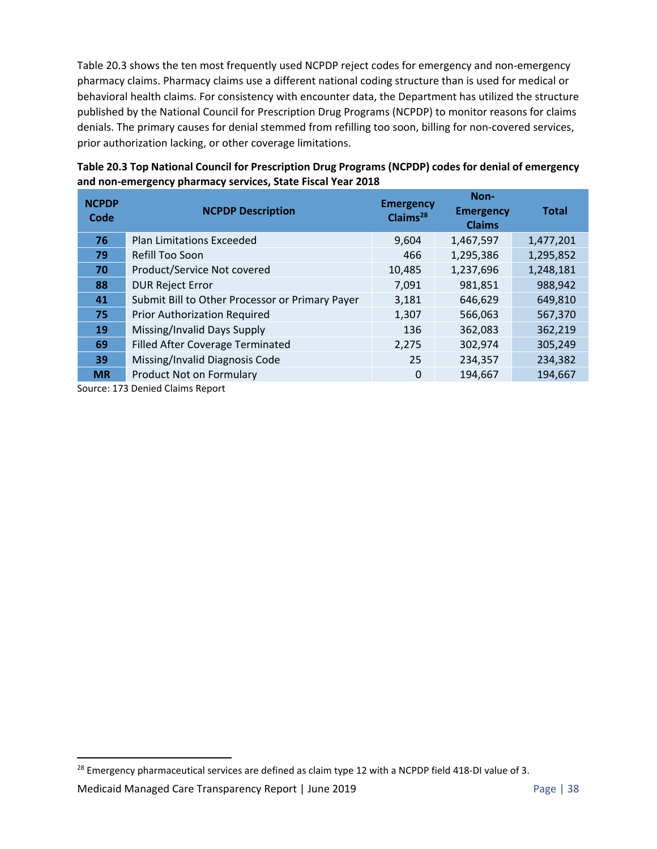Table 20.3 shows the ten most frequently used NCPDP reject codes for emergency and non‐emergency pharmacy claims. Pharmacy claims use a different national coding structure than is used for medical or behavioral health claims. For consistency with encounter data, the Department has utilized the structure published by the National Council for Prescription Drug Programs (NCPDP) to monitor reasons for claims denials. The primary causes for denial stemmed from refilling too soon, billing for non‐covered services, prior authorization lacking, or other coverage limitations.

| <b>NCPDP</b><br>Code | <b>NCPDP Description</b>                        | <b>Emergency</b><br>Claims <sup>28</sup> | Non-<br><b>Emergency</b><br><b>Claims</b> | <b>Total</b> |
|----------------------|-------------------------------------------------|------------------------------------------|-------------------------------------------|--------------|
| 76                   | <b>Plan Limitations Exceeded</b>                | 9,604                                    | 1,467,597                                 | 1,477,201    |
| 79                   | Refill Too Soon                                 | 466                                      | 1,295,386                                 | 1,295,852    |
| 70                   | Product/Service Not covered                     | 10,485                                   | 1,237,696                                 | 1,248,181    |
| 88                   | <b>DUR Reject Error</b>                         | 7,091                                    | 981,851                                   | 988,942      |
| 41                   | Submit Bill to Other Processor or Primary Payer | 3,181                                    | 646,629                                   | 649,810      |
| 75                   | <b>Prior Authorization Required</b>             | 1,307                                    | 566,063                                   | 567,370      |
| 19                   | Missing/Invalid Days Supply                     | 136                                      | 362,083                                   | 362,219      |
| 69                   | <b>Filled After Coverage Terminated</b>         | 2,275                                    | 302,974                                   | 305,249      |
| 39                   | Missing/Invalid Diagnosis Code                  | 25                                       | 234,357                                   | 234,382      |
| <b>MR</b>            | Product Not on Formulary                        | $\Omega$                                 | 194,667                                   | 194,667      |

**Table 20.3 Top National Council for Prescription Drug Programs (NCPDP) codes for denial of emergency and non‐emergency pharmacy services, State Fiscal Year 2018** 

Source: 173 Denied Claims Report

<sup>&</sup>lt;sup>28</sup> Emergency pharmaceutical services are defined as claim type 12 with a NCPDP field 418-DI value of 3.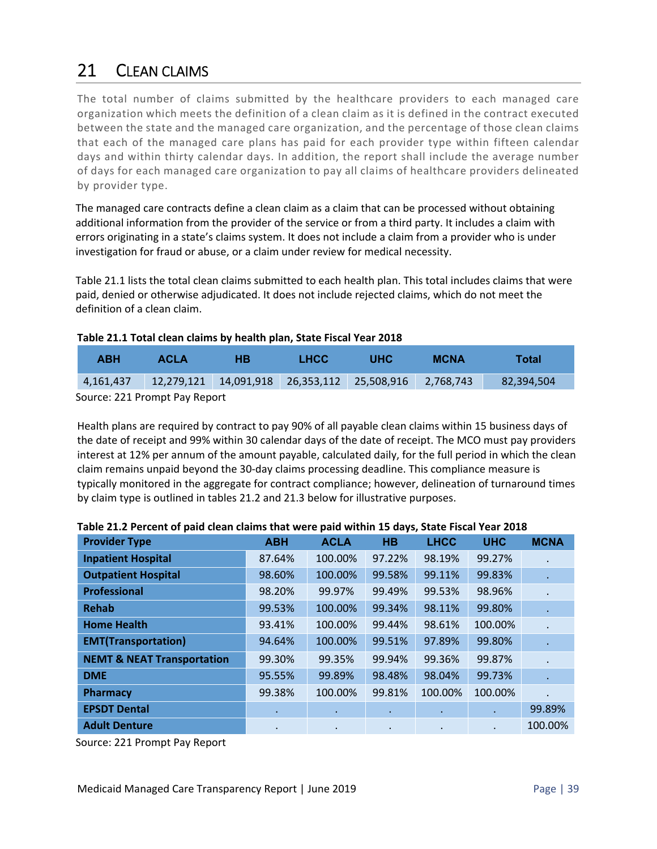# 21 CLEAN CLAIMS

The total number of claims submitted by the healthcare providers to each managed care organization which meets the definition of a clean claim as it is defined in the contract executed between the state and the managed care organization, and the percentage of those clean claims that each of the managed care plans has paid for each provider type within fifteen calendar days and within thirty calendar days. In addition, the report shall include the average number of days for each managed care organization to pay all claims of healthcare providers delineated by provider type.

The managed care contracts define a clean claim as a claim that can be processed without obtaining additional information from the provider of the service or from a third party. It includes a claim with errors originating in a state's claims system. It does not include a claim from a provider who is under investigation for fraud or abuse, or a claim under review for medical necessity.

Table 21.1 lists the total clean claims submitted to each health plan. This total includes claims that were paid, denied or otherwise adjudicated. It does not include rejected claims, which do not meet the definition of a clean claim.

#### **Table 21.1 Total clean claims by health plan, State Fiscal Year 2018**

| <b>ABH</b>                    | <b>ACLA</b> | нв | <b>LHCC</b> | UHC                                                       | MCNA | Total      |
|-------------------------------|-------------|----|-------------|-----------------------------------------------------------|------|------------|
| 4,161,437                     |             |    |             | 12,279,121  14,091,918  26,353,112  25,508,916  2,768,743 |      | 82,394,504 |
| Source: 221 Prompt Pay Report |             |    |             |                                                           |      |            |

Source: 221 Prompt Pay Report

Health plans are required by contract to pay 90% of all payable clean claims within 15 business days of the date of receipt and 99% within 30 calendar days of the date of receipt. The MCO must pay providers interest at 12% per annum of the amount payable, calculated daily, for the full period in which the clean claim remains unpaid beyond the 30‐day claims processing deadline. This compliance measure is typically monitored in the aggregate for contract compliance; however, delineation of turnaround times by claim type is outlined in tables 21.2 and 21.3 below for illustrative purposes.

| <b>Provider Type</b>                  | <b>ABH</b> | <b>ACLA</b> | <b>HB</b> | <b>LHCC</b> | <b>UHC</b> | <b>MCNA</b> |
|---------------------------------------|------------|-------------|-----------|-------------|------------|-------------|
| <b>Inpatient Hospital</b>             | 87.64%     | 100.00%     | 97.22%    | 98.19%      | 99.27%     |             |
| <b>Outpatient Hospital</b>            | 98.60%     | 100.00%     | 99.58%    | 99.11%      | 99.83%     |             |
| <b>Professional</b>                   | 98.20%     | 99.97%      | 99.49%    | 99.53%      | 98.96%     |             |
| <b>Rehab</b>                          | 99.53%     | 100.00%     | 99.34%    | 98.11%      | 99.80%     |             |
| <b>Home Health</b>                    | 93.41%     | 100.00%     | 99.44%    | 98.61%      | 100.00%    |             |
| <b>EMT(Transportation)</b>            | 94.64%     | 100.00%     | 99.51%    | 97.89%      | 99.80%     |             |
| <b>NEMT &amp; NEAT Transportation</b> | 99.30%     | 99.35%      | 99.94%    | 99.36%      | 99.87%     |             |
| <b>DME</b>                            | 95.55%     | 99.89%      | 98.48%    | 98.04%      | 99.73%     |             |
| Pharmacy                              | 99.38%     | 100.00%     | 99.81%    | 100.00%     | 100.00%    |             |
| <b>EPSDT Dental</b>                   | ٠          | ٠           | ٠         | ٠           | $\bullet$  | 99.89%      |
| <b>Adult Denture</b>                  | $\bullet$  | $\cdot$     | $\bullet$ |             |            | 100.00%     |

| Table 21.2 Percent of paid clean claims that were paid within 15 days, State Fiscal Year 2018 |  |
|-----------------------------------------------------------------------------------------------|--|
|-----------------------------------------------------------------------------------------------|--|

Source: 221 Prompt Pay Report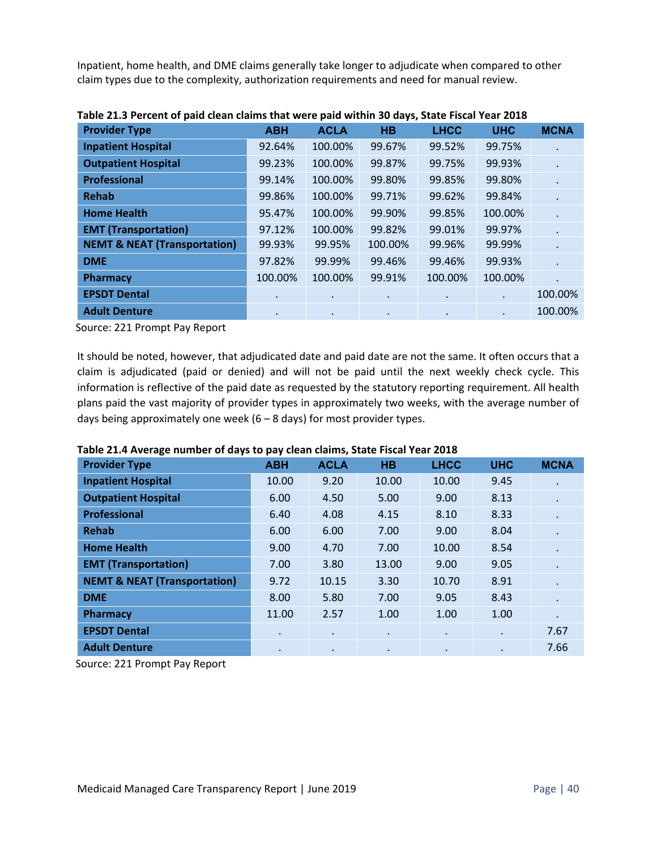Inpatient, home health, and DME claims generally take longer to adjudicate when compared to other claim types due to the complexity, authorization requirements and need for manual review.

| <b>Provider Type</b>                    | <b>ABH</b> | <b>ACLA</b> | <b>HB</b> | <b>LHCC</b> | <b>UHC</b> | <b>MCNA</b> |
|-----------------------------------------|------------|-------------|-----------|-------------|------------|-------------|
| <b>Inpatient Hospital</b>               | 92.64%     | 100.00%     | 99.67%    | 99.52%      | 99.75%     |             |
| <b>Outpatient Hospital</b>              | 99.23%     | 100.00%     | 99.87%    | 99.75%      | 99.93%     |             |
| <b>Professional</b>                     | 99.14%     | 100.00%     | 99.80%    | 99.85%      | 99.80%     |             |
| <b>Rehab</b>                            | 99.86%     | 100.00%     | 99.71%    | 99.62%      | 99.84%     |             |
| <b>Home Health</b>                      | 95.47%     | 100.00%     | 99.90%    | 99.85%      | 100.00%    |             |
| <b>EMT (Transportation)</b>             | 97.12%     | 100.00%     | 99.82%    | 99.01%      | 99.97%     |             |
| <b>NEMT &amp; NEAT (Transportation)</b> | 99.93%     | 99.95%      | 100.00%   | 99.96%      | 99.99%     | $\bullet$   |
| <b>DME</b>                              | 97.82%     | 99.99%      | 99.46%    | 99.46%      | 99.93%     |             |
| <b>Pharmacy</b>                         | 100.00%    | 100.00%     | 99.91%    | 100.00%     | 100.00%    |             |
| <b>EPSDT Dental</b>                     | $\bullet$  | $\bullet$   | ٠         | $\bullet$   |            | 100.00%     |
| <b>Adult Denture</b>                    | $\bullet$  | $\bullet$   | ٠         | $\bullet$   | $\bullet$  | 100.00%     |

| Table 21.3 Percent of paid clean claims that were paid within 30 days, State Fiscal Year 2018 |  |  |  |
|-----------------------------------------------------------------------------------------------|--|--|--|
|-----------------------------------------------------------------------------------------------|--|--|--|

Source: 221 Prompt Pay Report

It should be noted, however, that adjudicated date and paid date are not the same. It often occurs that a claim is adjudicated (paid or denied) and will not be paid until the next weekly check cycle. This information is reflective of the paid date as requested by the statutory reporting requirement. All health plans paid the vast majority of provider types in approximately two weeks, with the average number of days being approximately one week  $(6 - 8$  days) for most provider types.

| <b>Provider Type</b>                    | <b>ABH</b> | <b>ACLA</b> | <b>HB</b> | <b>LHCC</b> | <b>UHC</b> | <b>MCNA</b> |
|-----------------------------------------|------------|-------------|-----------|-------------|------------|-------------|
| <b>Inpatient Hospital</b>               | 10.00      | 9.20        | 10.00     | 10.00       | 9.45       |             |
| <b>Outpatient Hospital</b>              | 6.00       | 4.50        | 5.00      | 9.00        | 8.13       |             |
| <b>Professional</b>                     | 6.40       | 4.08        | 4.15      | 8.10        | 8.33       |             |
| <b>Rehab</b>                            | 6.00       | 6.00        | 7.00      | 9.00        | 8.04       |             |
| <b>Home Health</b>                      | 9.00       | 4.70        | 7.00      | 10.00       | 8.54       | $\cdot$     |
| <b>EMT (Transportation)</b>             | 7.00       | 3.80        | 13.00     | 9.00        | 9.05       |             |
| <b>NEMT &amp; NEAT (Transportation)</b> | 9.72       | 10.15       | 3.30      | 10.70       | 8.91       |             |
| <b>DME</b>                              | 8.00       | 5.80        | 7.00      | 9.05        | 8.43       |             |
| <b>Pharmacy</b>                         | 11.00      | 2.57        | 1.00      | 1.00        | 1.00       | $\cdot$     |
| <b>EPSDT Dental</b>                     | $\bullet$  | $\bullet$   | $\bullet$ | $\bullet$   | $\cdot$    | 7.67        |
| <b>Adult Denture</b>                    | $\bullet$  | $\bullet$   | $\bullet$ | ٠           | $\bullet$  | 7.66        |

**Table 21.4 Average number of days to pay clean claims, State Fiscal Year 2018**

Source: 221 Prompt Pay Report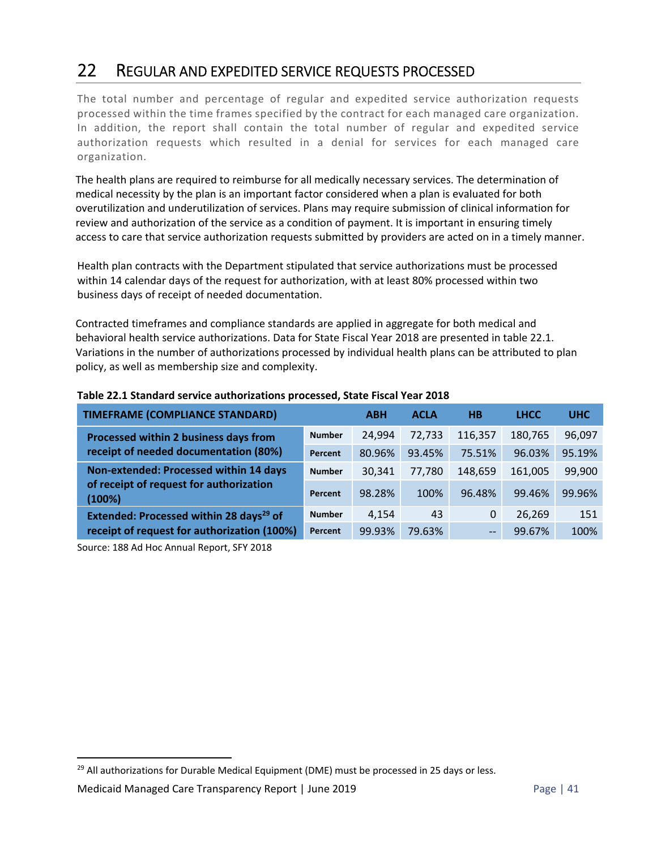### 22 REGULAR AND EXPEDITED SERVICE REQUESTS PROCESSED

The total number and percentage of regular and expedited service authorization requests processed within the time frames specified by the contract for each managed care organization. In addition, the report shall contain the total number of regular and expedited service authorization requests which resulted in a denial for services for each managed care organization.

The health plans are required to reimburse for all medically necessary services. The determination of medical necessity by the plan is an important factor considered when a plan is evaluated for both overutilization and underutilization of services. Plans may require submission of clinical information for review and authorization of the service as a condition of payment. It is important in ensuring timely access to care that service authorization requests submitted by providers are acted on in a timely manner.

Health plan contracts with the Department stipulated that service authorizations must be processed within 14 calendar days of the request for authorization, with at least 80% processed within two business days of receipt of needed documentation.

Contracted timeframes and compliance standards are applied in aggregate for both medical and behavioral health service authorizations. Data for State Fiscal Year 2018 are presented in table 22.1. Variations in the number of authorizations processed by individual health plans can be attributed to plan policy, as well as membership size and complexity.

| <b>TIMEFRAME (COMPLIANCE STANDARD)</b>              |               | <b>ABH</b> | <b>ACLA</b> | <b>HB</b>         | <b>LHCC</b> | <b>UHC</b> |
|-----------------------------------------------------|---------------|------------|-------------|-------------------|-------------|------------|
| Processed within 2 business days from               | <b>Number</b> | 24,994     | 72,733      | 116,357           | 180,765     | 96,097     |
| receipt of needed documentation (80%)               | Percent       | 80.96%     | 93.45%      | 75.51%            | 96.03%      | 95.19%     |
| Non-extended: Processed within 14 days              | <b>Number</b> | 30,341     | 77.780      | 148,659           | 161,005     | 99,900     |
| of receipt of request for authorization<br>(100%)   | Percent       | 98.28%     | 100%        | 96.48%            | 99.46%      | 99.96%     |
| Extended: Processed within 28 days <sup>29</sup> of | <b>Number</b> | 4.154      | 43          | 0                 | 26,269      | 151        |
| receipt of request for authorization (100%)         | Percent       | 99.93%     | 79.63%      | $\qquad \qquad -$ | 99.67%      | 100%       |

#### **Table 22.1 Standard service authorizations processed, State Fiscal Year 2018**

Source: 188 Ad Hoc Annual Report, SFY 2018

 $29$  All authorizations for Durable Medical Equipment (DME) must be processed in 25 days or less.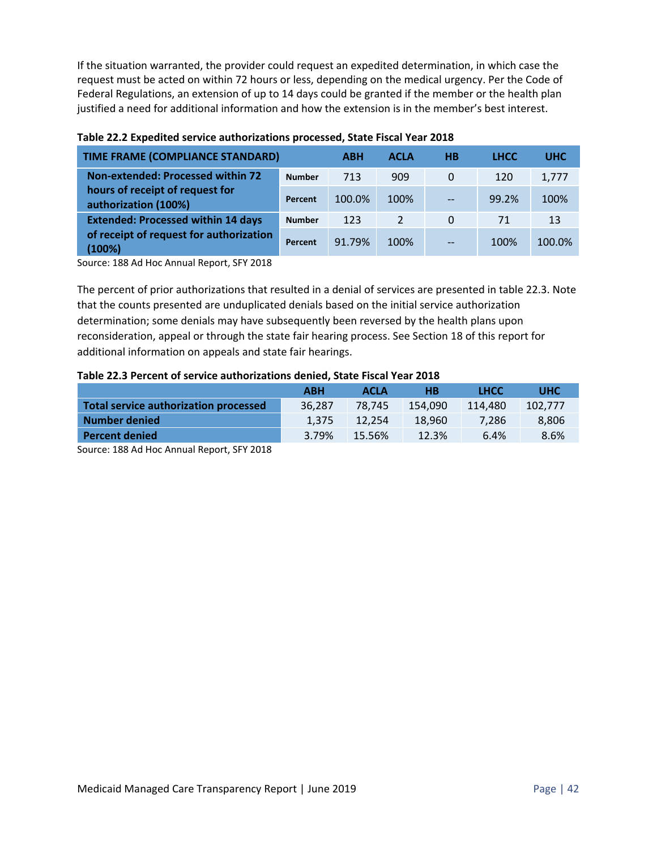If the situation warranted, the provider could request an expedited determination, in which case the request must be acted on within 72 hours or less, depending on the medical urgency. Per the Code of Federal Regulations, an extension of up to 14 days could be granted if the member or the health plan justified a need for additional information and how the extension is in the member's best interest.

| <b>TIME FRAME (COMPLIANCE STANDARD)</b>                 |               | <b>ABH</b> | <b>ACLA</b>   | H <sub>B</sub> | <b>LHCC</b> | <b>UHC</b> |
|---------------------------------------------------------|---------------|------------|---------------|----------------|-------------|------------|
| Non-extended: Processed within 72                       | <b>Number</b> | 713        | 909           | 0              | 120         | 1,777      |
| hours of receipt of request for<br>authorization (100%) | Percent       | 100.0%     | 100%          | $-$            | 99.2%       | 100%       |
| <b>Extended: Processed within 14 days</b>               | <b>Number</b> | 123        | $\mathcal{P}$ | 0              | 71          | 13         |
| of receipt of request for authorization<br>(100%)       | Percent       | 91.79%     | 100%          |                | 100%        | 100.0%     |

#### **Table 22.2 Expedited service authorizations processed, State Fiscal Year 2018**

Source: 188 Ad Hoc Annual Report, SFY 2018

The percent of prior authorizations that resulted in a denial of services are presented in table 22.3. Note that the counts presented are unduplicated denials based on the initial service authorization determination; some denials may have subsequently been reversed by the health plans upon reconsideration, appeal or through the state fair hearing process. See Section 18 of this report for additional information on appeals and state fair hearings.

#### **Table 22.3 Percent of service authorizations denied, State Fiscal Year 2018**

|                                       | <b>ABH</b> | <b>ACLA</b> | <b>HB</b> | <b>LHCC</b> | <b>UHC</b> |
|---------------------------------------|------------|-------------|-----------|-------------|------------|
| Total service authorization processed | 36.287     | 78.745      | 154.090   | 114,480     | 102.777    |
| <b>Number denied</b>                  | 1.375      | 12.254      | 18.960    | 7.286       | 8,806      |
| <b>Percent denied</b>                 | 3.79%      | 15.56%      | 12.3%     | 6.4%        | 8.6%       |

Source: 188 Ad Hoc Annual Report, SFY 2018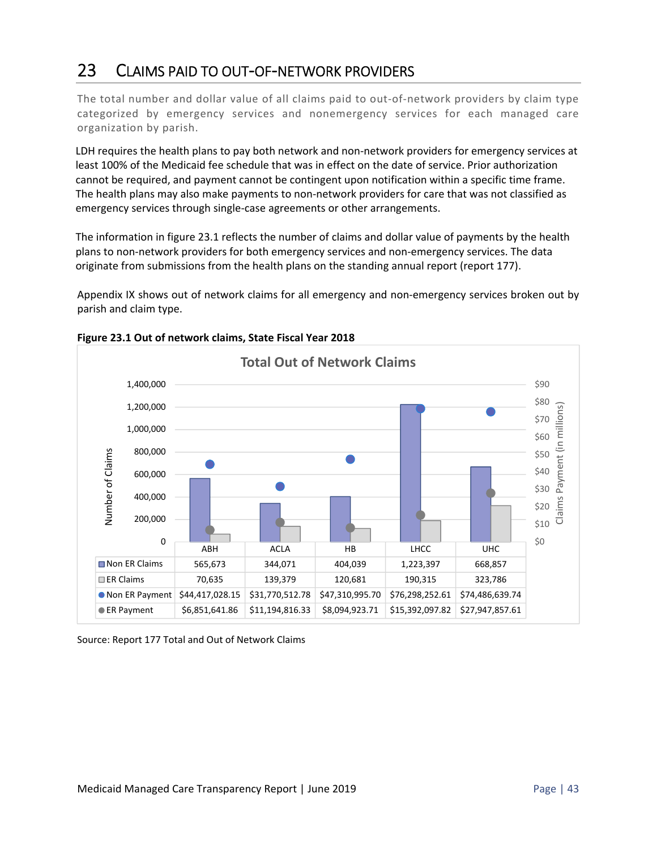## 23 CLAIMS PAID TO OUT‐OF‐NETWORK PROVIDERS

The total number and dollar value of all claims paid to out‐of‐network providers by claim type categorized by emergency services and nonemergency services for each managed care organization by parish.

LDH requires the health plans to pay both network and non-network providers for emergency services at least 100% of the Medicaid fee schedule that was in effect on the date of service. Prior authorization cannot be required, and payment cannot be contingent upon notification within a specific time frame. The health plans may also make payments to non-network providers for care that was not classified as emergency services through single‐case agreements or other arrangements.

The information in figure 23.1 reflects the number of claims and dollar value of payments by the health plans to non‐network providers for both emergency services and non‐emergency services. The data originate from submissions from the health plans on the standing annual report (report 177).

Appendix IX shows out of network claims for all emergency and non‐emergency services broken out by parish and claim type.





Source: Report 177 Total and Out of Network Claims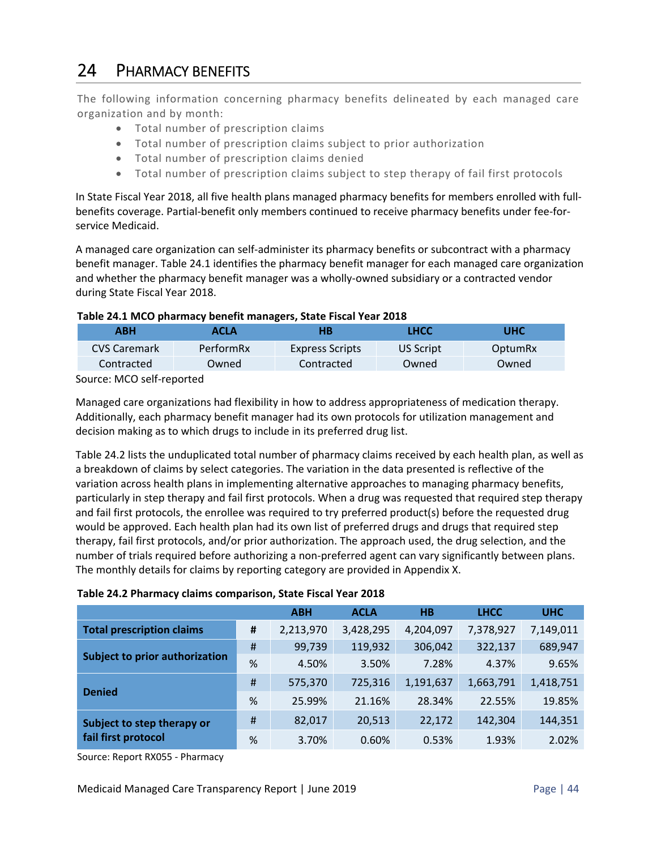## 24 PHARMACY BENEFITS

The following information concerning pharmacy benefits delineated by each managed care organization and by month:

- Total number of prescription claims
- Total number of prescription claims subject to prior authorization
- Total number of prescription claims denied
- Total number of prescription claims subject to step therapy of fail first protocols

In State Fiscal Year 2018, all five health plans managed pharmacy benefits for members enrolled with full‐ benefits coverage. Partial-benefit only members continued to receive pharmacy benefits under fee-forservice Medicaid.

A managed care organization can self‐administer its pharmacy benefits or subcontract with a pharmacy benefit manager. Table 24.1 identifies the pharmacy benefit manager for each managed care organization and whether the pharmacy benefit manager was a wholly-owned subsidiary or a contracted vendor during State Fiscal Year 2018.

#### **Table 24.1 MCO pharmacy benefit managers, State Fiscal Year 2018**

| АВН          | ACLA      | НB                     | LHCC      | UHC     |
|--------------|-----------|------------------------|-----------|---------|
| CVS Caremark | PerformRx | <b>Express Scripts</b> | US Script | OptumRx |
| Contracted   | Owned     | Contracted             | Owned     | Owned   |

Source: MCO self‐reported

Managed care organizations had flexibility in how to address appropriateness of medication therapy. Additionally, each pharmacy benefit manager had its own protocols for utilization management and decision making as to which drugs to include in its preferred drug list.

Table 24.2 lists the unduplicated total number of pharmacy claims received by each health plan, as well as a breakdown of claims by select categories. The variation in the data presented is reflective of the variation across health plans in implementing alternative approaches to managing pharmacy benefits, particularly in step therapy and fail first protocols. When a drug was requested that required step therapy and fail first protocols, the enrollee was required to try preferred product(s) before the requested drug would be approved. Each health plan had its own list of preferred drugs and drugs that required step therapy, fail first protocols, and/or prior authorization. The approach used, the drug selection, and the number of trials required before authorizing a non‐preferred agent can vary significantly between plans. The monthly details for claims by reporting category are provided in Appendix X.

#### **Table 24.2 Pharmacy claims comparison, State Fiscal Year 2018**

|                                       |   | <b>ABH</b> | <b>ACLA</b> | H <sub>B</sub> | <b>LHCC</b> | <b>UHC</b> |
|---------------------------------------|---|------------|-------------|----------------|-------------|------------|
| <b>Total prescription claims</b>      | # | 2,213,970  | 3,428,295   | 4,204,097      | 7,378,927   | 7,149,011  |
| <b>Subject to prior authorization</b> | # | 99,739     | 119,932     | 306,042        | 322,137     | 689,947    |
|                                       | % | 4.50%      | 3.50%       | 7.28%          | 4.37%       | 9.65%      |
|                                       | # | 575,370    | 725,316     | 1,191,637      | 1,663,791   | 1,418,751  |
| <b>Denied</b>                         | % | 25.99%     | 21.16%      | 28.34%         | 22.55%      | 19.85%     |
| Subject to step therapy or            | # | 82,017     | 20,513      | 22,172         | 142,304     | 144,351    |
| fail first protocol                   | % | 3.70%      | 0.60%       | 0.53%          | 1.93%       | 2.02%      |

Source: Report RX055 ‐ Pharmacy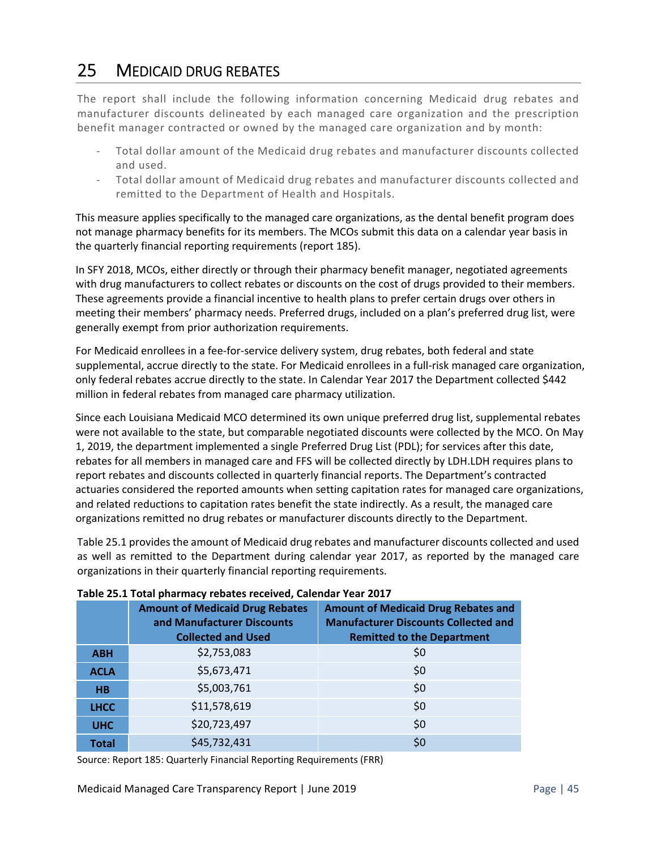## 25 MEDICAID DRUG REBATES

The report shall include the following information concerning Medicaid drug rebates and manufacturer discounts delineated by each managed care organization and the prescription benefit manager contracted or owned by the managed care organization and by month:

- ‐ Total dollar amount of the Medicaid drug rebates and manufacturer discounts collected and used.
- ‐ Total dollar amount of Medicaid drug rebates and manufacturer discounts collected and remitted to the Department of Health and Hospitals.

This measure applies specifically to the managed care organizations, as the dental benefit program does not manage pharmacy benefits for its members. The MCOs submit this data on a calendar year basis in the quarterly financial reporting requirements (report 185).

In SFY 2018, MCOs, either directly or through their pharmacy benefit manager, negotiated agreements with drug manufacturers to collect rebates or discounts on the cost of drugs provided to their members. These agreements provide a financial incentive to health plans to prefer certain drugs over others in meeting their members' pharmacy needs. Preferred drugs, included on a plan's preferred drug list, were generally exempt from prior authorization requirements.

For Medicaid enrollees in a fee‐for‐service delivery system, drug rebates, both federal and state supplemental, accrue directly to the state. For Medicaid enrollees in a full-risk managed care organization, only federal rebates accrue directly to the state. In Calendar Year 2017 the Department collected \$442 million in federal rebates from managed care pharmacy utilization.

Since each Louisiana Medicaid MCO determined its own unique preferred drug list, supplemental rebates were not available to the state, but comparable negotiated discounts were collected by the MCO. On May 1, 2019, the department implemented a single Preferred Drug List (PDL); for services after this date, rebates for all members in managed care and FFS will be collected directly by LDH.LDH requires plans to report rebates and discounts collected in quarterly financial reports. The Department's contracted actuaries considered the reported amounts when setting capitation rates for managed care organizations, and related reductions to capitation rates benefit the state indirectly. As a result, the managed care organizations remitted no drug rebates or manufacturer discounts directly to the Department.

Table 25.1 provides the amount of Medicaid drug rebates and manufacturer discounts collected and used as well as remitted to the Department during calendar year 2017, as reported by the managed care organizations in their quarterly financial reporting requirements.

|              | <b>Amount of Medicaid Drug Rebates</b><br>and Manufacturer Discounts<br><b>Collected and Used</b> | <b>Amount of Medicaid Drug Rebates and</b><br><b>Manufacturer Discounts Collected and</b><br><b>Remitted to the Department</b> |
|--------------|---------------------------------------------------------------------------------------------------|--------------------------------------------------------------------------------------------------------------------------------|
| <b>ABH</b>   | \$2,753,083                                                                                       | \$0                                                                                                                            |
| <b>ACLA</b>  | \$5,673,471                                                                                       | \$0                                                                                                                            |
| <b>HB</b>    | \$5,003,761                                                                                       | \$0                                                                                                                            |
| <b>LHCC</b>  | \$11,578,619                                                                                      | \$0                                                                                                                            |
| <b>UHC</b>   | \$20,723,497                                                                                      | \$0                                                                                                                            |
| <b>Total</b> | \$45,732,431                                                                                      | \$0                                                                                                                            |

#### **Table 25.1 Total pharmacy rebates received, Calendar Year 2017**

Source: Report 185: Quarterly Financial Reporting Requirements (FRR)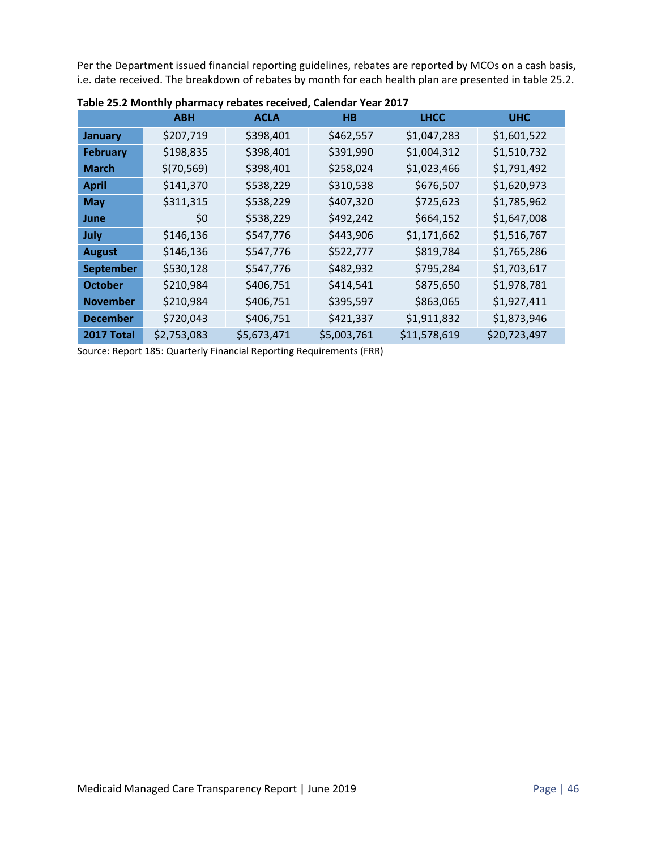Per the Department issued financial reporting guidelines, rebates are reported by MCOs on a cash basis, i.e. date received. The breakdown of rebates by month for each health plan are presented in table 25.2.

|                  | <b>ABH</b>  | <b>ACLA</b> | H <sub>B</sub> | <b>LHCC</b>  | <b>UHC</b>   |
|------------------|-------------|-------------|----------------|--------------|--------------|
| <b>January</b>   | \$207,719   | \$398,401   | \$462,557      | \$1,047,283  | \$1,601,522  |
| <b>February</b>  | \$198,835   | \$398,401   | \$391,990      | \$1,004,312  | \$1,510,732  |
| <b>March</b>     | \$(70, 569) | \$398,401   | \$258,024      | \$1,023,466  | \$1,791,492  |
| <b>April</b>     | \$141,370   | \$538,229   | \$310,538      | \$676,507    | \$1,620,973  |
| <b>May</b>       | \$311,315   | \$538,229   | \$407,320      | \$725,623    | \$1,785,962  |
| June             | \$0         | \$538,229   | \$492,242      | \$664,152    | \$1,647,008  |
| July             | \$146,136   | \$547,776   | \$443,906      | \$1,171,662  | \$1,516,767  |
| <b>August</b>    | \$146,136   | \$547,776   | \$522,777      | \$819,784    | \$1,765,286  |
| <b>September</b> | \$530,128   | \$547,776   | \$482,932      | \$795,284    | \$1,703,617  |
| <b>October</b>   | \$210,984   | \$406,751   | \$414,541      | \$875,650    | \$1,978,781  |
| <b>November</b>  | \$210,984   | \$406,751   | \$395,597      | \$863,065    | \$1,927,411  |
| <b>December</b>  | \$720,043   | \$406,751   | \$421,337      | \$1,911,832  | \$1,873,946  |
| 2017 Total       | \$2,753,083 | \$5,673,471 | \$5,003,761    | \$11,578,619 | \$20,723,497 |

**Table 25.2 Monthly pharmacy rebates received, Calendar Year 2017** 

Source: Report 185: Quarterly Financial Reporting Requirements (FRR)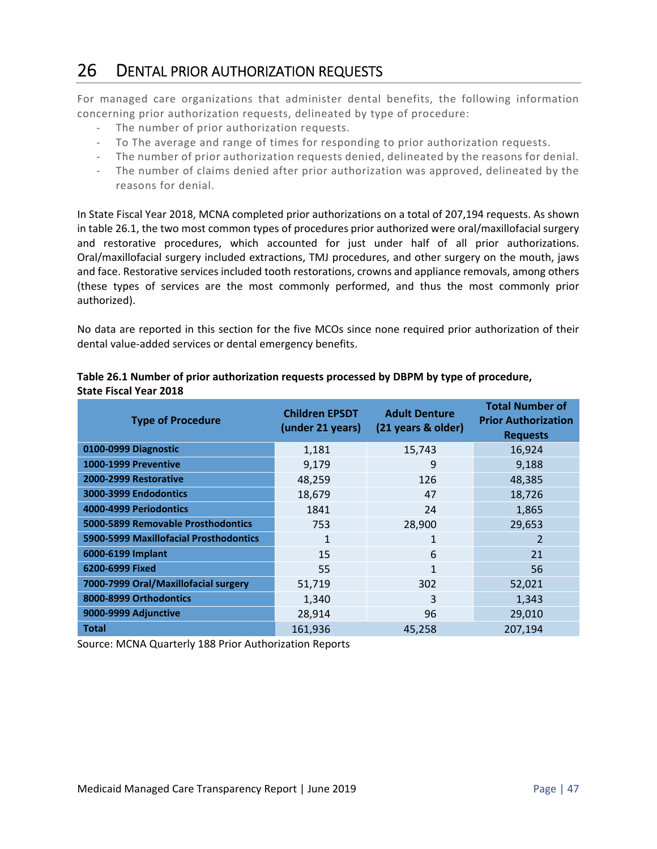### 26 DENTAL PRIOR AUTHORIZATION REQUESTS

For managed care organizations that administer dental benefits, the following information concerning prior authorization requests, delineated by type of procedure:

- ‐ The number of prior authorization requests.
- ‐ To The average and range of times for responding to prior authorization requests.
- ‐ The number of prior authorization requests denied, delineated by the reasons for denial.
- ‐ The number of claims denied after prior authorization was approved, delineated by the reasons for denial.

In State Fiscal Year 2018, MCNA completed prior authorizations on a total of 207,194 requests. As shown in table 26.1, the two most common types of procedures prior authorized were oral/maxillofacial surgery and restorative procedures, which accounted for just under half of all prior authorizations. Oral/maxillofacial surgery included extractions, TMJ procedures, and other surgery on the mouth, jaws and face. Restorative services included tooth restorations, crowns and appliance removals, among others (these types of services are the most commonly performed, and thus the most commonly prior authorized).

No data are reported in this section for the five MCOs since none required prior authorization of their dental value‐added services or dental emergency benefits.

| <b>Type of Procedure</b>               | <b>Children EPSDT</b><br>(under 21 years) | <b>Adult Denture</b><br>(21 years & older) | <b>Total Number of</b><br><b>Prior Authorization</b><br><b>Requests</b> |
|----------------------------------------|-------------------------------------------|--------------------------------------------|-------------------------------------------------------------------------|
| 0100-0999 Diagnostic                   | 1,181                                     | 15,743                                     | 16,924                                                                  |
| <b>1000-1999 Preventive</b>            | 9,179                                     | 9                                          | 9,188                                                                   |
| 2000-2999 Restorative                  | 48,259                                    | 126                                        | 48,385                                                                  |
| 3000-3999 Endodontics                  | 18,679                                    | 47                                         | 18,726                                                                  |
| 4000-4999 Periodontics                 | 1841                                      | 24                                         | 1,865                                                                   |
| 5000-5899 Removable Prosthodontics     | 753                                       | 28,900                                     | 29,653                                                                  |
| 5900-5999 Maxillofacial Prosthodontics | 1                                         | 1                                          | $\overline{2}$                                                          |
| 6000-6199 Implant                      | 15                                        | 6                                          | 21                                                                      |
| 6200-6999 Fixed                        | 55                                        | 1                                          | 56                                                                      |
| 7000-7999 Oral/Maxillofacial surgery   | 51,719                                    | 302                                        | 52,021                                                                  |
| 8000-8999 Orthodontics                 | 1,340                                     | 3                                          | 1,343                                                                   |
| 9000-9999 Adjunctive                   | 28,914                                    | 96                                         | 29,010                                                                  |
| <b>Total</b>                           | 161,936                                   | 45,258                                     | 207,194                                                                 |

#### **Table 26.1 Number of prior authorization requests processed by DBPM by type of procedure, State Fiscal Year 2018**

Source: MCNA Quarterly 188 Prior Authorization Reports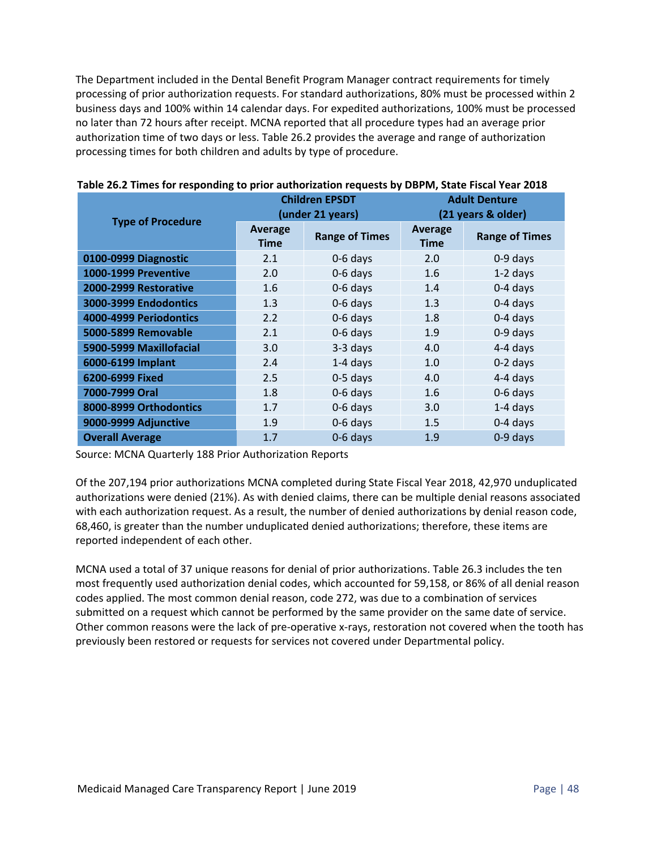The Department included in the Dental Benefit Program Manager contract requirements for timely processing of prior authorization requests. For standard authorizations, 80% must be processed within 2 business days and 100% within 14 calendar days. For expedited authorizations, 100% must be processed no later than 72 hours after receipt. MCNA reported that all procedure types had an average prior authorization time of two days or less. Table 26.2 provides the average and range of authorization processing times for both children and adults by type of procedure.

|                             | <b>Children EPSDT</b><br>(under 21 years) |                       | <b>Adult Denture</b><br>(21 years & older) |                       |
|-----------------------------|-------------------------------------------|-----------------------|--------------------------------------------|-----------------------|
| <b>Type of Procedure</b>    | <b>Average</b><br><b>Time</b>             | <b>Range of Times</b> | Average<br><b>Time</b>                     | <b>Range of Times</b> |
| 0100-0999 Diagnostic        | 2.1                                       | $0-6$ days            | 2.0                                        | 0-9 days              |
| <b>1000-1999 Preventive</b> | 2.0                                       | 0-6 days              | 1.6                                        | $1-2$ days            |
| 2000-2999 Restorative       | 1.6                                       | 0-6 days              | 1.4                                        | $0-4$ days            |
| 3000-3999 Endodontics       | 1.3                                       | 0-6 days              | 1.3                                        | 0-4 days              |
| 4000-4999 Periodontics      | 2.2                                       | 0-6 days              | 1.8                                        | $0-4$ days            |
| 5000-5899 Removable         | 2.1                                       | 0-6 days              | 1.9                                        | 0-9 days              |
| 5900-5999 Maxillofacial     | 3.0                                       | $3-3$ days            | 4.0                                        | 4-4 days              |
| 6000-6199 Implant           | 2.4                                       | $1-4$ days            | 1.0                                        | $0-2$ days            |
| 6200-6999 Fixed             | 2.5                                       | $0-5$ days            | 4.0                                        | 4-4 days              |
| 7000-7999 Oral              | 1.8                                       | 0-6 days              | 1.6                                        | 0-6 days              |
| 8000-8999 Orthodontics      | 1.7                                       | $0-6$ days            | 3.0                                        | $1-4$ days            |
| 9000-9999 Adjunctive        | 1.9                                       | 0-6 days              | 1.5                                        | 0-4 days              |
| <b>Overall Average</b>      | 1.7                                       | 0-6 days              | 1.9                                        | 0-9 days              |

|  |  |  | Table 26.2 Times for responding to prior authorization requests by DBPM, State Fiscal Year 2018 |
|--|--|--|-------------------------------------------------------------------------------------------------|
|--|--|--|-------------------------------------------------------------------------------------------------|

Source: MCNA Quarterly 188 Prior Authorization Reports

Of the 207,194 prior authorizations MCNA completed during State Fiscal Year 2018, 42,970 unduplicated authorizations were denied (21%). As with denied claims, there can be multiple denial reasons associated with each authorization request. As a result, the number of denied authorizations by denial reason code, 68,460, is greater than the number unduplicated denied authorizations; therefore, these items are reported independent of each other.

MCNA used a total of 37 unique reasons for denial of prior authorizations. Table 26.3 includes the ten most frequently used authorization denial codes, which accounted for 59,158, or 86% of all denial reason codes applied. The most common denial reason, code 272, was due to a combination of services submitted on a request which cannot be performed by the same provider on the same date of service. Other common reasons were the lack of pre-operative x-rays, restoration not covered when the tooth has previously been restored or requests for services not covered under Departmental policy.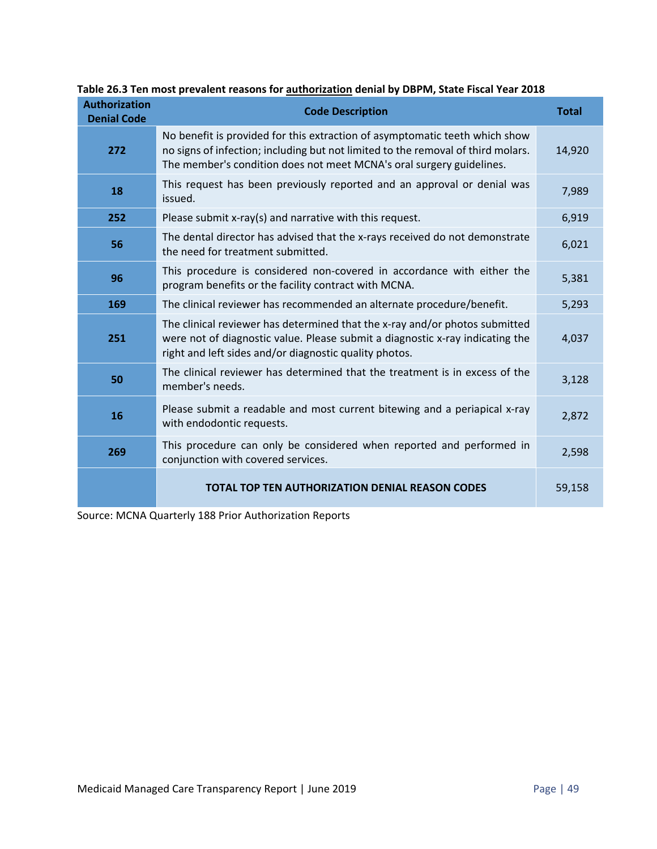| <b>Authorization</b><br><b>Denial Code</b> | <b>Code Description</b>                                                                                                                                                                                                                 | <b>Total</b> |
|--------------------------------------------|-----------------------------------------------------------------------------------------------------------------------------------------------------------------------------------------------------------------------------------------|--------------|
| 272                                        | No benefit is provided for this extraction of asymptomatic teeth which show<br>no signs of infection; including but not limited to the removal of third molars.<br>The member's condition does not meet MCNA's oral surgery guidelines. | 14,920       |
| 18                                         | This request has been previously reported and an approval or denial was<br>issued.                                                                                                                                                      | 7,989        |
| 252                                        | Please submit x-ray(s) and narrative with this request.                                                                                                                                                                                 | 6,919        |
| 56                                         | The dental director has advised that the x-rays received do not demonstrate<br>the need for treatment submitted.                                                                                                                        | 6,021        |
| 96                                         | This procedure is considered non-covered in accordance with either the<br>program benefits or the facility contract with MCNA.                                                                                                          | 5,381        |
| 169                                        | The clinical reviewer has recommended an alternate procedure/benefit.                                                                                                                                                                   | 5,293        |
| 251                                        | The clinical reviewer has determined that the x-ray and/or photos submitted<br>were not of diagnostic value. Please submit a diagnostic x-ray indicating the<br>right and left sides and/or diagnostic quality photos.                  | 4,037        |
| 50                                         | The clinical reviewer has determined that the treatment is in excess of the<br>member's needs.                                                                                                                                          | 3,128        |
| 16                                         | Please submit a readable and most current bitewing and a periapical x-ray<br>with endodontic requests.                                                                                                                                  | 2,872        |
| 269                                        | This procedure can only be considered when reported and performed in<br>conjunction with covered services.                                                                                                                              | 2,598        |
|                                            | <b>TOTAL TOP TEN AUTHORIZATION DENIAL REASON CODES</b>                                                                                                                                                                                  | 59,158       |

**Table 26.3 Ten most prevalent reasons for authorization denial by DBPM, State Fiscal Year 2018** 

Source: MCNA Quarterly 188 Prior Authorization Reports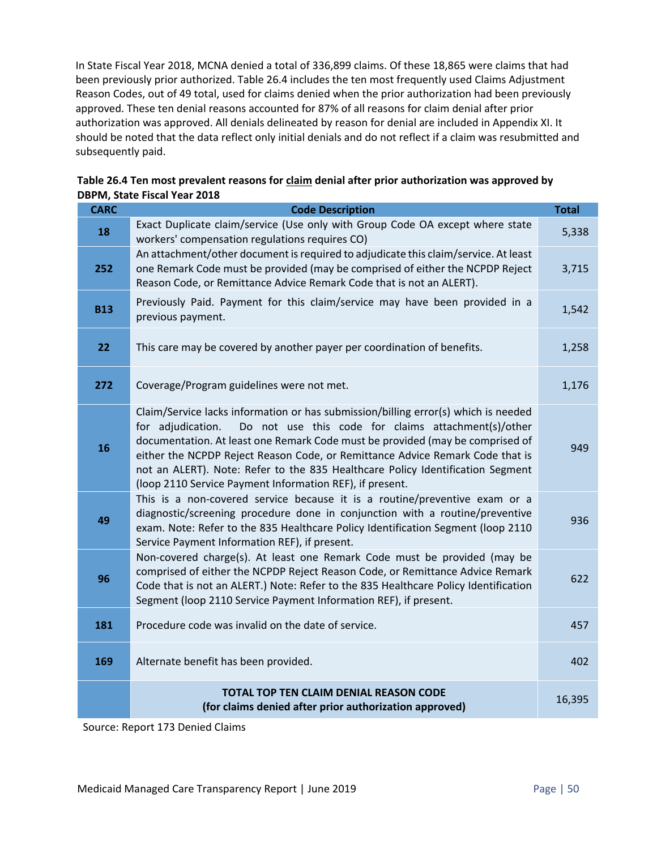In State Fiscal Year 2018, MCNA denied a total of 336,899 claims. Of these 18,865 were claims that had been previously prior authorized. Table 26.4 includes the ten most frequently used Claims Adjustment Reason Codes, out of 49 total, used for claims denied when the prior authorization had been previously approved. These ten denial reasons accounted for 87% of all reasons for claim denial after prior authorization was approved. All denials delineated by reason for denial are included in Appendix XI. It should be noted that the data reflect only initial denials and do not reflect if a claim was resubmitted and subsequently paid.

| <b>CARC</b> | <b>Code Description</b>                                                                                                                                                                                                                                                                                                                                                                                                                                                        | <b>Total</b> |
|-------------|--------------------------------------------------------------------------------------------------------------------------------------------------------------------------------------------------------------------------------------------------------------------------------------------------------------------------------------------------------------------------------------------------------------------------------------------------------------------------------|--------------|
| 18          | Exact Duplicate claim/service (Use only with Group Code OA except where state<br>workers' compensation regulations requires CO)                                                                                                                                                                                                                                                                                                                                                | 5,338        |
| 252         | An attachment/other document is required to adjudicate this claim/service. At least<br>one Remark Code must be provided (may be comprised of either the NCPDP Reject<br>Reason Code, or Remittance Advice Remark Code that is not an ALERT).                                                                                                                                                                                                                                   | 3,715        |
| <b>B13</b>  | Previously Paid. Payment for this claim/service may have been provided in a<br>previous payment.                                                                                                                                                                                                                                                                                                                                                                               | 1,542        |
| 22          | This care may be covered by another payer per coordination of benefits.                                                                                                                                                                                                                                                                                                                                                                                                        | 1,258        |
| 272         | Coverage/Program guidelines were not met.                                                                                                                                                                                                                                                                                                                                                                                                                                      | 1,176        |
| 16          | Claim/Service lacks information or has submission/billing error(s) which is needed<br>Do not use this code for claims attachment(s)/other<br>for adjudication.<br>documentation. At least one Remark Code must be provided (may be comprised of<br>either the NCPDP Reject Reason Code, or Remittance Advice Remark Code that is<br>not an ALERT). Note: Refer to the 835 Healthcare Policy Identification Segment<br>(loop 2110 Service Payment Information REF), if present. | 949          |
| 49          | This is a non-covered service because it is a routine/preventive exam or a<br>diagnostic/screening procedure done in conjunction with a routine/preventive<br>exam. Note: Refer to the 835 Healthcare Policy Identification Segment (loop 2110<br>Service Payment Information REF), if present.                                                                                                                                                                                | 936          |
| 96          | Non-covered charge(s). At least one Remark Code must be provided (may be<br>comprised of either the NCPDP Reject Reason Code, or Remittance Advice Remark<br>Code that is not an ALERT.) Note: Refer to the 835 Healthcare Policy Identification<br>Segment (loop 2110 Service Payment Information REF), if present.                                                                                                                                                           | 622          |
| 181         | Procedure code was invalid on the date of service.                                                                                                                                                                                                                                                                                                                                                                                                                             | 457          |
| 169         | Alternate benefit has been provided.                                                                                                                                                                                                                                                                                                                                                                                                                                           | 402          |
|             | TOTAL TOP TEN CLAIM DENIAL REASON CODE<br>(for claims denied after prior authorization approved)                                                                                                                                                                                                                                                                                                                                                                               | 16,395       |

| Table 26.4 Ten most prevalent reasons for claim denial after prior authorization was approved by |
|--------------------------------------------------------------------------------------------------|
| <b>DBPM, State Fiscal Year 2018</b>                                                              |

Source: Report 173 Denied Claims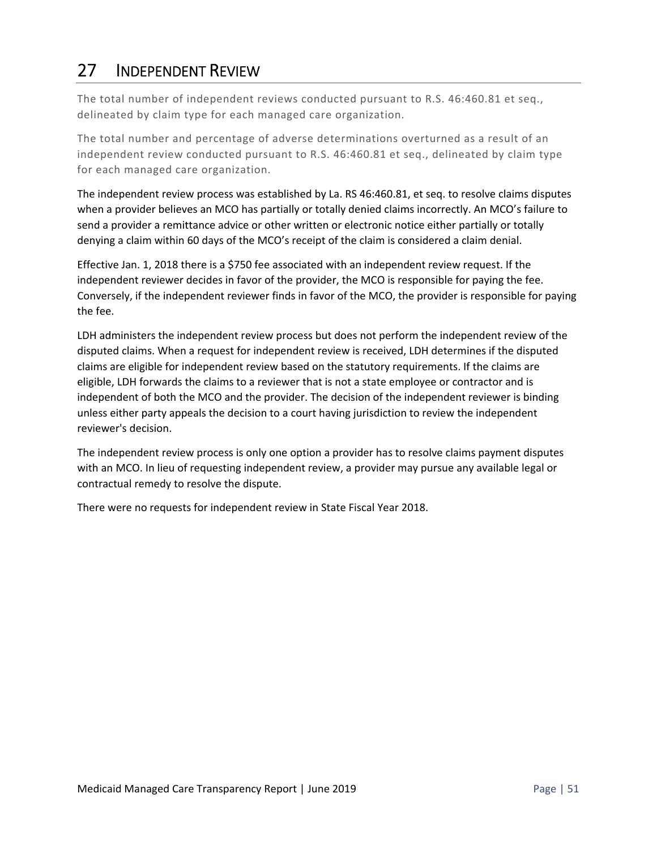# 27 INDEPENDENT REVIEW

The total number of independent reviews conducted pursuant to R.S. 46:460.81 et seq., delineated by claim type for each managed care organization.

The total number and percentage of adverse determinations overturned as a result of an independent review conducted pursuant to R.S. 46:460.81 et seq., delineated by claim type for each managed care organization.

The independent review process was established by La. RS 46:460.81, et seq. to resolve claims disputes when a provider believes an MCO has partially or totally denied claims incorrectly. An MCO's failure to send a provider a remittance advice or other written or electronic notice either partially or totally denying a claim within 60 days of the MCO's receipt of the claim is considered a claim denial.

Effective Jan. 1, 2018 there is a \$750 fee associated with an independent review request. If the independent reviewer decides in favor of the provider, the MCO is responsible for paying the fee. Conversely, if the independent reviewer finds in favor of the MCO, the provider is responsible for paying the fee.

LDH administers the independent review process but does not perform the independent review of the disputed claims. When a request for independent review is received, LDH determines if the disputed claims are eligible for independent review based on the statutory requirements. If the claims are eligible, LDH forwards the claims to a reviewer that is not a state employee or contractor and is independent of both the MCO and the provider. The decision of the independent reviewer is binding unless either party appeals the decision to a court having jurisdiction to review the independent reviewer's decision.

The independent review process is only one option a provider has to resolve claims payment disputes with an MCO. In lieu of requesting independent review, a provider may pursue any available legal or contractual remedy to resolve the dispute.

There were no requests for independent review in State Fiscal Year 2018.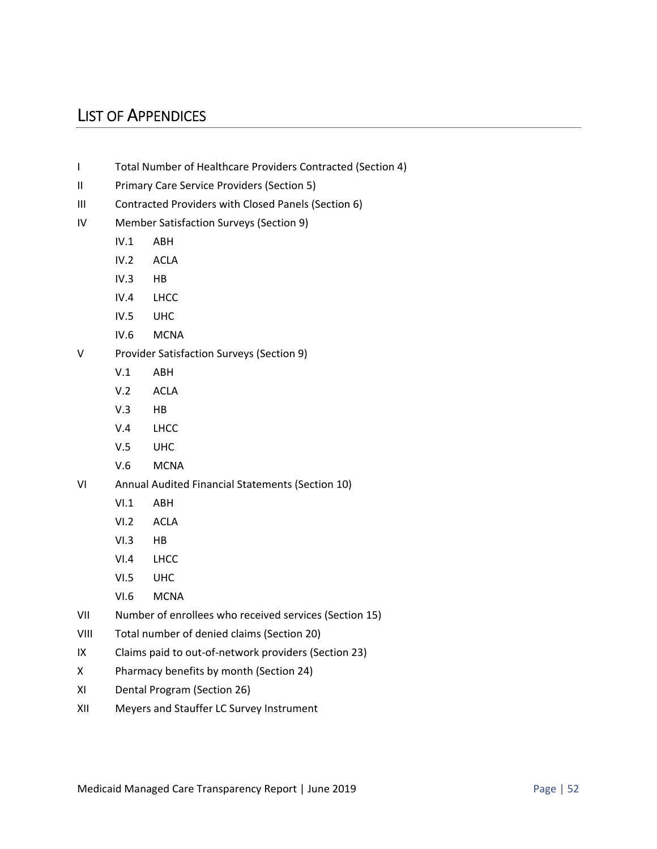### LIST OF APPENDICES

- I Total Number of Healthcare Providers Contracted (Section 4)
- II Primary Care Service Providers (Section 5)
- III Contracted Providers with Closed Panels (Section 6)
- IV Member Satisfaction Surveys (Section 9)
	- IV.1 ABH
	- IV.2 ACLA
	- IV.3 HB
	- IV.4 LHCC
	- IV.5 UHC
	- IV.6 MCNA
- V Provider Satisfaction Surveys (Section 9)
	- V.1 ABH
	- V.2 ACLA
	- V.3 HB
	- V.4 LHCC
	- V.5 UHC
	- V.6 MCNA
- VI Annual Audited Financial Statements (Section 10)
	- VI.1 ABH
	- VI.2 ACLA
	- VI.3 HB
	- VI.4 LHCC
	- VI.5 UHC
	- VI.6 MCNA
- VII Number of enrollees who received services (Section 15)
- VIII Total number of denied claims (Section 20)
- IX Claims paid to out‐of‐network providers (Section 23)
- X Pharmacy benefits by month (Section 24)
- XI Dental Program (Section 26)
- XII Meyers and Stauffer LC Survey Instrument